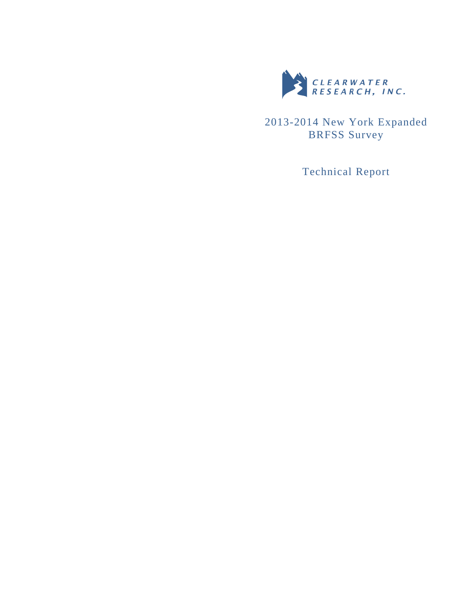

2013-2014 New York Expanded BRFSS Survey

Technical Report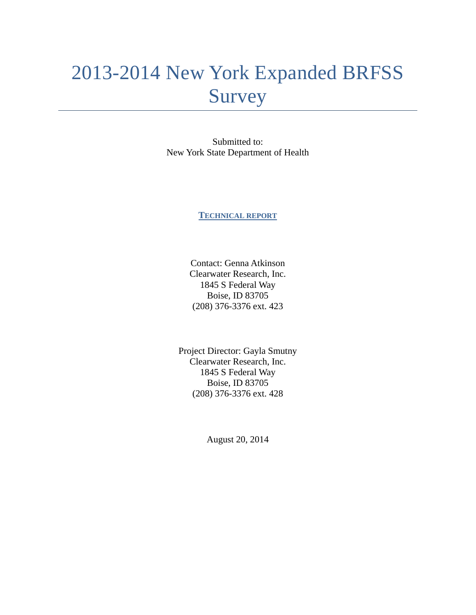# 2013-2014 New York Expanded BRFSS Survey

Submitted to: New York State Department of Health

**TECHNICAL REPORT**

Contact: Genna Atkinson Clearwater Research, Inc. 1845 S Federal Way Boise, ID 83705 (208) 376-3376 ext. 423

Project Director: Gayla Smutny Clearwater Research, Inc. 1845 S Federal Way Boise, ID 83705 (208) 376-3376 ext. 428

August 20, 2014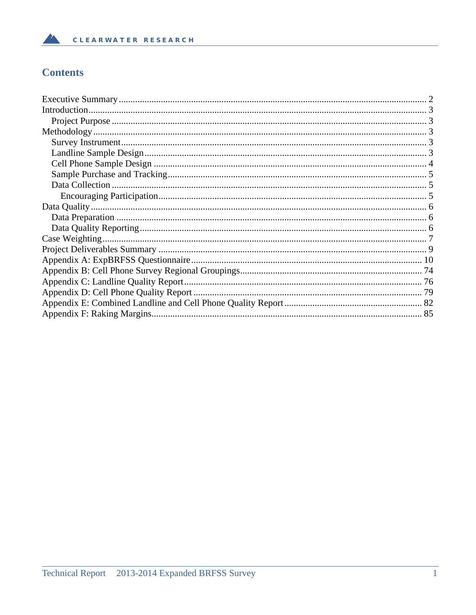## **Contents**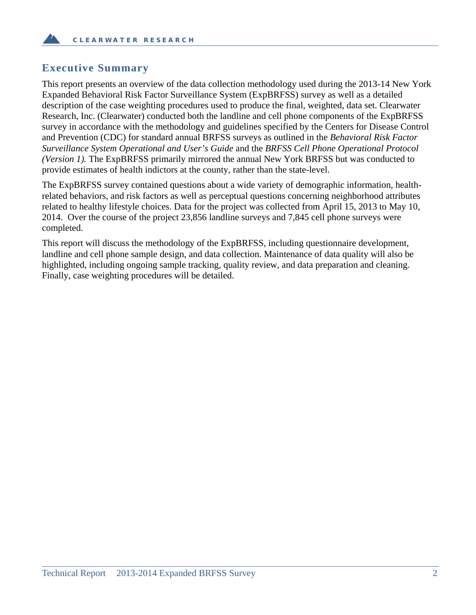## **Executive Summary**

This report presents an overview of the data collection methodology used during the 2013-14 New York Expanded Behavioral Risk Factor Surveillance System (ExpBRFSS) survey as well as a detailed description of the case weighting procedures used to produce the final, weighted, data set. Clearwater Research, Inc. (Clearwater) conducted both the landline and cell phone components of the ExpBRFSS survey in accordance with the methodology and guidelines specified by the Centers for Disease Control and Prevention (CDC) for standard annual BRFSS surveys as outlined in the *Behavioral Risk Factor Surveillance System Operational and User's Guide* and the *BRFSS Cell Phone Operational Protocol (Version 1).* The ExpBRFSS primarily mirrored the annual New York BRFSS but was conducted to provide estimates of health indictors at the county, rather than the state-level.

The ExpBRFSS survey contained questions about a wide variety of demographic information, healthrelated behaviors, and risk factors as well as perceptual questions concerning neighborhood attributes related to healthy lifestyle choices. Data for the project was collected from April 15, 2013 to May 10, 2014. Over the course of the project 23,856 landline surveys and 7,845 cell phone surveys were completed.

This report will discuss the methodology of the ExpBRFSS, including questionnaire development, landline and cell phone sample design, and data collection. Maintenance of data quality will also be highlighted, including ongoing sample tracking, quality review, and data preparation and cleaning. Finally, case weighting procedures will be detailed.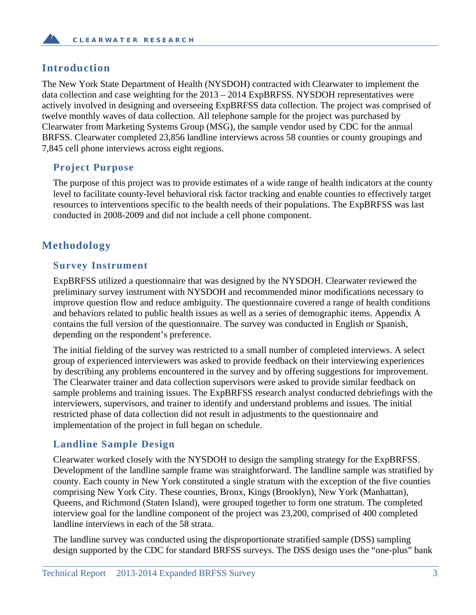## **Introduction**

The New York State Department of Health (NYSDOH) contracted with Clearwater to implement the data collection and case weighting for the 2013 – 2014 ExpBRFSS. NYSDOH representatives were actively involved in designing and overseeing ExpBRFSS data collection. The project was comprised of twelve monthly waves of data collection. All telephone sample for the project was purchased by Clearwater from Marketing Systems Group (MSG), the sample vendor used by CDC for the annual BRFSS. Clearwater completed 23,856 landline interviews across 58 counties or county groupings and 7,845 cell phone interviews across eight regions.

## **Project Purpose**

The purpose of this project was to provide estimates of a wide range of health indicators at the county level to facilitate county-level behavioral risk factor tracking and enable counties to effectively target resources to interventions specific to the health needs of their populations. The ExpBRFSS was last conducted in 2008-2009 and did not include a cell phone component.

## **Methodology**

#### **Survey Instrument**

ExpBRFSS utilized a questionnaire that was designed by the NYSDOH. Clearwater reviewed the preliminary survey instrument with NYSDOH and recommended minor modifications necessary to improve question flow and reduce ambiguity. The questionnaire covered a range of health conditions and behaviors related to public health issues as well as a series of demographic items. Appendix A contains the full version of the questionnaire. The survey was conducted in English or Spanish, depending on the respondent's preference.

The initial fielding of the survey was restricted to a small number of completed interviews. A select group of experienced interviewers was asked to provide feedback on their interviewing experiences by describing any problems encountered in the survey and by offering suggestions for improvement. The Clearwater trainer and data collection supervisors were asked to provide similar feedback on sample problems and training issues. The ExpBRFSS research analyst conducted debriefings with the interviewers, supervisors, and trainer to identify and understand problems and issues. The initial restricted phase of data collection did not result in adjustments to the questionnaire and implementation of the project in full began on schedule.

## **Landline Sample Design**

Clearwater worked closely with the NYSDOH to design the sampling strategy for the ExpBRFSS. Development of the landline sample frame was straightforward. The landline sample was stratified by county. Each county in New York constituted a single stratum with the exception of the five counties comprising New York City. These counties, Bronx, Kings (Brooklyn), New York (Manhattan), Queens, and Richmond (Staten Island), were grouped together to form one stratum. The completed interview goal for the landline component of the project was 23,200, comprised of 400 completed landline interviews in each of the 58 strata.

The landline survey was conducted using the disproportionate stratified sample (DSS) sampling design supported by the CDC for standard BRFSS surveys. The DSS design uses the "one-plus" bank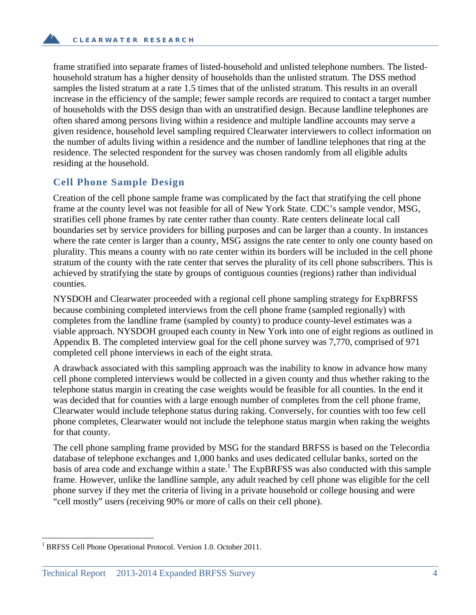frame stratified into separate frames of listed-household and unlisted telephone numbers. The listedhousehold stratum has a higher density of households than the unlisted stratum. The DSS method samples the listed stratum at a rate 1.5 times that of the unlisted stratum. This results in an overall increase in the efficiency of the sample; fewer sample records are required to contact a target number of households with the DSS design than with an unstratified design. Because landline telephones are often shared among persons living within a residence and multiple landline accounts may serve a given residence, household level sampling required Clearwater interviewers to collect information on the number of adults living within a residence and the number of landline telephones that ring at the residence. The selected respondent for the survey was chosen randomly from all eligible adults residing at the household.

#### **Cell Phone Sample Design**

Creation of the cell phone sample frame was complicated by the fact that stratifying the cell phone frame at the county level was not feasible for all of New York State. CDC's sample vendor, MSG, stratifies cell phone frames by rate center rather than county. Rate centers delineate local call boundaries set by service providers for billing purposes and can be larger than a county. In instances where the rate center is larger than a county, MSG assigns the rate center to only one county based on plurality. This means a county with no rate center within its borders will be included in the cell phone stratum of the county with the rate center that serves the plurality of its cell phone subscribers. This is achieved by stratifying the state by groups of contiguous counties (regions) rather than individual counties.

NYSDOH and Clearwater proceeded with a regional cell phone sampling strategy for ExpBRFSS because combining completed interviews from the cell phone frame (sampled regionally) with completes from the landline frame (sampled by county) to produce county-level estimates was a viable approach. NYSDOH grouped each county in New York into one of eight regions as outlined in Appendix B. The completed interview goal for the cell phone survey was 7,770, comprised of 971 completed cell phone interviews in each of the eight strata.

A drawback associated with this sampling approach was the inability to know in advance how many cell phone completed interviews would be collected in a given county and thus whether raking to the telephone status margin in creating the case weights would be feasible for all counties. In the end it was decided that for counties with a large enough number of completes from the cell phone frame, Clearwater would include telephone status during raking. Conversely, for counties with too few cell phone completes, Clearwater would not include the telephone status margin when raking the weights for that county.

The cell phone sampling frame provided by MSG for the standard BRFSS is based on the Telecordia database of telephone exchanges and 1,000 banks and uses dedicated cellular banks, sorted on the basis of area code and exchange within a state.<sup>1</sup> The ExpBRFSS was also conducted with this sample frame. However, unlike the landline sample, any adult reached by cell phone was eligible for the cell phone survey if they met the criteria of living in a private household or college housing and were "cell mostly" users (receiving 90% or more of calls on their cell phone).

 $\overline{a}$ 

<sup>1</sup> BRFSS Cell Phone Operational Protocol. Version 1.0. October 2011.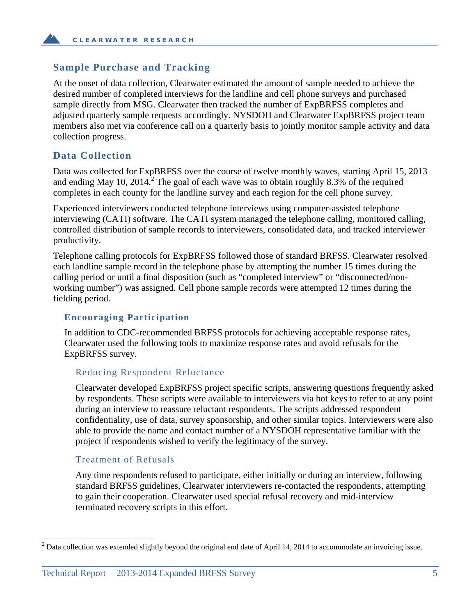#### **Sample Purchase and Tracking**

At the onset of data collection, Clearwater estimated the amount of sample needed to achieve the desired number of completed interviews for the landline and cell phone surveys and purchased sample directly from MSG. Clearwater then tracked the number of ExpBRFSS completes and adjusted quarterly sample requests accordingly. NYSDOH and Clearwater ExpBRFSS project team members also met via conference call on a quarterly basis to jointly monitor sample activity and data collection progress.

#### **Data Collection**

Data was collected for ExpBRFSS over the course of twelve monthly waves, starting April 15, 2013 and ending May 10, 2014.<sup>2</sup> The goal of each wave was to obtain roughly 8.3% of the required completes in each county for the landline survey and each region for the cell phone survey.

Experienced interviewers conducted telephone interviews using computer-assisted telephone interviewing (CATI) software. The CATI system managed the telephone calling, monitored calling, controlled distribution of sample records to interviewers, consolidated data, and tracked interviewer productivity.

Telephone calling protocols for ExpBRFSS followed those of standard BRFSS. Clearwater resolved each landline sample record in the telephone phase by attempting the number 15 times during the calling period or until a final disposition (such as "completed interview" or "disconnected/nonworking number") was assigned. Cell phone sample records were attempted 12 times during the fielding period.

#### **Encouraging Participation**

In addition to CDC-recommended BRFSS protocols for achieving acceptable response rates, Clearwater used the following tools to maximize response rates and avoid refusals for the ExpBRFSS survey.

#### Reducing Respondent Reluctance

Clearwater developed ExpBRFSS project specific scripts, answering questions frequently asked by respondents. These scripts were available to interviewers via hot keys to refer to at any point during an interview to reassure reluctant respondents. The scripts addressed respondent confidentiality, use of data, survey sponsorship, and other similar topics. Interviewers were also able to provide the name and contact number of a NYSDOH representative familiar with the project if respondents wished to verify the legitimacy of the survey.

#### Treatment of Refusals

 $\overline{a}$ 

Any time respondents refused to participate, either initially or during an interview, following standard BRFSS guidelines, Clearwater interviewers re-contacted the respondents, attempting to gain their cooperation. Clearwater used special refusal recovery and mid-interview terminated recovery scripts in this effort.

 $2^{2}$  Data collection was extended slightly beyond the original end date of April 14, 2014 to accommodate an invoicing issue.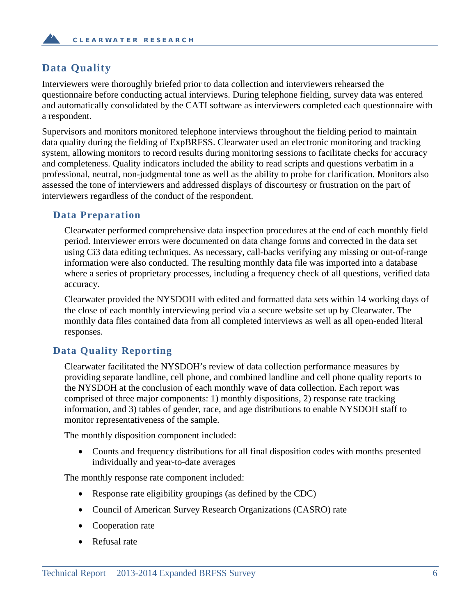## **Data Quality**

Interviewers were thoroughly briefed prior to data collection and interviewers rehearsed the questionnaire before conducting actual interviews. During telephone fielding, survey data was entered and automatically consolidated by the CATI software as interviewers completed each questionnaire with a respondent.

Supervisors and monitors monitored telephone interviews throughout the fielding period to maintain data quality during the fielding of ExpBRFSS. Clearwater used an electronic monitoring and tracking system, allowing monitors to record results during monitoring sessions to facilitate checks for accuracy and completeness. Quality indicators included the ability to read scripts and questions verbatim in a professional, neutral, non-judgmental tone as well as the ability to probe for clarification. Monitors also assessed the tone of interviewers and addressed displays of discourtesy or frustration on the part of interviewers regardless of the conduct of the respondent.

#### **Data Preparation**

Clearwater performed comprehensive data inspection procedures at the end of each monthly field period. Interviewer errors were documented on data change forms and corrected in the data set using Ci3 data editing techniques. As necessary, call-backs verifying any missing or out-of-range information were also conducted. The resulting monthly data file was imported into a database where a series of proprietary processes, including a frequency check of all questions, verified data accuracy.

Clearwater provided the NYSDOH with edited and formatted data sets within 14 working days of the close of each monthly interviewing period via a secure website set up by Clearwater. The monthly data files contained data from all completed interviews as well as all open-ended literal responses.

## **Data Quality Reporting**

Clearwater facilitated the NYSDOH's review of data collection performance measures by providing separate landline, cell phone, and combined landline and cell phone quality reports to the NYSDOH at the conclusion of each monthly wave of data collection. Each report was comprised of three major components: 1) monthly dispositions, 2) response rate tracking information, and 3) tables of gender, race, and age distributions to enable NYSDOH staff to monitor representativeness of the sample.

The monthly disposition component included:

• Counts and frequency distributions for all final disposition codes with months presented individually and year-to-date averages

The monthly response rate component included:

- Response rate eligibility groupings (as defined by the CDC)
- Council of American Survey Research Organizations (CASRO) rate
- Cooperation rate
- Refusal rate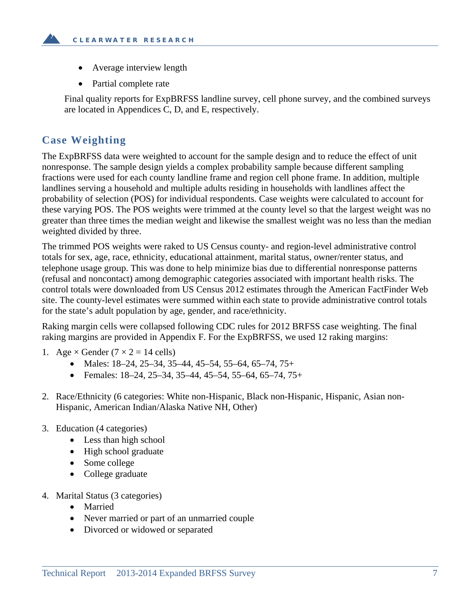- Average interview length
- Partial complete rate

Final quality reports for ExpBRFSS landline survey, cell phone survey, and the combined surveys are located in Appendices C, D, and E, respectively.

## **Case Weighting**

The ExpBRFSS data were weighted to account for the sample design and to reduce the effect of unit nonresponse. The sample design yields a complex probability sample because different sampling fractions were used for each county landline frame and region cell phone frame. In addition, multiple landlines serving a household and multiple adults residing in households with landlines affect the probability of selection (POS) for individual respondents. Case weights were calculated to account for these varying POS. The POS weights were trimmed at the county level so that the largest weight was no greater than three times the median weight and likewise the smallest weight was no less than the median weighted divided by three.

The trimmed POS weights were raked to US Census county- and region-level administrative control totals for sex, age, race, ethnicity, educational attainment, marital status, owner/renter status, and telephone usage group. This was done to help minimize bias due to differential nonresponse patterns (refusal and noncontact) among demographic categories associated with important health risks. The control totals were downloaded from US Census 2012 estimates through the American FactFinder Web site. The county-level estimates were summed within each state to provide administrative control totals for the state's adult population by age, gender, and race/ethnicity.

Raking margin cells were collapsed following CDC rules for 2012 BRFSS case weighting. The final raking margins are provided in Appendix F. For the ExpBRFSS, we used 12 raking margins:

- 1. Age  $\times$  Gender (7  $\times$  2 = 14 cells)
	- Males:  $18-24$ ,  $25-34$ ,  $35-44$ ,  $45-54$ ,  $55-64$ ,  $65-74$ ,  $75+$
	- Females: 18–24, 25–34, 35–44, 45–54, 55–64, 65–74, 75+
- 2. Race/Ethnicity (6 categories: White non-Hispanic, Black non-Hispanic, Hispanic, Asian non-Hispanic, American Indian/Alaska Native NH, Other)
- 3. Education (4 categories)
	- Less than high school
	- High school graduate
	- Some college
	- College graduate
- 4. Marital Status (3 categories)
	- Married
	- Never married or part of an unmarried couple
	- Divorced or widowed or separated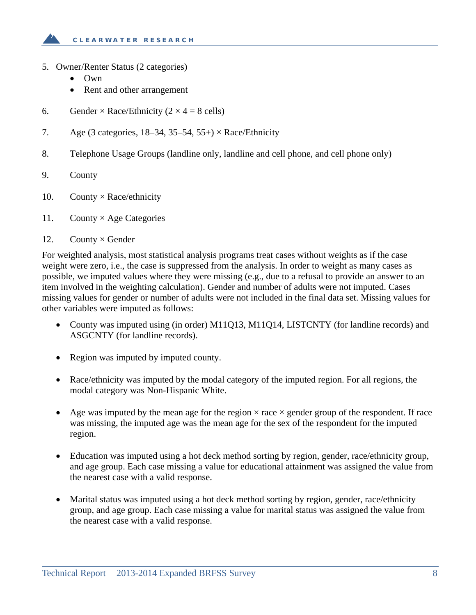

- 5. Owner/Renter Status (2 categories)
	- Own
	- Rent and other arrangement
- 6. Gender × Race/Ethnicity ( $2 \times 4 = 8$  cells)
- 7. Age (3 categories,  $18-34$ ,  $35-54$ ,  $55+$ ) × Race/Ethnicity
- 8. Telephone Usage Groups (landline only, landline and cell phone, and cell phone only)
- 9. County
- 10. County  $\times$  Race/ethnicity
- 11. County  $\times$  Age Categories
- 12. County  $\times$  Gender

For weighted analysis, most statistical analysis programs treat cases without weights as if the case weight were zero, i.e., the case is suppressed from the analysis. In order to weight as many cases as possible, we imputed values where they were missing (e.g., due to a refusal to provide an answer to an item involved in the weighting calculation). Gender and number of adults were not imputed. Cases missing values for gender or number of adults were not included in the final data set. Missing values for other variables were imputed as follows:

- County was imputed using (in order) M11Q13, M11Q14, LISTCNTY (for landline records) and ASGCNTY (for landline records).
- Region was imputed by imputed county.
- Race/ethnicity was imputed by the modal category of the imputed region. For all regions, the modal category was Non-Hispanic White.
- Age was imputed by the mean age for the region  $\times$  race  $\times$  gender group of the respondent. If race was missing, the imputed age was the mean age for the sex of the respondent for the imputed region.
- Education was imputed using a hot deck method sorting by region, gender, race/ethnicity group, and age group. Each case missing a value for educational attainment was assigned the value from the nearest case with a valid response.
- Marital status was imputed using a hot deck method sorting by region, gender, race/ethnicity group, and age group. Each case missing a value for marital status was assigned the value from the nearest case with a valid response.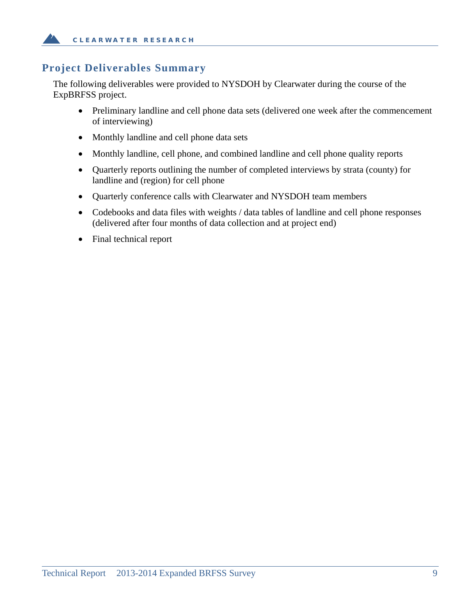## **Project Deliverables Summary**

The following deliverables were provided to NYSDOH by Clearwater during the course of the ExpBRFSS project.

- Preliminary landline and cell phone data sets (delivered one week after the commencement of interviewing)
- Monthly landline and cell phone data sets
- Monthly landline, cell phone, and combined landline and cell phone quality reports
- Quarterly reports outlining the number of completed interviews by strata (county) for landline and (region) for cell phone
- Quarterly conference calls with Clearwater and NYSDOH team members
- Codebooks and data files with weights / data tables of landline and cell phone responses (delivered after four months of data collection and at project end)
- Final technical report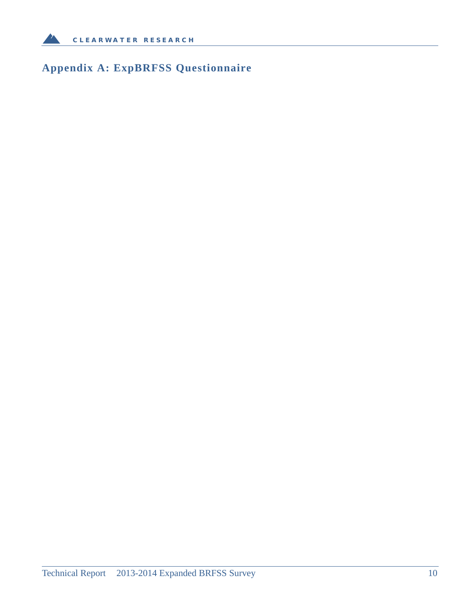

## **Appendix A: ExpBRFSS Questionnaire**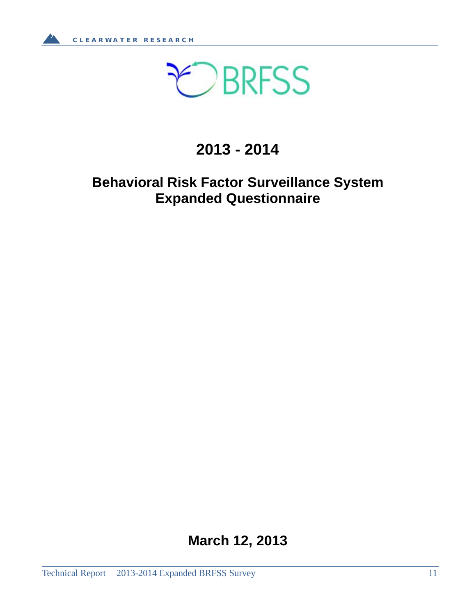

## **2013 - 2014**

## **Behavioral Risk Factor Surveillance System Expanded Questionnaire**

**March 12, 2013**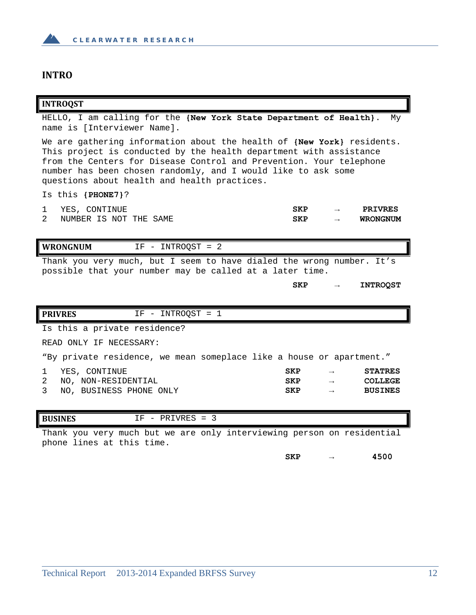

#### **INTRO**

#### **INTROQST**

HELLO, I am calling for the **{New York State Department of Health}**. My name is [Interviewer Name].

We are gathering information about the health of **{New York}** residents. This project is conducted by the health department with assistance from the Centers for Disease Control and Prevention. Your telephone number has been chosen randomly, and I would like to ask some questions about health and health practices.

Is this **{PHONE7}**?

|   | YES, CONTINUE          | SKP | $\overline{\phantom{a}}$ | <b>PRIVRES</b>  |
|---|------------------------|-----|--------------------------|-----------------|
| 2 | NUMBER IS NOT THE SAME | SKP |                          | <b>WRONGNUM</b> |

**WRONGNUM** IF - INTROQST = 2 Thank you very much, but I seem to have dialed the wrong number. It's possible that your number may be called at a later time.

**SKP → INTROQST**

| <b>PRIVRES</b>                                                         | $IF - INTROOST = 1$ |            |               |                |
|------------------------------------------------------------------------|---------------------|------------|---------------|----------------|
| Is this a private residence?                                           |                     |            |               |                |
| READ ONLY IF NECESSARY:                                                |                     |            |               |                |
| "By private residence, we mean someplace like a house or apartment."   |                     |            |               |                |
| YES, CONTINUE                                                          |                     | <b>SKP</b> |               | <b>STATRES</b> |
| 2<br>NO. NON-RESIDENTIAL                                               |                     | <b>SKP</b> | $\rightarrow$ | <b>COLLEGE</b> |
| 3<br>NO, BUSINESS PHONE ONLY                                           |                     | <b>SKP</b> |               | <b>BUSINES</b> |
|                                                                        |                     |            |               |                |
| <b>BUSINES</b>                                                         | $IF - PRIVRES = 3$  |            |               |                |
| Thank you very much but we are only interviewing person on residential |                     |            |               |                |

phone lines at this time.

**SKP → 4500**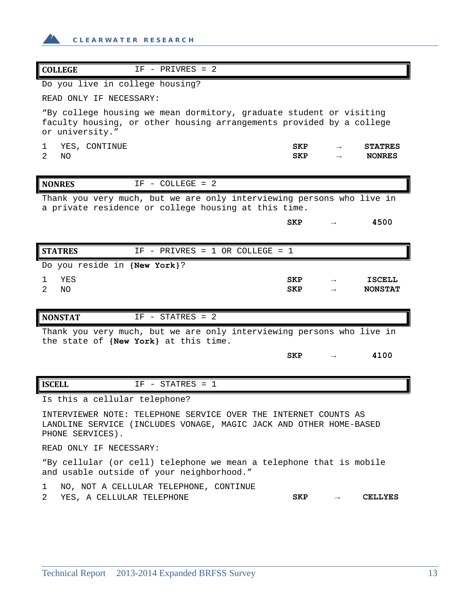

| <b>COLLEGE</b><br>$IF - PRIVRES = 2$                                                                                                                           |                          |                                 |
|----------------------------------------------------------------------------------------------------------------------------------------------------------------|--------------------------|---------------------------------|
| Do you live in college housing?                                                                                                                                |                          |                                 |
| READ ONLY IF NECESSARY:                                                                                                                                        |                          |                                 |
| "By college housing we mean dormitory, graduate student or visiting<br>faculty housing, or other housing arrangements provided by a college<br>or university." |                          |                                 |
| YES, CONTINUE<br>1<br>2<br>NO                                                                                                                                  | SKP<br><b>SKP</b>        | <b>STATRES</b><br><b>NONRES</b> |
| <b>NONRES</b><br>$IF - COLLEGE = 2$                                                                                                                            |                          |                                 |
| Thank you very much, but we are only interviewing persons who live in<br>a private residence or college housing at this time.                                  |                          |                                 |
|                                                                                                                                                                | <b>SKP</b>               | 4500                            |
|                                                                                                                                                                |                          |                                 |
| <b>STATRES</b><br>$IF - PRIVRES = 1 OR COLLEGE = 1$                                                                                                            |                          |                                 |
| Do you reside in {New York}?                                                                                                                                   |                          |                                 |
| YES<br>1<br>2<br>NO.                                                                                                                                           | <b>SKP</b><br><b>SKP</b> | <b>ISCELL</b><br><b>NONSTAT</b> |
|                                                                                                                                                                |                          |                                 |
| <b>NONSTAT</b><br>$IF - STATRES = 2$                                                                                                                           |                          |                                 |
| Thank you very much, but we are only interviewing persons who live in                                                                                          |                          |                                 |
| the state of (New York) at this time.                                                                                                                          | SKP                      | 4100                            |
|                                                                                                                                                                |                          |                                 |
| <b>ISCELL</b><br>$IF - STATRES = 1$                                                                                                                            |                          |                                 |
| Is this a cellular telephone?                                                                                                                                  |                          |                                 |
| INTERVIEWER NOTE: TELEPHONE SERVICE OVER THE INTERNET COUNTS AS<br>LANDLINE SERVICE (INCLUDES VONAGE, MAGIC JACK AND OTHER HOME-BASED<br>PHONE SERVICES).      |                          |                                 |
| READ ONLY IF NECESSARY:                                                                                                                                        |                          |                                 |
| "By cellular (or cell) telephone we mean a telephone that is mobile<br>and usable outside of your neighborhood."                                               |                          |                                 |
| NO, NOT A CELLULAR TELEPHONE, CONTINUE<br>1<br>2<br>YES, A CELLULAR TELEPHONE                                                                                  | SKP                      | <b>CELLYES</b>                  |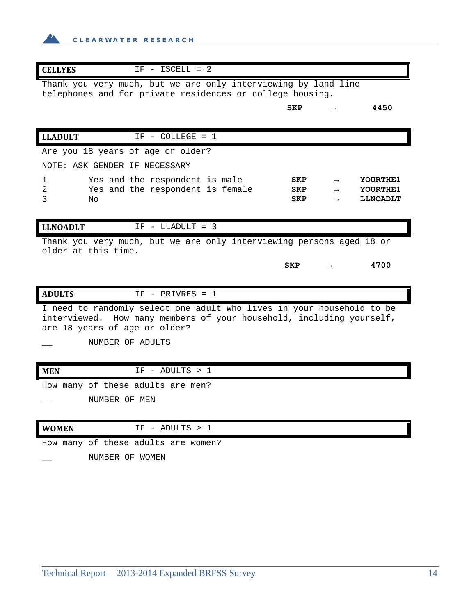

| <b>CELLYES</b>                    | $IF - ISCELL = 2$                                                                                                                             |                   |                                  |
|-----------------------------------|-----------------------------------------------------------------------------------------------------------------------------------------------|-------------------|----------------------------------|
|                                   | Thank you very much, but we are only interviewing by land line<br>telephones and for private residences or college housing.                   |                   |                                  |
|                                   |                                                                                                                                               | <b>SKP</b>        | 4450                             |
| <b>LLADULT</b>                    | $IF - COLLEGE = 1$                                                                                                                            |                   |                                  |
| Are you 18 years of age or older? |                                                                                                                                               |                   |                                  |
| NOTE: ASK GENDER IF NECESSARY     |                                                                                                                                               |                   |                                  |
| 1<br>2<br>3<br>No                 | Yes and the respondent is male<br>Yes and the respondent is female                                                                            | SKP<br>SKP<br>SKP | YOURTHE1<br>YOURTHE1<br>LLNOADLT |
| <b>LLNOADLT</b>                   | $IF - LLADULT = 3$                                                                                                                            |                   |                                  |
| older at this time.               | Thank you very much, but we are only interviewing persons aged 18 or                                                                          |                   |                                  |
|                                   |                                                                                                                                               | <b>SKP</b>        | 4700                             |
| <b>ADULTS</b>                     | $IF - PRIVRES = 1$                                                                                                                            |                   |                                  |
| are 18 years of age or older?     | I need to randomly select one adult who lives in your household to be<br>interviewed. How many members of your household, including yourself, |                   |                                  |
| NUMBER OF ADULTS                  |                                                                                                                                               |                   |                                  |
| <b>MEN</b>                        | $IF - ADULTS > 1$                                                                                                                             |                   |                                  |
| How many of these adults are men? |                                                                                                                                               |                   |                                  |
| NUMBER OF MEN                     |                                                                                                                                               |                   |                                  |
| <b>WOMEN</b>                      | $IF - ADULTS > 1$                                                                                                                             |                   |                                  |

How many of these adults are women?

\_\_ NUMBER OF WOMEN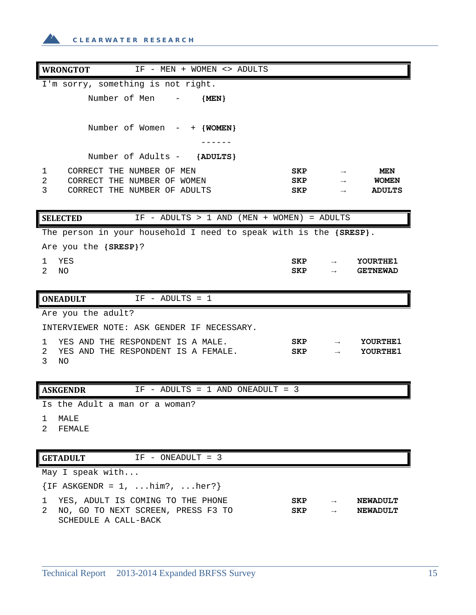**CLEARWATER RESEARCH**

| <b>WRONGTOT</b><br>IF - MEN + WOMEN <> ADULTS                     |             |               |                 |
|-------------------------------------------------------------------|-------------|---------------|-----------------|
| I'm sorry, something is not right.                                |             |               |                 |
| Number of Men - {MEN}                                             |             |               |                 |
|                                                                   |             |               |                 |
| Number of Women $-$ + {WOMEN}                                     |             |               |                 |
|                                                                   |             |               |                 |
| Number of Adults - {ADULTS}                                       |             |               |                 |
| CORRECT THE NUMBER OF MEN<br>1                                    | SKP         |               | MEN             |
| 2<br>CORRECT THE NUMBER OF WOMEN                                  | SKP         | $\rightarrow$ | <b>WOMEN</b>    |
| 3<br>CORRECT THE NUMBER OF ADULTS                                 | <b>SKP</b>  | $\rightarrow$ | <b>ADULTS</b>   |
| IF - ADULTS > 1 AND (MEN + WOMEN) = ADULTS<br><b>SELECTED</b>     |             |               |                 |
| The person in your household I need to speak with is the {SRESP}. |             |               |                 |
| Are you the {SRESP}?                                              |             |               |                 |
| YES<br>1.                                                         | ${\tt SKP}$ |               | YOURTHE1        |
| 2<br>NO                                                           | SKP         | $\rightarrow$ | <b>GETNEWAD</b> |
|                                                                   |             |               |                 |
| <b>ONEADULT</b><br>$IF - ADULTS = 1$                              |             |               |                 |
| Are you the adult?                                                |             |               |                 |
| INTERVIEWER NOTE: ASK GENDER IF NECESSARY.                        |             |               |                 |
| YES AND THE RESPONDENT IS A MALE.<br>1                            | <b>SKP</b>  |               | YOURTHE1        |
| 2<br>YES AND THE RESPONDENT IS A FEMALE.<br>$\mathbf{3}$<br>NO    | <b>SKP</b>  |               | YOURTHE1        |
|                                                                   |             |               |                 |
| <b>ASKGENDR</b><br>IF - ADULTS = $1$ AND ONEADULT = 3             |             |               |                 |
| Is the Adult a man or a woman?                                    |             |               |                 |
| MALE<br>1                                                         |             |               |                 |
| 2<br>FEMALE                                                       |             |               |                 |
|                                                                   |             |               |                 |
| $IF - ONEADULT = 3$<br><b>GETADULT</b>                            |             |               |                 |

May I speak with...

 ${IF AKGENDR = 1, ...him?, ...her?}$ 

1 YES, ADULT IS COMING TO THE PHONE **SKP → NEWADULT** 2 NO, GO TO NEXT SCREEN, PRESS F3 TO SCHEDULE A CALL-BACK **SKP → NEWADULT**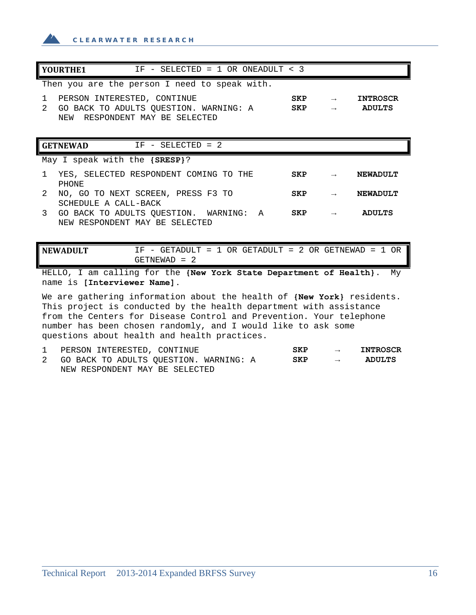

| YOURTHE1<br>IF - SELECTED = $1$ OR ONEADULT < 3                                                                                           |  |            |               |                 |  |  |
|-------------------------------------------------------------------------------------------------------------------------------------------|--|------------|---------------|-----------------|--|--|
| Then you are the person I need to speak with.                                                                                             |  |            |               |                 |  |  |
| PERSON INTERESTED, CONTINUE<br>1                                                                                                          |  | <b>SKP</b> | $\rightarrow$ | <b>INTROSCR</b> |  |  |
| $2^{1}$<br>GO BACK TO ADULTS QUESTION. WARNING: A<br>RESPONDENT MAY BE SELECTED<br>NEW                                                    |  | <b>SKP</b> |               | <b>ADULTS</b>   |  |  |
|                                                                                                                                           |  |            |               |                 |  |  |
| $IF - SELECTED = 2$<br><b>GETNEWAD</b>                                                                                                    |  |            |               |                 |  |  |
| May I speak with the {SRESP}?                                                                                                             |  |            |               |                 |  |  |
| YES, SELECTED RESPONDENT COMING TO THE<br>1                                                                                               |  | <b>SKP</b> | $\rightarrow$ | <b>NEWADULT</b> |  |  |
| PHONE<br>$\mathcal{L}$                                                                                                                    |  | <b>SKP</b> |               | NEWADULT        |  |  |
| NO, GO TO NEXT SCREEN, PRESS F3 TO<br>SCHEDULE A CALL-BACK                                                                                |  |            |               |                 |  |  |
| 3<br>GO BACK TO ADULTS QUESTION. WARNING: A                                                                                               |  | <b>SKP</b> |               | <b>ADULTS</b>   |  |  |
| NEW RESPONDENT MAY BE SELECTED                                                                                                            |  |            |               |                 |  |  |
|                                                                                                                                           |  |            |               |                 |  |  |
| IF - GETADULT = 1 OR GETADULT = 2 OR GETNEWAD = 1 OR<br><b>NEWADULT</b>                                                                   |  |            |               |                 |  |  |
| $GETNEWAD = 2$                                                                                                                            |  |            |               |                 |  |  |
| HELLO, I am calling for the {New York State Department of Health}.<br>Mv<br>name is [Interviewer Name].                                   |  |            |               |                 |  |  |
| We are gathering information about the health of (New York) residents.                                                                    |  |            |               |                 |  |  |
| This project is conducted by the health department with assistance<br>from the Conters for Digeora Control and Drevention, Vous tolenhone |  |            |               |                 |  |  |

from the Centers for Disease Control and Prevention. Your telephone number has been chosen randomly, and I would like to ask some questions about health and health practices.

| PERSON INTERESTED, CONTINUE              | <b>SKP</b> |                   | <b>INTROSCR</b> |
|------------------------------------------|------------|-------------------|-----------------|
| 2 GO BACK TO ADULTS OUESTION. WARNING: A | SKP        | $\longrightarrow$ | <b>ADULTS</b>   |
| NEW RESPONDENT MAY BE SELECTED           |            |                   |                 |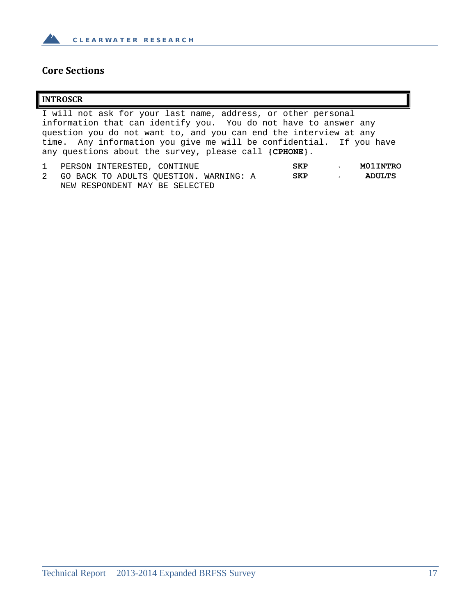

### **Core Sections**

#### **INTROSCR**

I will not ask for your last name, address, or other personal information that can identify you. You do not have to answer any question you do not want to, and you can end the interview at any time. Any information you give me will be confidential. If you have any questions about the survey, please call **{CPHONE}**.

| 1 PERSON INTERESTED, CONTINUE            | SKP | $\longrightarrow$ | <b>MO1INTRO</b> |
|------------------------------------------|-----|-------------------|-----------------|
| 2 GO BACK TO ADULTS OUESTION. WARNING: A | SKP | $\longrightarrow$ | ADULTS          |
| NEW RESPONDENT MAY BE SELECTED           |     |                   |                 |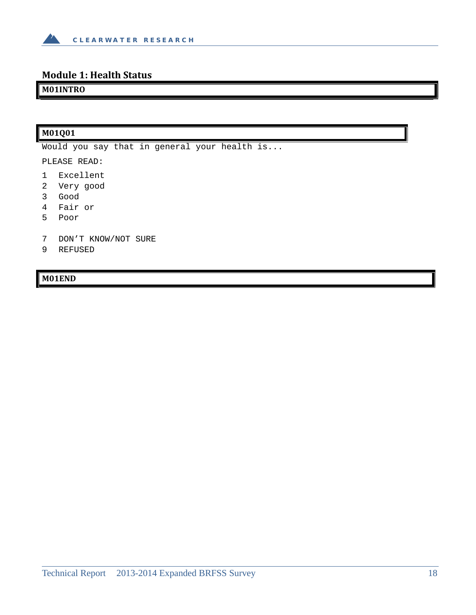

## **Module 1: Health Status**

**M01INTRO**

## **M01Q01**

Would you say that in general your health is...

PLEASE READ:

- 1 Excellent
- 2 Very good
- 3 Good
- 4 Fair or
- 5 Poor
- 7 DON'T KNOW/NOT SURE
- 9 REFUSED

#### **M01END**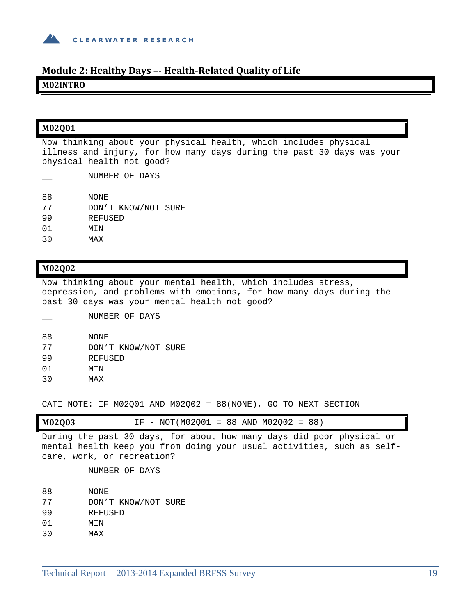

#### **Module 2: Healthy Days –‐ Health‐Related Quality of Life**

**M02INTRO**

#### **M02Q01**

Now thinking about your physical health, which includes physical illness and injury, for how many days during the past 30 days was your physical health not good?

NUMBER OF DAYS

- 88 NONE
- 77 DON'T KNOW/NOT SURE
- 99 REFUSED
- 01 MIN
- 30 MAX

#### **M02Q02**

Now thinking about your mental health, which includes stress, depression, and problems with emotions, for how many days during the past 30 days was your mental health not good?

NUMBER OF DAYS

- 88 NONE
- 77 DON'T KNOW/NOT SURE
- 99 REFUSED
- 01 MIN
- 30 MAX

CATI NOTE: IF M02Q01 AND M02Q02 = 88(NONE), GO TO NEXT SECTION

|        | --   |             |        |     |        |     |    |
|--------|------|-------------|--------|-----|--------|-----|----|
| M02Q03 | -- - | NOT (M02001 | $= 88$ | AND | M02002 | $=$ | 88 |

During the past 30 days, for about how many days did poor physical or mental health keep you from doing your usual activities, such as selfcare, work, or recreation?

NUMBER OF DAYS

- 88 NONE
- 77 DON'T KNOW/NOT SURE
- 99 REFUSED
- 01 MIN
- 30 MAX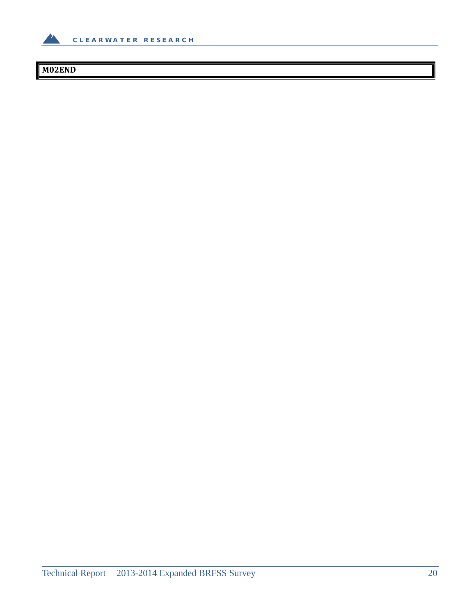

## **M02END**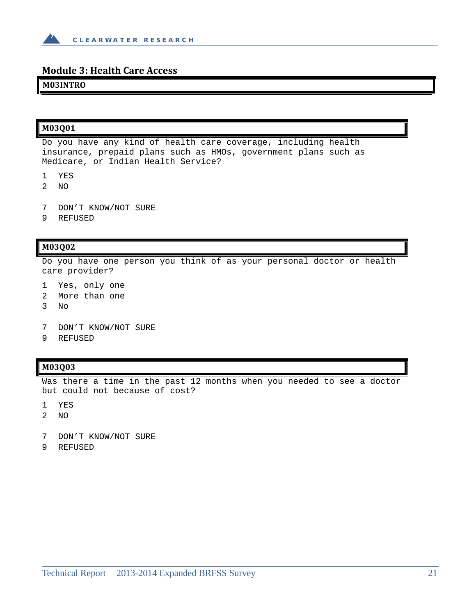

#### **Module 3: Health Care Access**

#### **M03INTRO**

#### **M03Q01**

Do you have any kind of health care coverage, including health insurance, prepaid plans such as HMOs, government plans such as Medicare, or Indian Health Service?

- 1 YES
- 2 NO
- 7 DON'T KNOW/NOT SURE
- 9 REFUSED

#### **M03Q02**

Do you have one person you think of as your personal doctor or health care provider?

- 1 Yes, only one
- 2 More than one
- 3 No
- 7 DON'T KNOW/NOT SURE
- 9 REFUSED

#### **M03Q03**

Was there a time in the past 12 months when you needed to see a doctor but could not because of cost?

- 1 YES
- 2 NO
- 7 DON'T KNOW/NOT SURE
- 9 REFUSED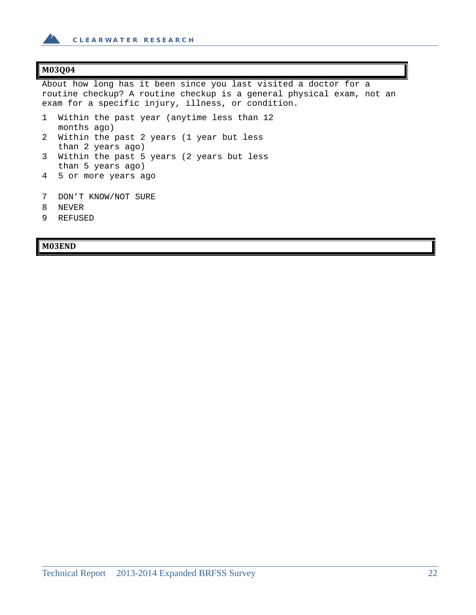

#### **M03Q04**

About how long has it been since you last visited a doctor for a routine checkup? A routine checkup is a general physical exam, not an exam for a specific injury, illness, or condition.

- 1 Within the past year (anytime less than 12 months ago)
- 2 Within the past 2 years (1 year but less than 2 years ago)
- 3 Within the past 5 years (2 years but less than 5 years ago)
- 4 5 or more years ago
- 7 DON'T KNOW/NOT SURE
- 8 NEVER
- 9 REFUSED

#### **M03END**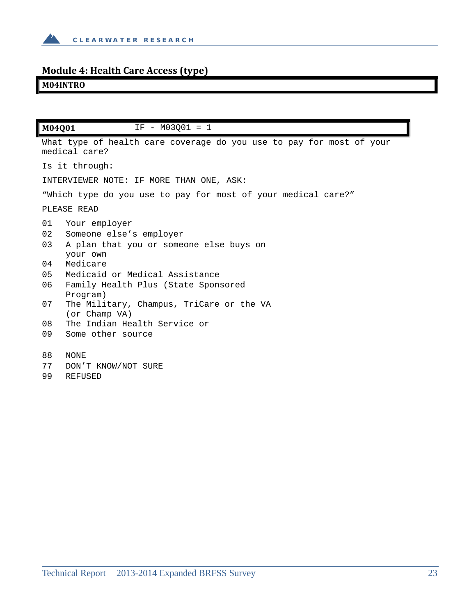

## **Module 4: Health Care Access (type)**

## **M04INTRO**

| M04Q01                           | $IF - M03001 = 1$                                                                                                                                                                                |
|----------------------------------|--------------------------------------------------------------------------------------------------------------------------------------------------------------------------------------------------|
|                                  | What type of health care coverage do you use to pay for most of your<br>medical care?                                                                                                            |
|                                  | Is it through:                                                                                                                                                                                   |
|                                  | INTERVIEWER NOTE: IF MORE THAN ONE, ASK:                                                                                                                                                         |
|                                  | "Which type do you use to pay for most of your medical care?"                                                                                                                                    |
|                                  | PLEASE READ                                                                                                                                                                                      |
| 01<br>02<br>03<br>04<br>05<br>06 | Your employer<br>Someone else's employer<br>A plan that you or someone else buys on<br>your own<br>Medicare<br>Medicaid or Medical Assistance<br>Family Health Plus (State Sponsored<br>Program) |
| 07                               | The Military, Champus, TriCare or the VA<br>(or Champ VA)                                                                                                                                        |
| 08                               | The Indian Health Service or                                                                                                                                                                     |
| 09                               | Some other source                                                                                                                                                                                |
| 88                               | NONE                                                                                                                                                                                             |
| 77                               | DON'T KNOW/NOT SURE                                                                                                                                                                              |

99 REFUSED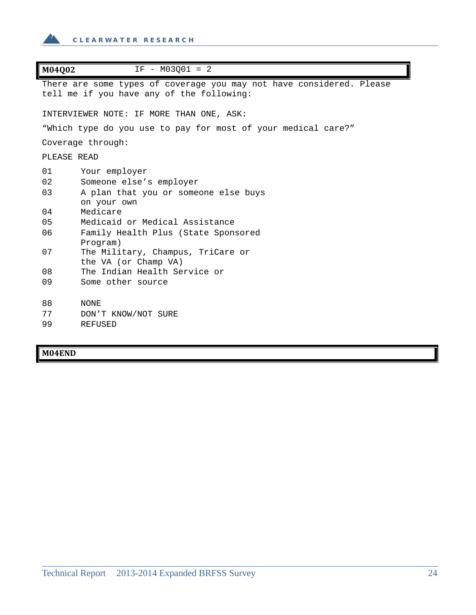

| $IF - M03001 = 2$<br>M04Q02                                                                                       |  |
|-------------------------------------------------------------------------------------------------------------------|--|
| There are some types of coverage you may not have considered. Please<br>tell me if you have any of the following: |  |
| INTERVIEWER NOTE: IF MORE THAN ONE, ASK:                                                                          |  |
| "Which type do you use to pay for most of your medical care?"                                                     |  |
| Coverage through:                                                                                                 |  |
| PLEASE READ                                                                                                       |  |
| 01<br>Your employer                                                                                               |  |
| 02<br>Someone else's employer                                                                                     |  |
| 03<br>A plan that you or someone else buys                                                                        |  |
| on your own                                                                                                       |  |
| 04<br>Medicare                                                                                                    |  |
| Medicaid or Medical Assistance<br>05                                                                              |  |
| 06<br>Family Health Plus (State Sponsored                                                                         |  |
| Program)                                                                                                          |  |
| 07<br>The Military, Champus, TriCare or                                                                           |  |
| the VA (or Champ VA)                                                                                              |  |
| 08<br>The Indian Health Service or                                                                                |  |
| 09<br>Some other source                                                                                           |  |
|                                                                                                                   |  |
| 88<br><b>NONE</b>                                                                                                 |  |
| 77<br>DON'T KNOW/NOT SURE                                                                                         |  |
| 99<br><b>REFUSED</b>                                                                                              |  |

**M04END**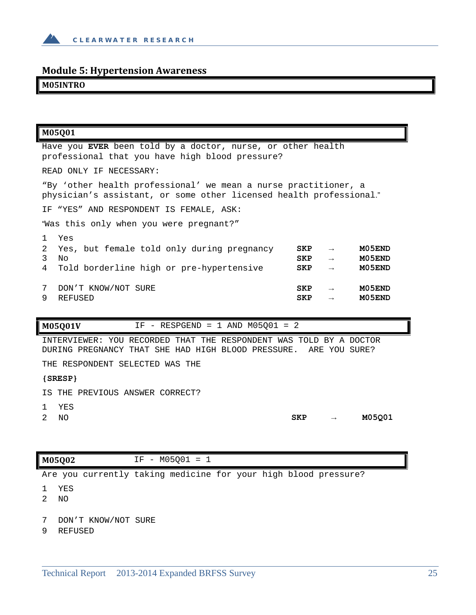

### **Module 5: Hypertension Awareness**

#### **M05INTRO**

| M05Q01                                                                                                                                 |                   |                                                 |                            |
|----------------------------------------------------------------------------------------------------------------------------------------|-------------------|-------------------------------------------------|----------------------------|
| Have you EVER been told by a doctor, nurse, or other health<br>professional that you have high blood pressure?                         |                   |                                                 |                            |
| READ ONLY IF NECESSARY:                                                                                                                |                   |                                                 |                            |
| "By 'other health professional' we mean a nurse practitioner, a<br>physician's assistant, or some other licensed health professional." |                   |                                                 |                            |
| IF "YES" AND RESPONDENT IS FEMALE, ASK:                                                                                                |                   |                                                 |                            |
| "Was this only when you were pregnant?"                                                                                                |                   |                                                 |                            |
| Yes<br>$\mathbf{1}$<br>2<br>Yes, but female told only during pregnancy<br>3<br>No<br>Told borderline high or pre-hypertensive<br>4     | SKP<br>SKP<br>SKP | $\rightarrow$<br>$\rightarrow$<br>$\rightarrow$ | M05END<br>M05END<br>M05END |
| 7<br>DON'T KNOW/NOT SURE<br>9<br>REFUSED                                                                                               | <b>SKP</b><br>SKP | $\rightarrow$                                   | M05END<br>M05END           |

**M05Q01V** IF - RESPGEND = 1 AND M05Q01 = 2

INTERVIEWER: YOU RECORDED THAT THE RESPONDENT WAS TOLD BY A DOCTOR DURING PREGNANCY THAT SHE HAD HIGH BLOOD PRESSURE. ARE YOU SURE?

THE RESPONDENT SELECTED WAS THE

#### **{SRESP}**

IS THE PREVIOUS ANSWER CORRECT?

- 1 YES
- 

2 NO **SKP → M05Q01**

**M05Q02** IF - M05Q01 = 1

Are you currently taking medicine for your high blood pressure?

- 1 YES
- 2 NO
- 7 DON'T KNOW/NOT SURE
- 9 REFUSED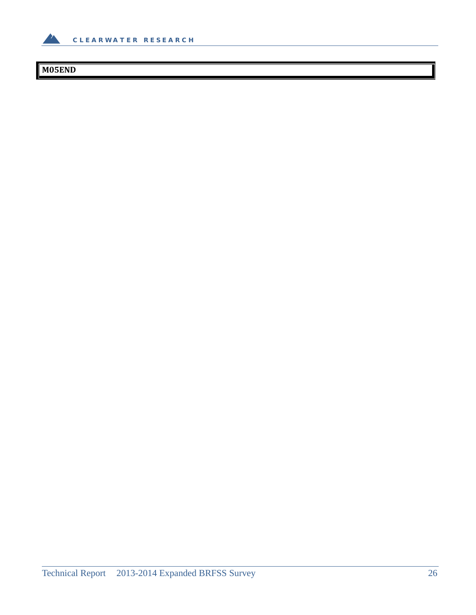

## **M05END**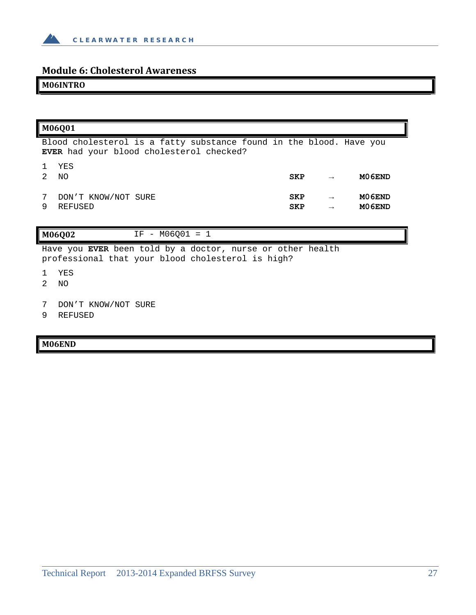

### **Module 6: Cholesterol Awareness**

#### **M06INTRO**

#### **M06Q01**

Blood cholesterol is a fatty substance found in the blood. Have you **EVER** had your blood cholesterol checked?

| $\mathbf{1}$ | YES                 |            |               |        |
|--------------|---------------------|------------|---------------|--------|
| 2            | ΝO                  | <b>SKP</b> | $\rightarrow$ | M06END |
|              |                     |            |               |        |
| 7            | DON'T KNOW/NOT SURE | <b>SKP</b> | $\rightarrow$ | M06END |
| 9            | REFUSED             | <b>SKP</b> | $\rightarrow$ | M06END |

#### **M06Q02** IF - M06Q01 = 1

Have you **EVER** been told by a doctor, nurse or other health professional that your blood cholesterol is high?

- 1 YES
- 2 NO
- 7 DON'T KNOW/NOT SURE
- 9 REFUSED

#### **M06END**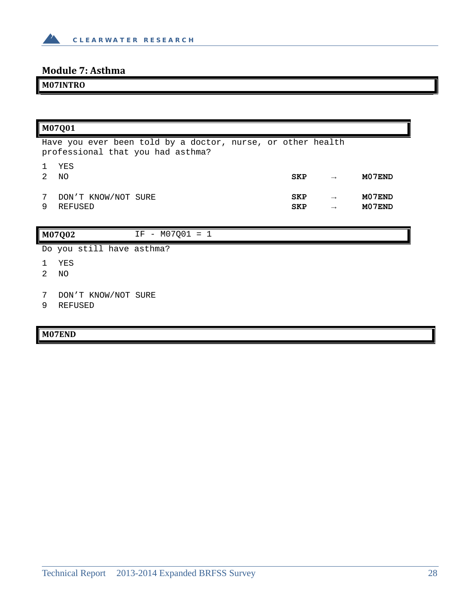

## **Module 7: Asthma**

## **M07INTRO**

|                                                                                                  | M07Q01                                |                   |                          |                                |                  |
|--------------------------------------------------------------------------------------------------|---------------------------------------|-------------------|--------------------------|--------------------------------|------------------|
| Have you ever been told by a doctor, nurse, or other health<br>professional that you had asthma? |                                       |                   |                          |                                |                  |
| 1<br>$\mathcal{L}$                                                                               | YES<br>NO.                            |                   | <b>SKP</b>               |                                | M07END           |
| 7<br>9                                                                                           | DON'T KNOW/NOT SURE<br>REFUSED        |                   | <b>SKP</b><br><b>SKP</b> | $\rightarrow$<br>$\rightarrow$ | M07END<br>M07END |
|                                                                                                  | M07Q02                                | $IF - M07Q01 = 1$ |                          |                                |                  |
|                                                                                                  | Do you still have asthma?             |                   |                          |                                |                  |
| $\mathcal{L}$                                                                                    | YES<br>NO.                            |                   |                          |                                |                  |
| 7<br>9                                                                                           | DON'T KNOW/NOT SURE<br><b>REFUSED</b> |                   |                          |                                |                  |

## **M07END**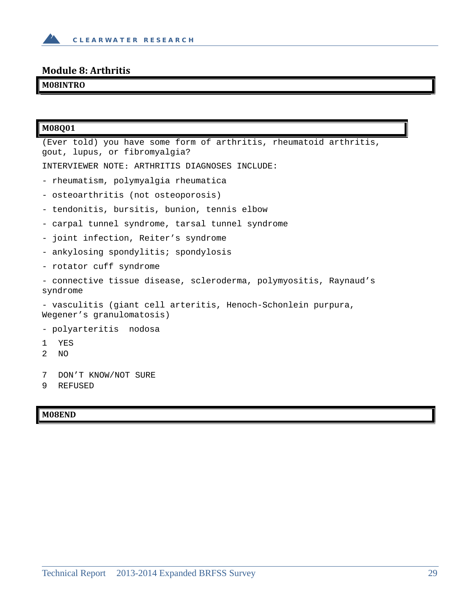

## **Module 8: Arthritis**

## **M08INTRO**

| M08Q01                                                                                              |  |  |
|-----------------------------------------------------------------------------------------------------|--|--|
| (Ever told) you have some form of arthritis, rheumatoid arthritis,<br>gout, lupus, or fibromyalgia? |  |  |
| INTERVIEWER NOTE: ARTHRITIS DIAGNOSES INCLUDE:                                                      |  |  |
| - rheumatism, polymyalgia rheumatica                                                                |  |  |
| - osteoarthritis (not osteoporosis)                                                                 |  |  |
| - tendonitis, bursitis, bunion, tennis elbow                                                        |  |  |
| - carpal tunnel syndrome, tarsal tunnel syndrome                                                    |  |  |
| - joint infection, Reiter's syndrome                                                                |  |  |
| - ankylosing spondylitis; spondylosis                                                               |  |  |
| - rotator cuff syndrome                                                                             |  |  |
| - connective tissue disease, scleroderma, polymyositis, Raynaud's<br>syndrome                       |  |  |
| - vasculitis (giant cell arteritis, Henoch-Schonlein purpura,<br>Wegener's granulomatosis)          |  |  |
| - polyarteritis nodosa                                                                              |  |  |
| YES<br>1<br>2<br>ΝO                                                                                 |  |  |
|                                                                                                     |  |  |
| 7<br>DON'T KNOW/NOT SURE<br>9<br><b>REFUSED</b>                                                     |  |  |
|                                                                                                     |  |  |

## **M08END**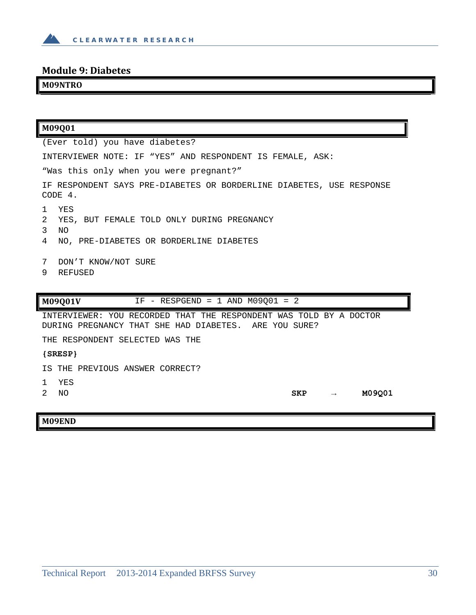

## **Module 9: Diabetes**

## **M09NTRO**

| M09001                                                                                                                                    |  |  |
|-------------------------------------------------------------------------------------------------------------------------------------------|--|--|
| (Ever told) you have diabetes?                                                                                                            |  |  |
| INTERVIEWER NOTE: IF "YES" AND RESPONDENT IS FEMALE, ASK:                                                                                 |  |  |
| "Was this only when you were pregnant?"                                                                                                   |  |  |
| IF RESPONDENT SAYS PRE-DIABETES OR BORDERLINE DIABETES, USE RESPONSE<br>CODE 4.                                                           |  |  |
| <b>YES</b><br>1<br>2<br>YES, BUT FEMALE TOLD ONLY DURING PREGNANCY<br>3<br>N <sub>O</sub><br>NO, PRE-DIABETES OR BORDERLINE DIABETES<br>4 |  |  |
| 7<br>DON'T KNOW/NOT SURE<br>9<br><b>REFUSED</b>                                                                                           |  |  |
| IF - RESPGEND = 1 AND $M09Q01 = 2$<br>M09Q01V                                                                                             |  |  |
| INTERVIEWER: YOU RECORDED THAT THE RESPONDENT WAS TOLD BY A DOCTOR<br>DURING PREGNANCY THAT SHE HAD DIABETES. ARE YOU SURE?               |  |  |
| THE RESPONDENT SELECTED WAS THE                                                                                                           |  |  |
| ${SREF}$                                                                                                                                  |  |  |
| IS THE PREVIOUS ANSWER CORRECT?                                                                                                           |  |  |
| YES<br>$\mathbf{1}$<br>M09Q01<br>$\mathfrak{D}$<br>NO.<br>SKP                                                                             |  |  |
| M09END                                                                                                                                    |  |  |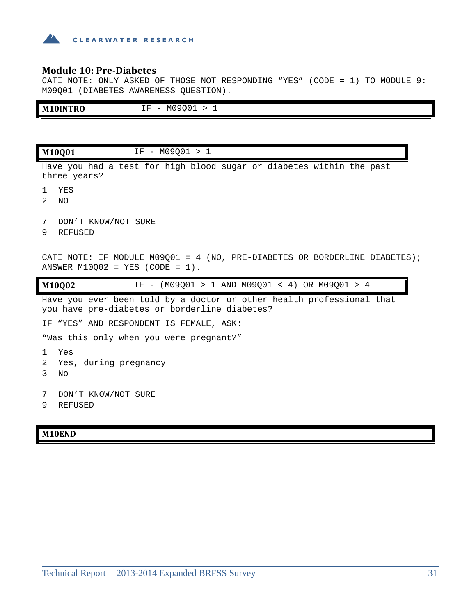

#### **Module 10: Pre‐Diabetes**

CATI NOTE: ONLY ASKED OF THOSE NOT RESPONDING "YES" (CODE = 1) TO MODULE 9: M09Q01 (DIABETES AWARENESS QUESTION).

| IF - M09001 > 1<br>M10INTRO                                                                                            |  |  |
|------------------------------------------------------------------------------------------------------------------------|--|--|
|                                                                                                                        |  |  |
| IF - M09001 > 1<br>M10Q01                                                                                              |  |  |
| Have you had a test for high blood sugar or diabetes within the past<br>three years?                                   |  |  |
| <b>YES</b><br>Т.<br>2<br>NO.                                                                                           |  |  |
| DON'T KNOW/NOT SURE<br>7<br><b>REFUSED</b><br>9                                                                        |  |  |
| CATI NOTE: IF MODULE M09Q01 = 4 (NO, PRE-DIABETES OR BORDERLINE DIABETES);<br>ANSWER M10002 = YES (CODE = $1$ ).       |  |  |
| M10Q02<br>IF - (M09Q01 > 1 AND M09Q01 < 4) OR M09Q01 > 4                                                               |  |  |
| Have you ever been told by a doctor or other health professional that<br>you have pre-diabetes or borderline diabetes? |  |  |
| IF "YES" AND RESPONDENT IS FEMALE, ASK:                                                                                |  |  |
| "Was this only when you were pregnant?"                                                                                |  |  |
| Yes<br>$\mathbf{1}$<br>Yes, during pregnancy<br>2<br>3<br>No                                                           |  |  |
| 7<br>DON'T KNOW/NOT SURE<br>9<br><b>REFUSED</b>                                                                        |  |  |

#### **M10END**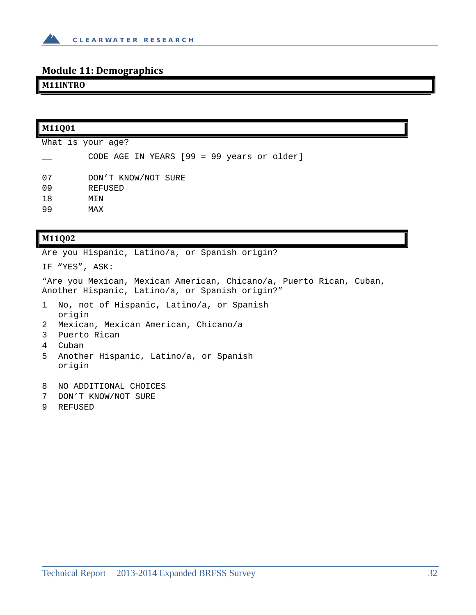

### **Module 11: Demographics**

#### **M11INTRO**

| M11Q01 |                                            |  |
|--------|--------------------------------------------|--|
|        | What is your age?                          |  |
|        | CODE AGE IN YEARS [99 = 99 years or older] |  |
| 07     | DON'T KNOW/NOT SURE                        |  |
| 09     | <b>REFUSED</b>                             |  |
| 18     | MIN                                        |  |
| 99     | MAX                                        |  |

#### **M11Q02**

Are you Hispanic, Latino/a, or Spanish origin?

IF "YES", ASK:

"Are you Mexican, Mexican American, Chicano/a, Puerto Rican, Cuban, Another Hispanic, Latino/a, or Spanish origin?"

- 1 No, not of Hispanic, Latino/a, or Spanish origin
- 2 Mexican, Mexican American, Chicano/a
- 3 Puerto Rican
- 4 Cuban
- 5 Another Hispanic, Latino/a, or Spanish origin
- 8 NO ADDITIONAL CHOICES
- 7 DON'T KNOW/NOT SURE
- 9 REFUSED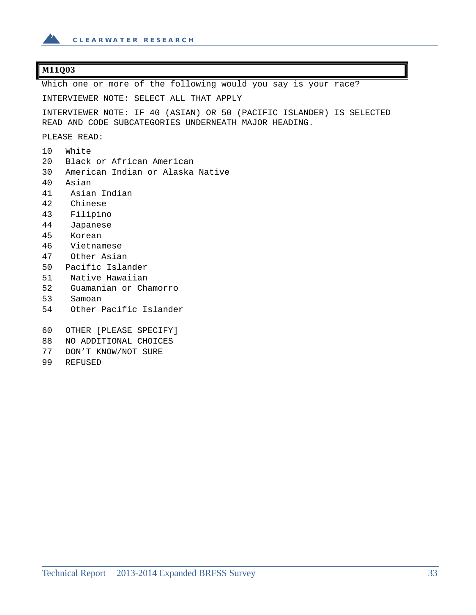

#### **M11Q03**

Which one or more of the following would you say is your race?

INTERVIEWER NOTE: SELECT ALL THAT APPLY

INTERVIEWER NOTE: IF 40 (ASIAN) OR 50 (PACIFIC ISLANDER) IS SELECTED READ AND CODE SUBCATEGORIES UNDERNEATH MAJOR HEADING.

PLEASE READ:

- 10 White 20 Black or African American 30 American Indian or Alaska Native 40 Asian 41 Asian Indian 42 Chinese 43 Filipino 44 Japanese 45 Korean 46 Vietnamese 47 Other Asian 50 Pacific Islander 51 Native Hawaiian 52 Guamanian or Chamorro 53 Samoan 54 Other Pacific Islander 60 OTHER [PLEASE SPECIFY] 88 NO ADDITIONAL CHOICES 77 DON'T KNOW/NOT SURE
- 99 REFUSED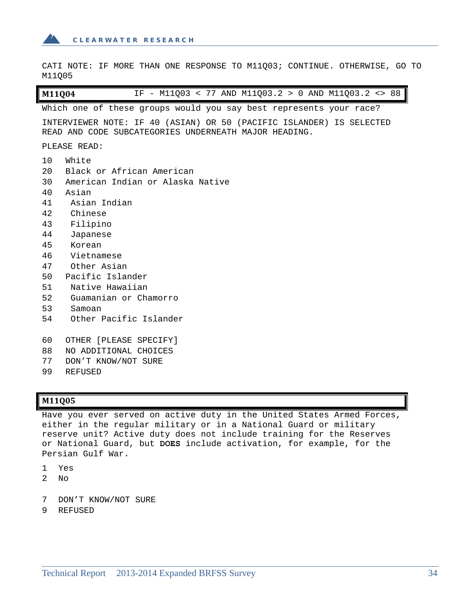

CATI NOTE: IF MORE THAN ONE RESPONSE TO M11Q03; CONTINUE. OTHERWISE, GO TO M11Q05

**M11Q04** IF - M11Q03 < 77 AND M11Q03.2 > 0 AND M11Q03.2 <> 88

Which one of these groups would you say best represents your race?

INTERVIEWER NOTE: IF 40 (ASIAN) OR 50 (PACIFIC ISLANDER) IS SELECTED READ AND CODE SUBCATEGORIES UNDERNEATH MAJOR HEADING.

PLEASE READ:

- 10 White 20 Black or African American 30 American Indian or Alaska Native 40 Asian 41 Asian Indian 42 Chinese 43 Filipino 44 Japanese 45 Korean 46 Vietnamese 47 Other Asian 50 Pacific Islander 51 Native Hawaiian 52 Guamanian or Chamorro 53 Samoan 54 Other Pacific Islander
- 60 OTHER [PLEASE SPECIFY]
- 88 NO ADDITIONAL CHOICES
- 77 DON'T KNOW/NOT SURE
- 99 REFUSED

#### **M11Q05**

Have you ever served on active duty in the United States Armed Forces, either in the regular military or in a National Guard or military reserve unit? Active duty does not include training for the Reserves or National Guard, but **DOES** include activation, for example, for the Persian Gulf War.

- 1 Yes
- 2  $N<sub>O</sub>$
- 7 DON'T KNOW/NOT SURE
- 9 REFUSED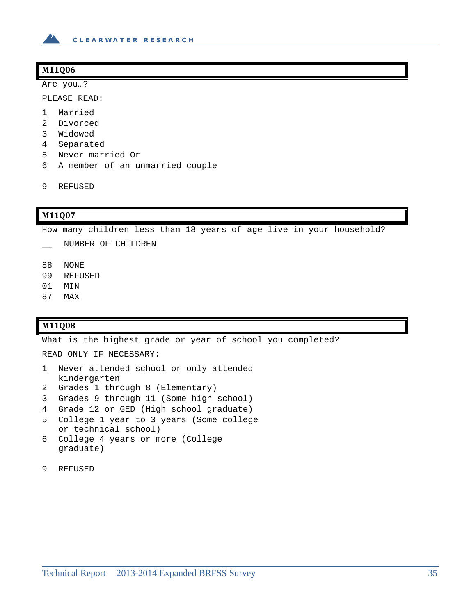

#### **M11Q06**

Are you…?

PLEASE READ:

- 1 Married
- 2 Divorced
- 3 Widowed
- 4 Separated
- 5 Never married Or
- 6 A member of an unmarried couple
- 9 REFUSED

#### **M11Q07**

How many children less than 18 years of age live in your household?

- \_\_ NUMBER OF CHILDREN
- 88 NONE
- 99 REFUSED
- 01 MIN
- 87 MAX

#### **M11Q08**

What is the highest grade or year of school you completed?

READ ONLY IF NECESSARY:

- 1 Never attended school or only attended kindergarten
- 2 Grades 1 through 8 (Elementary)
- 3 Grades 9 through 11 (Some high school)
- 4 Grade 12 or GED (High school graduate)
- 5 College 1 year to 3 years (Some college or technical school)
- 6 College 4 years or more (College graduate)
- 9 REFUSED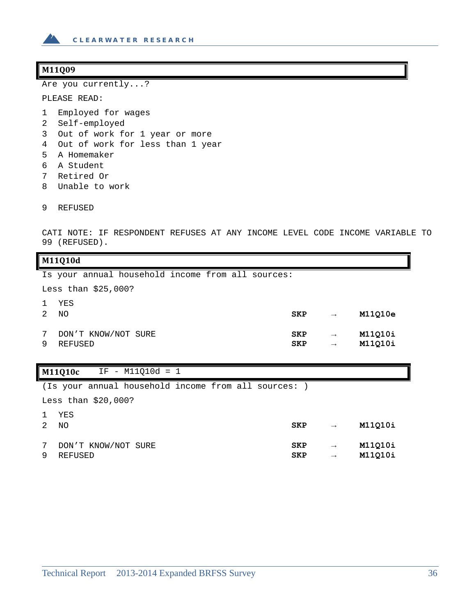

#### **M11Q09**

Are you currently...?

PLEASE READ:

- 1 Employed for wages
- 2 Self-employed
- 3 Out of work for 1 year or more
- 4 Out of work for less than 1 year
- 5 A Homemaker
- 6 A Student
- 7 Retired Or
- 8 Unable to work
- 9 REFUSED

CATI NOTE: IF RESPONDENT REFUSES AT ANY INCOME LEVEL CODE INCOME VARIABLE TO 99 (REFUSED).

#### **M11Q10d**

|        |           |                      | Is your annual household income from all sources: |  |  |                          |                                |                    |
|--------|-----------|----------------------|---------------------------------------------------|--|--|--------------------------|--------------------------------|--------------------|
|        |           | Less than $$25,000?$ |                                                   |  |  |                          |                                |                    |
|        | YES<br>NO |                      |                                                   |  |  | <b>SKP</b>               | $\rightarrow$                  | M11010e            |
| 7<br>9 | REFUSED   |                      | DON'T KNOW/NOT SURE                               |  |  | <b>SKP</b><br><b>SKP</b> | $\rightarrow$<br>$\rightarrow$ | M11Q10i<br>M11Q10i |

#### **M11Q10c** IF - M11Q10d = 1

(Is your annual household income from all sources: )

Less than \$20,000?

| 1 YES<br>$\sim$ |
|-----------------|
|-----------------|

| 2          | NO.                 | <b>SKP</b> | $\rightarrow$ | M11010i |
|------------|---------------------|------------|---------------|---------|
| $7\degree$ | DON'T KNOW/NOT SURE | <b>SKP</b> | $\rightarrow$ | M11010i |
| 9          | REFUSED             | <b>SKP</b> | $\rightarrow$ | M11010i |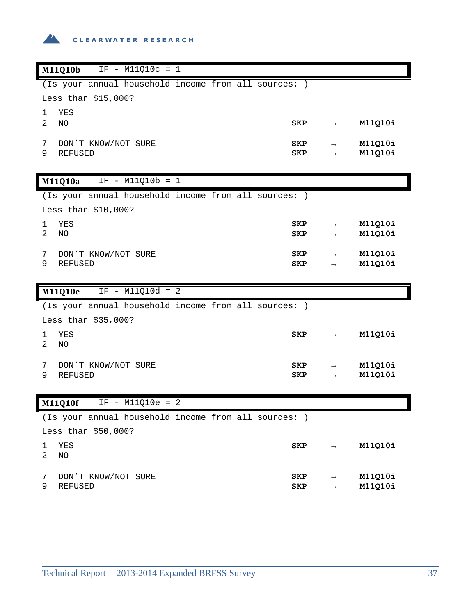

|                | M11Q10b                                              | $IF - M11Q10c = 1$ |  |            |               |         |
|----------------|------------------------------------------------------|--------------------|--|------------|---------------|---------|
|                | (Is your annual household income from all sources: ) |                    |  |            |               |         |
|                | Less than \$15,000?                                  |                    |  |            |               |         |
| 1              | YES                                                  |                    |  |            |               |         |
| 2              | NO                                                   |                    |  | <b>SKP</b> | $\rightarrow$ | M11Q10i |
| 7              | DON'T KNOW/NOT SURE                                  |                    |  | SKP        | $\rightarrow$ | M11Q10i |
| 9              | <b>REFUSED</b>                                       |                    |  | <b>SKP</b> |               | M11Q10i |
|                |                                                      |                    |  |            |               |         |
|                | M11Q10a                                              | $IF - M11Q10b = 1$ |  |            |               |         |
|                | (Is your annual household income from all sources: ) |                    |  |            |               |         |
|                | Less than \$10,000?                                  |                    |  |            |               |         |
| 1              | YES                                                  |                    |  | <b>SKP</b> | $\rightarrow$ | M11Q10i |
| 2              | NO                                                   |                    |  | <b>SKP</b> | $\rightarrow$ | M11Q10i |
| 7              | DON'T KNOW/NOT SURE                                  |                    |  | SKP        | $\rightarrow$ | M11Q10i |
| 9              | <b>REFUSED</b>                                       |                    |  | <b>SKP</b> | $\rightarrow$ | M11Q10i |
|                |                                                      |                    |  |            |               |         |
|                |                                                      |                    |  |            |               |         |
|                | M11Q10e                                              | $IF - M11Q10d = 2$ |  |            |               |         |
|                | (Is your annual household income from all sources: ) |                    |  |            |               |         |
|                | Less than \$35,000?                                  |                    |  |            |               |         |
| 1              | YES                                                  |                    |  | <b>SKP</b> |               | M11Q10i |
| $\overline{2}$ | NO                                                   |                    |  |            |               |         |
| 7              |                                                      |                    |  | SKP        | $\rightarrow$ | M11Q10i |
| 9              | DON'T KNOW/NOT SURE<br><b>REFUSED</b>                |                    |  | <b>SKP</b> | $\rightarrow$ | M11Q10i |
|                |                                                      |                    |  |            |               |         |
|                | M11Q10f                                              | $IF - M11Q10e = 2$ |  |            |               |         |
|                | (Is your annual household income from all sources: ) |                    |  |            |               |         |
|                | Less than \$50,000?                                  |                    |  |            |               |         |
| 1              | YES                                                  |                    |  | SKP        |               | M11Q10i |
| 2              | NO                                                   |                    |  |            |               |         |
| 7              | DON'T KNOW/NOT SURE                                  |                    |  | SKP        |               | M11Q10i |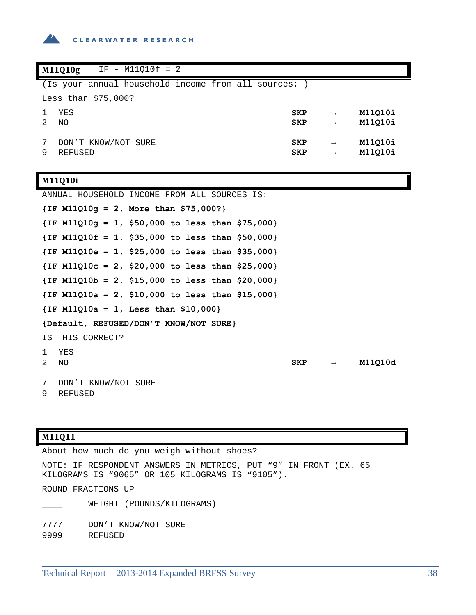

|   | $IF - M11Q10f = 2$<br>M11Q10g                      |                          |                                |                    |  |  |  |  |
|---|----------------------------------------------------|--------------------------|--------------------------------|--------------------|--|--|--|--|
|   | (Is your annual household income from all sources: |                          |                                |                    |  |  |  |  |
|   | Less than $$75,000?$                               |                          |                                |                    |  |  |  |  |
|   | YES                                                | <b>SKP</b>               | $\rightarrow$                  | M11010i            |  |  |  |  |
|   | NO                                                 | <b>SKP</b>               | $\rightarrow$                  | M11Q10i            |  |  |  |  |
|   |                                                    |                          |                                |                    |  |  |  |  |
|   |                                                    |                          |                                |                    |  |  |  |  |
| 9 | DON'T KNOW/NOT SURE<br><b>REFUSED</b>              | <b>SKP</b><br><b>SKP</b> | $\rightarrow$<br>$\rightarrow$ | M11010i<br>M11Q10i |  |  |  |  |

## **M11Q10i**

| ANNUAL HOUSEHOLD INCOME FROM ALL SOURCES IS:       |     |                   |         |
|----------------------------------------------------|-----|-------------------|---------|
| $\{IF M11Q10g = 2, More than $75,000?\}$           |     |                   |         |
| $\{IF M11Q10g = 1, $50,000 to less than $75,000\}$ |     |                   |         |
| $\{IF M11Q10f = 1, $35,000 to less than $50,000\}$ |     |                   |         |
| $\{IF M11Q10e = 1, $25,000 to less than $35,000\}$ |     |                   |         |
| $\{IF M11Q10c = 2, $20,000 to less than $25,000\}$ |     |                   |         |
| $\{IF M11Q10b = 2, $15,000 to less than $20,000\}$ |     |                   |         |
| $\{IF M11Q10a = 2, $10,000 to less than $15,000\}$ |     |                   |         |
| $\{IF M11Q10a = 1, Less than $10,000\}$            |     |                   |         |
| {Default, REFUSED/DON'T KNOW/NOT SURE}             |     |                   |         |
| IS THIS CORRECT?                                   |     |                   |         |
| YES<br>$\mathbf{1}$                                |     |                   |         |
| 2<br>NO.                                           | SKP | $\longrightarrow$ | M11010d |
| 7<br>DON'T KNOW/NOT SURE<br>9<br>REFUSED           |     |                   |         |

# **M11Q11**

About how much do you weigh without shoes? NOTE: IF RESPONDENT ANSWERS IN METRICS, PUT "9" IN FRONT (EX. 65 KILOGRAMS IS "9065" OR 105 KILOGRAMS IS "9105"). ROUND FRACTIONS UP WEIGHT (POUNDS/KILOGRAMS) 7777 DON'T KNOW/NOT SURE 9999 REFUSED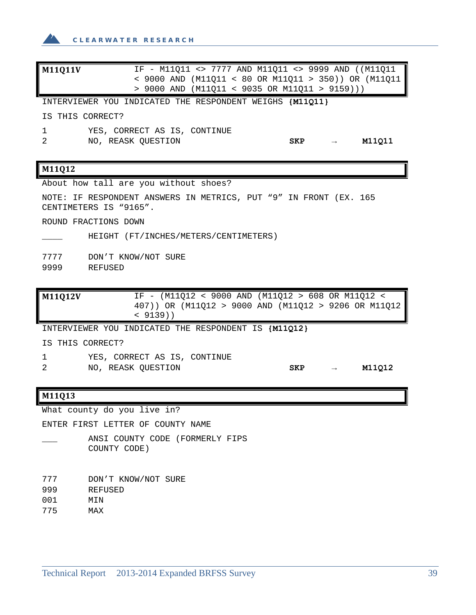

| M11011V | IF - M11Q11 <> 7777 AND M11Q11 <> 9999 AND ((M11Q11      |
|---------|----------------------------------------------------------|
|         | < 9000 AND (M11Q11 < 80 OR M11Q11 > 350)) OR (M11Q11     |
|         | > 9000 AND (M11011 < 9035 OR M11011 > 9159)))            |
|         | INTERVIEWER YOU INDICATED THE RESPONDENT WEIGHS {M11011} |

IS THIS CORRECT?

1 YES, CORRECT AS IS, CONTINUE

2 NO, REASK QUESTION **SKP → M11Q11**

#### **M11Q12**

About how tall are you without shoes?

NOTE: IF RESPONDENT ANSWERS IN METRICS, PUT "9" IN FRONT (EX. 165 CENTIMETERS IS "9165".

ROUND FRACTIONS DOWN

HEIGHT (FT/INCHES/METERS/CENTIMETERS)

7777 DON'T KNOW/NOT SURE 9999 REFUSED

**M11Q12V** IF - (M11Q12 < 9000 AND (M11Q12 > 608 OR M11Q12 < 407)) OR (M11Q12 > 9000 AND (M11Q12 > 9206 OR M11Q12 < 9139))

INTERVIEWER YOU INDICATED THE RESPONDENT IS **{M11Q12}**

IS THIS CORRECT?

- 1 YES, CORRECT AS IS, CONTINUE 2 NO, REASK QUESTION **SKP → M11Q12**
	-

#### **M11Q13**

What county do you live in?

ENTER FIRST LETTER OF COUNTY NAME

ANSI COUNTY CODE (FORMERLY FIPS COUNTY CODE)

777 DON'T KNOW/NOT SURE

- 999 REFUSED
- 001 MIN
- 775 MAX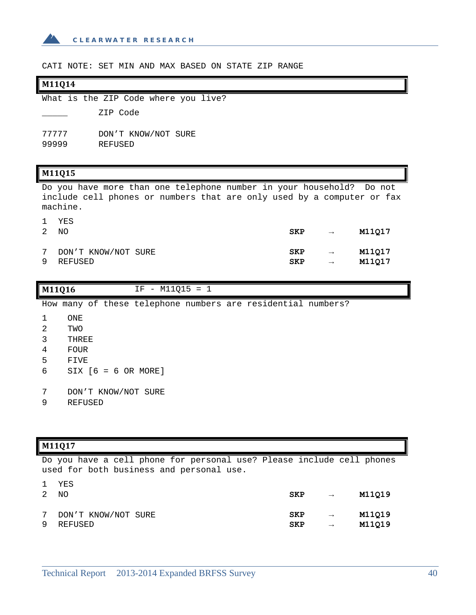

CATI NOTE: SET MIN AND MAX BASED ON STATE ZIP RANGE

### **M11Q14**

|                |  |          | What is the ZIP Code where you live? |  |
|----------------|--|----------|--------------------------------------|--|
|                |  | ZIP Code |                                      |  |
| 77777<br>99999 |  | REFUSED  | DON'T KNOW/NOT SURE                  |  |

### **M11Q15**

Do you have more than one telephone number in your household? Do not include cell phones or numbers that are only used by a computer or fax machine.

|                 | YES<br>ΝO           | <b>SKP</b> | $\longrightarrow$ | M11017 |
|-----------------|---------------------|------------|-------------------|--------|
| $7\phantom{.0}$ | DON'T KNOW/NOT SURE | <b>SKP</b> | $\rightarrow$     | M11Q17 |
| 9               | REFUSED             | <b>SKP</b> | $\longrightarrow$ | M11017 |

| M11Q16 |                                 | $IF - M11Q15 = 1$ |  |                                                              |  |
|--------|---------------------------------|-------------------|--|--------------------------------------------------------------|--|
|        |                                 |                   |  | How many of these telephone numbers are residential numbers? |  |
|        | ONE                             |                   |  |                                                              |  |
| 2      | TWO                             |                   |  |                                                              |  |
| 3      | THREE                           |                   |  |                                                              |  |
| 4      | <b>FOUR</b>                     |                   |  |                                                              |  |
| 5      | FIVE                            |                   |  |                                                              |  |
| 6      | $SIX$ $[6 = 6 \text{ OR MORE}]$ |                   |  |                                                              |  |
|        |                                 |                   |  |                                                              |  |
|        |                                 |                   |  |                                                              |  |

- 7 DON'T KNOW/NOT SURE
- 9 REFUSED

## **M11Q17**

Do you have a cell phone for personal use? Please include cell phones used for both business and personal use.

|   | YES<br>NO             | <b>SKP</b> | $\rightarrow$ | M11Q19 |
|---|-----------------------|------------|---------------|--------|
| 9 | 7 DON'T KNOW/NOT SURE | <b>SKP</b> | $\rightarrow$ | M11Q19 |
|   | REFUSED               | <b>SKP</b> | $\rightarrow$ | M11Q19 |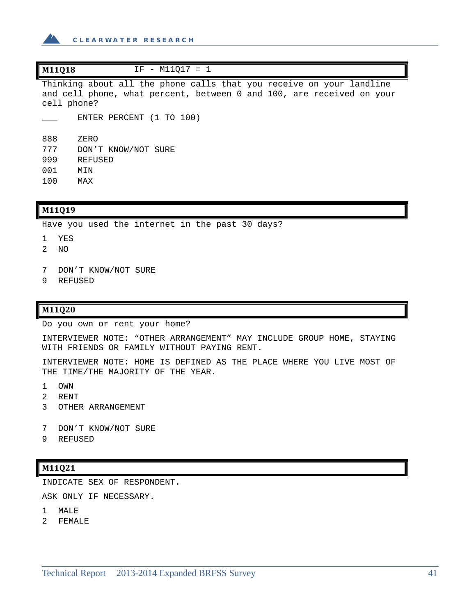

| M11Q18<br>$IF - M11017 = 1$                                                                                                                                  |  |  |  |  |  |  |  |
|--------------------------------------------------------------------------------------------------------------------------------------------------------------|--|--|--|--|--|--|--|
| Thinking about all the phone calls that you receive on your landline<br>and cell phone, what percent, between 0 and 100, are received on your<br>cell phone? |  |  |  |  |  |  |  |
| ENTER PERCENT (1 TO 100)                                                                                                                                     |  |  |  |  |  |  |  |
| 888<br>ZERO                                                                                                                                                  |  |  |  |  |  |  |  |
| 777<br>DON'T KNOW/NOT SURE                                                                                                                                   |  |  |  |  |  |  |  |
| 999<br>REFUSED                                                                                                                                               |  |  |  |  |  |  |  |
| 001<br>MIN                                                                                                                                                   |  |  |  |  |  |  |  |
| 100<br>MAX                                                                                                                                                   |  |  |  |  |  |  |  |

#### **M11Q19**

Have you used the internet in the past 30 days?

- 1 YES
- 2 NO
- 7 DON'T KNOW/NOT SURE
- 9 REFUSED

## **M11Q20**

Do you own or rent your home?

INTERVIEWER NOTE: "OTHER ARRANGEMENT" MAY INCLUDE GROUP HOME, STAYING WITH FRIENDS OR FAMILY WITHOUT PAYING RENT.

INTERVIEWER NOTE: HOME IS DEFINED AS THE PLACE WHERE YOU LIVE MOST OF THE TIME/THE MAJORITY OF THE YEAR.

- 1 OWN
- 2 RENT
- 3 OTHER ARRANGEMENT
- 7 DON'T KNOW/NOT SURE
- 9 REFUSED

#### **M11Q21**

INDICATE SEX OF RESPONDENT.

ASK ONLY IF NECESSARY.

- 1 MALE
- 2 FEMALE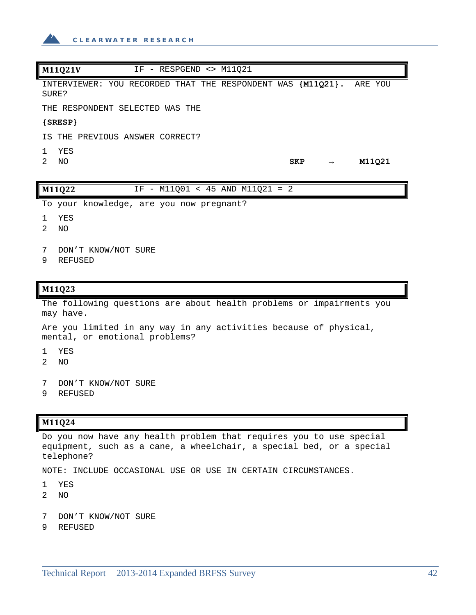

| M11Q21V<br>$IF$ - RESPGEND <> M11021                   |                                       |
|--------------------------------------------------------|---------------------------------------|
| INTERVIEWER: YOU RECORDED THAT THE RESPONDENT<br>SURE? | WAS { <b>M11021</b> }.<br>ARE YOU     |
| THE RESPONDENT SELECTED WAS THE                        |                                       |
| ${SRESP}$                                              |                                       |
| IS THE PREVIOUS ANSWER CORRECT?                        |                                       |
| YES                                                    |                                       |
| $\mathcal{D}$<br>NO.                                   | M11021<br><b>SKP</b><br>$\rightarrow$ |
|                                                        |                                       |
| M11Q22<br>$IF -$                                       | $M11Q01 < 45$ AND $M11Q21 = 2$        |

To your knowledge, are you now pregnant?

- 1 YES
- 2 NO
- 7 DON'T KNOW/NOT SURE
- 9 REFUSED

#### **M11Q23**

The following questions are about health problems or impairments you may have.

Are you limited in any way in any activities because of physical, mental, or emotional problems?

- 1 YES
- 2 NO
- 7 DON'T KNOW/NOT SURE
- 9 REFUSED

### **M11Q24**

Do you now have any health problem that requires you to use special equipment, such as a cane, a wheelchair, a special bed, or a special telephone?

NOTE: INCLUDE OCCASIONAL USE OR USE IN CERTAIN CIRCUMSTANCES.

- 1 YES
- 2 NO
- 7 DON'T KNOW/NOT SURE
- 9 REFUSED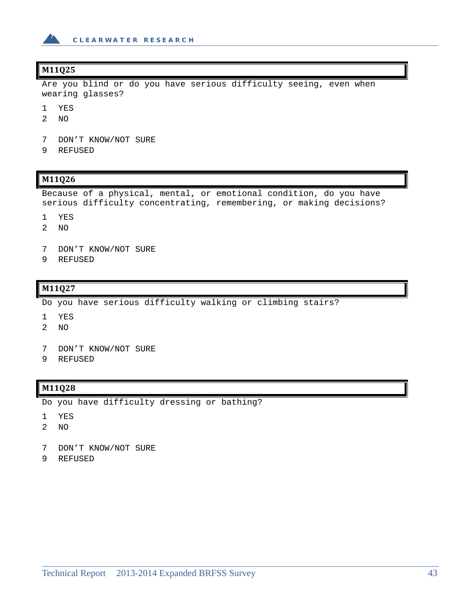

## **M11Q25**

Are you blind or do you have serious difficulty seeing, even when wearing glasses?

- 1 YES
- 2 NO
- 7 DON'T KNOW/NOT SURE
- 9 REFUSED

### **M11Q26**

Because of a physical, mental, or emotional condition, do you have serious difficulty concentrating, remembering, or making decisions?

- 1 YES
- 2 NO
- 7 DON'T KNOW/NOT SURE
- 9 REFUSED

#### **M11Q27**

Do you have serious difficulty walking or climbing stairs?

- 1 YES
- 2 NO
- 7 DON'T KNOW/NOT SURE
- 9 REFUSED

### **M11Q28**

Do you have difficulty dressing or bathing?

- 1 YES
- 2 NO
- 7 DON'T KNOW/NOT SURE
- 9 REFUSED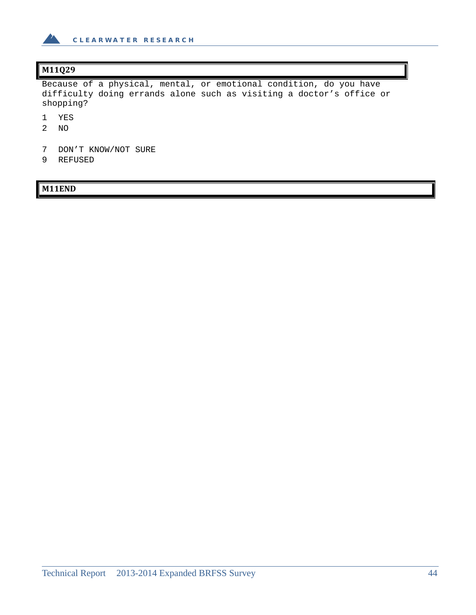

# **M11Q29**

Because of a physical, mental, or emotional condition, do you have difficulty doing errands alone such as visiting a doctor's office or shopping?

- 1 YES
- 2 NO
- 7 DON'T KNOW/NOT SURE
- 9 REFUSED

# **M11END**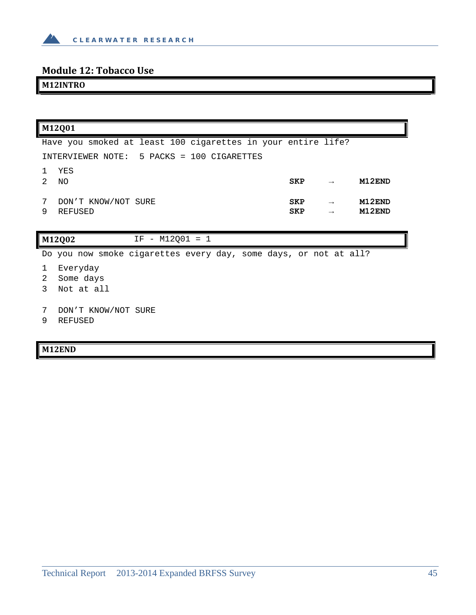

# **Module 12: Tobacco Use**

# **M12INTRO**

| M12Q01                                                           |                   |               |                  |
|------------------------------------------------------------------|-------------------|---------------|------------------|
| Have you smoked at least 100 cigarettes in your entire life?     |                   |               |                  |
| INTERVIEWER NOTE: 5 PACKS = 100 CIGARETTES                       |                   |               |                  |
| YES<br>2<br>ΝO                                                   | <b>SKP</b>        | $\rightarrow$ | M12END           |
| 7<br>DON'T KNOW/NOT SURE<br>9<br>REFUSED                         | SKP<br><b>SKP</b> | $\rightarrow$ | M12END<br>M12END |
| M12Q02<br>$IF - M12Q01 = 1$                                      |                   |               |                  |
| Do you now smoke cigarettes every day, some days, or not at all? |                   |               |                  |
| Everyday<br>2<br>Some days<br>Not at all                         |                   |               |                  |

- 7 DON'T KNOW/NOT SURE
- 9 REFUSED

# **M12END**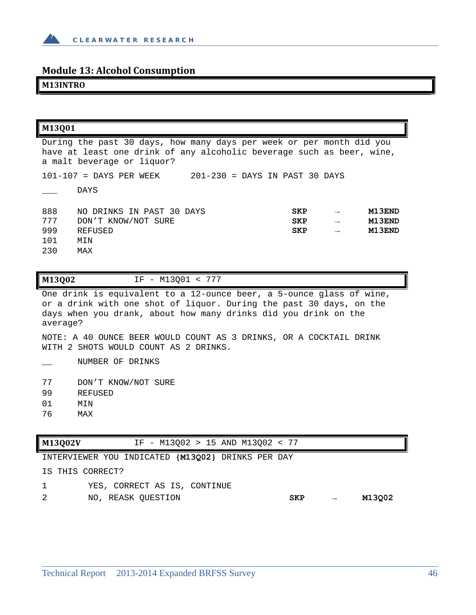

# **Module 13: Alcohol Consumption**

**M13INTRO**

| M13001                                                                                                                                                                      |                           |            |               |        |
|-----------------------------------------------------------------------------------------------------------------------------------------------------------------------------|---------------------------|------------|---------------|--------|
| During the past 30 days, how many days per week or per month did you<br>have at least one drink of any alcoholic beverage such as beer, wine,<br>a malt beverage or liquor? |                           |            |               |        |
| $101 - 107$ = DAYS PER WEEK<br>201-230 = DAYS IN PAST 30 DAYS                                                                                                               |                           |            |               |        |
|                                                                                                                                                                             | <b>DAYS</b>               |            |               |        |
| 888                                                                                                                                                                         | NO DRINKS IN PAST 30 DAYS | <b>SKP</b> | $\rightarrow$ | M13END |
| 777                                                                                                                                                                         | DON'T KNOW/NOT SURE       | <b>SKP</b> | $\rightarrow$ | M13END |
| 999                                                                                                                                                                         | REFUSED                   | <b>SKP</b> | $\rightarrow$ | M13END |
| 101                                                                                                                                                                         | MIN                       |            |               |        |
| 230                                                                                                                                                                         | MAX                       |            |               |        |

| M13Q02<br>- M13001 |  |
|--------------------|--|
|--------------------|--|

One drink is equivalent to a 12-ounce beer, a 5-ounce glass of wine, or a drink with one shot of liquor. During the past 30 days, on the days when you drank, about how many drinks did you drink on the average?

NOTE: A 40 OUNCE BEER WOULD COUNT AS 3 DRINKS, OR A COCKTAIL DRINK WITH 2 SHOTS WOULD COUNT AS 2 DRINKS.

\_\_ NUMBER OF DRINKS

- 99 REFUSED
- 01 MIN
- 76 MAX

| M13Q02V          | IF - M13002 > 15 AND M13002 < 77                  |  |
|------------------|---------------------------------------------------|--|
|                  | INTERVIEWER YOU INDICATED {M13002} DRINKS PER DAY |  |
| IS THIS CORRECT? |                                                   |  |

- 1 YES, CORRECT AS IS, CONTINUE
- 2 NO, REASK QUESTION **SKP → M13Q02**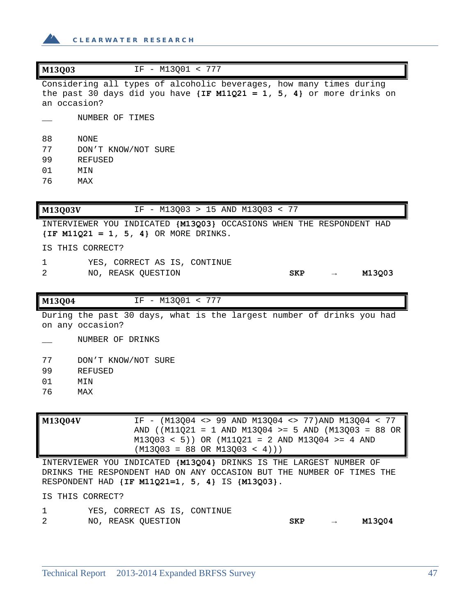

| M13Q03<br>IF - M13001 < 777                                                                                                                                      |  |
|------------------------------------------------------------------------------------------------------------------------------------------------------------------|--|
| Considering all types of alcoholic beverages, how many times during<br>the past 30 days did you have $\{IF M11Q21 = 1, 5, 4\}$ or more drinks on<br>an occasion? |  |
| NUMBER OF TIMES                                                                                                                                                  |  |
| 88<br>NONE                                                                                                                                                       |  |
| 77<br>DON'T KNOW/NOT SURE                                                                                                                                        |  |
| 99<br>REFUSED                                                                                                                                                    |  |
| 01<br>MIN                                                                                                                                                        |  |
| 76<br>MAX                                                                                                                                                        |  |
|                                                                                                                                                                  |  |
| <b>M13003V</b><br>M13003 > 15 AND M13003 < 77<br>IF.<br>$\overline{\phantom{m}}$                                                                                 |  |

INTERVIEWER YOU INDICATED **{M13Q03}** OCCASIONS WHEN THE RESPONDENT HAD **{IF M11Q21 = 1, 5, 4}** OR MORE DRINKS.

IS THIS CORRECT?

- 1 YES, CORRECT AS IS, CONTINUE
- 2 NO, REASK QUESTION **SKP → M13Q03**

**M13Q04** IF - M13Q01 < 777

During the past 30 days, what is the largest number of drinks you had on any occasion?

\_\_ NUMBER OF DRINKS

77 DON'T KNOW/NOT SURE

- 99 REFUSED
- 01 MIN
- 76 MAX

**M13Q04V** IF - (M13Q04 <> 99 AND M13Q04 <> 77)AND M13Q04 < 77 AND ((M11Q21 = 1 AND M13Q04 >= 5 AND (M13Q03 = 88 OR M13Q03 < 5)) OR (M11Q21 = 2 AND M13Q04 >= 4 AND  $(M13Q03 = 88 \text{ OR } M13Q03 < 4))$ 

INTERVIEWER YOU INDICATED **{M13Q04}** DRINKS IS THE LARGEST NUMBER OF DRINKS THE RESPONDENT HAD ON ANY OCCASION BUT THE NUMBER OF TIMES THE RESPONDENT HAD **{IF M11Q21=1, 5, 4}** IS **{M13Q03}**.

IS THIS CORRECT?

|   | YES, CORRECT AS IS, CONTINUE |            |        |
|---|------------------------------|------------|--------|
| 2 | NO, REASK OUESTION           | <b>SKP</b> | M13Q04 |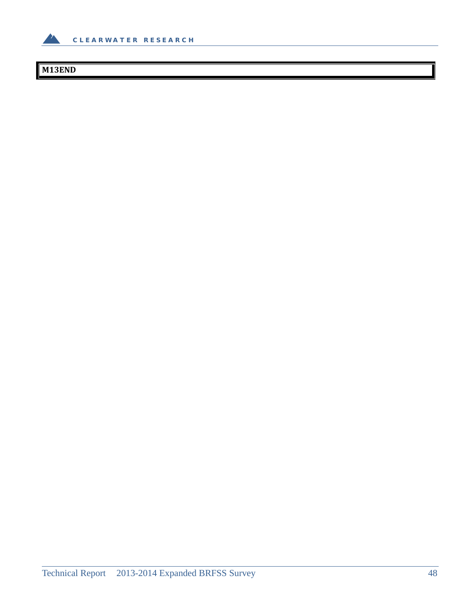

# **M13END**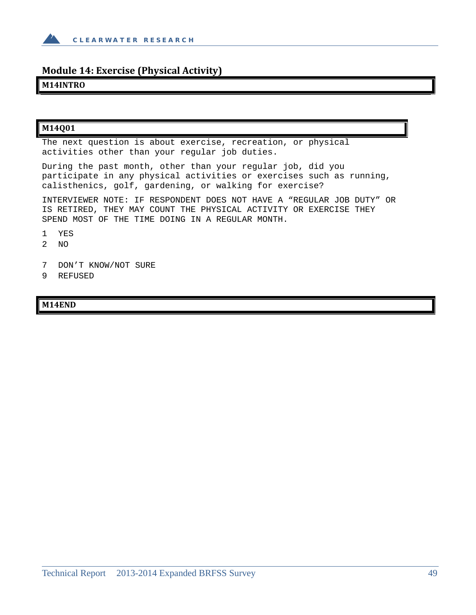

# **Module 14: Exercise (Physical Activity)**

### **M14INTRO**

## **M14Q01**

The next question is about exercise, recreation, or physical activities other than your regular job duties.

During the past month, other than your regular job, did you participate in any physical activities or exercises such as running, calisthenics, golf, gardening, or walking for exercise?

INTERVIEWER NOTE: IF RESPONDENT DOES NOT HAVE A "REGULAR JOB DUTY" OR IS RETIRED, THEY MAY COUNT THE PHYSICAL ACTIVITY OR EXERCISE THEY SPEND MOST OF THE TIME DOING IN A REGULAR MONTH.

- 1 YES
- 2 NO
- 7 DON'T KNOW/NOT SURE
- 9 REFUSED

### **M14END**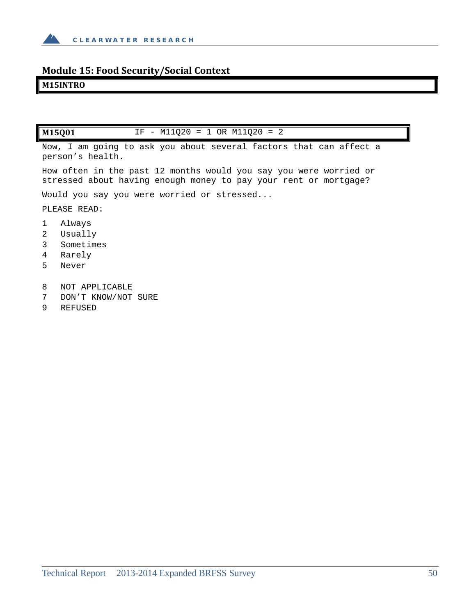

# **Module 15: Food Security/Social Context**

### **M15INTRO**

**M15Q01** IF - M11Q20 = 1 OR M11Q20 = 2

Now, I am going to ask you about several factors that can affect a person's health.

How often in the past 12 months would you say you were worried or stressed about having enough money to pay your rent or mortgage?

Would you say you were worried or stressed...

PLEASE READ:

- 1 Always
- 2 Usually
- 3 Sometimes
- 4 Rarely
- 5 Never
- 8 NOT APPLICABLE
- 7 DON'T KNOW/NOT SURE
- 9 REFUSED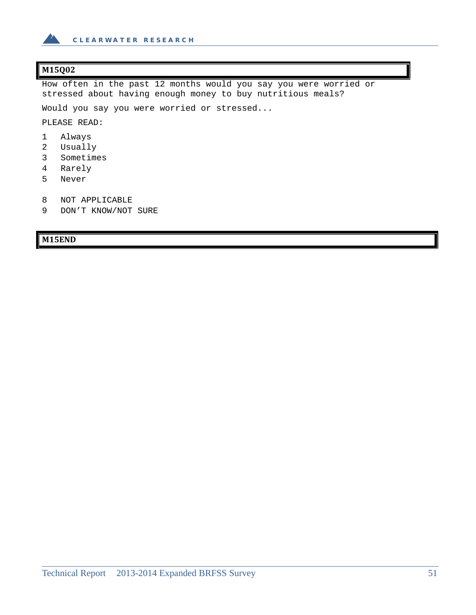

# **M15Q02**

How often in the past 12 months would you say you were worried or stressed about having enough money to buy nutritious meals?

Would you say you were worried or stressed...

PLEASE READ:

- 1 Always
- 2 Usually
- 3 Sometimes
- 4 Rarely
- 5 Never
- 8 NOT APPLICABLE
- 9 DON'T KNOW/NOT SURE

### **M15END**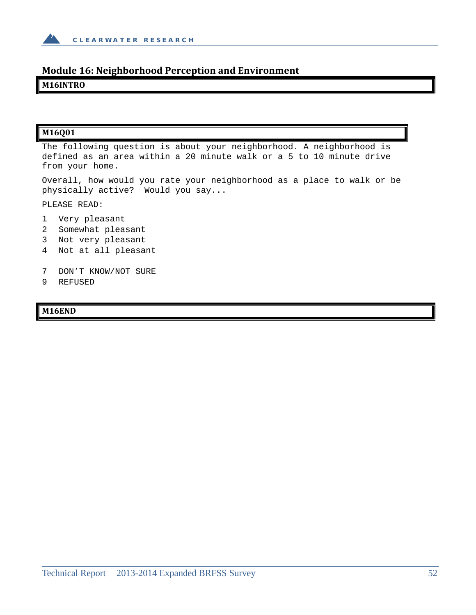

# **Module 16: Neighborhood Perception and Environment**

### **M16INTRO**

### **M16Q01**

The following question is about your neighborhood. A neighborhood is defined as an area within a 20 minute walk or a 5 to 10 minute drive from your home.

Overall, how would you rate your neighborhood as a place to walk or be physically active? Would you say...

PLEASE READ:

- 1 Very pleasant
- 2 Somewhat pleasant
- 3 Not very pleasant
- 4 Not at all pleasant
- 7 DON'T KNOW/NOT SURE
- 9 REFUSED

#### **M16END**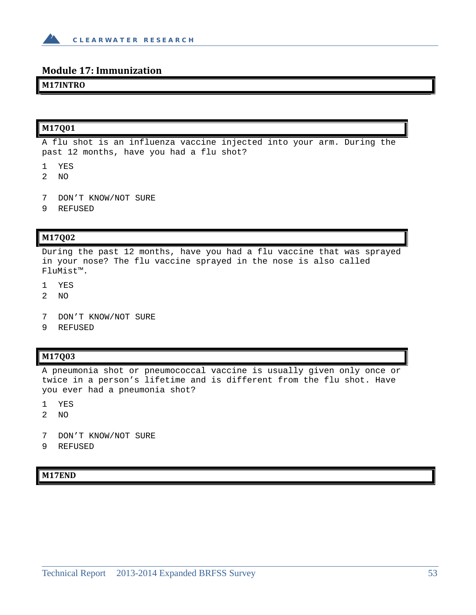

### **Module 17: Immunization**

### **M17INTRO**

# **M17Q01**

A flu shot is an influenza vaccine injected into your arm. During the past 12 months, have you had a flu shot?

- 1 YES
- 2 NO
- 7 DON'T KNOW/NOT SURE
- 9 REFUSED

### **M17Q02**

During the past 12 months, have you had a flu vaccine that was sprayed in your nose? The flu vaccine sprayed in the nose is also called FluMist™.

- 1 YES
- 2 NO
- 7 DON'T KNOW/NOT SURE
- 9 REFUSED

#### **M17Q03**

A pneumonia shot or pneumococcal vaccine is usually given only once or twice in a person's lifetime and is different from the flu shot. Have you ever had a pneumonia shot?

- 1 YES
- 2 NO
- 7 DON'T KNOW/NOT SURE
- 9 REFUSED

**M17END**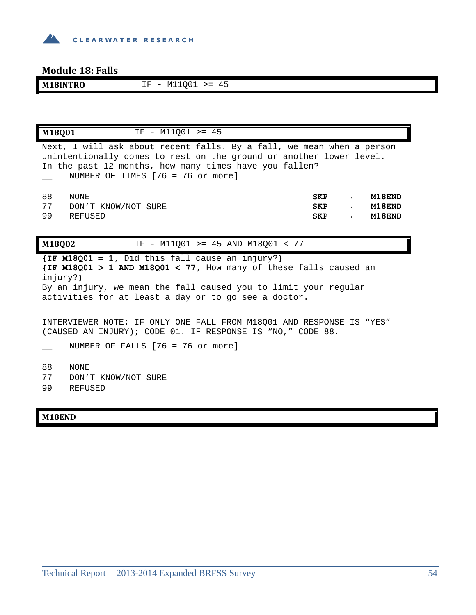

# **Module 18: Falls**

**M18INTRO** IF - M11Q01 >= 45

| $IF - M11001 > = 45$<br>M18001                                                                                                                                                                                                                |                                        |                                                 |                            |
|-----------------------------------------------------------------------------------------------------------------------------------------------------------------------------------------------------------------------------------------------|----------------------------------------|-------------------------------------------------|----------------------------|
| Next, I will ask about recent falls. By a fall, we mean when a person<br>unintentionally comes to rest on the ground or another lower level.<br>In the past 12 months, how many times have you fallen?<br>NUMBER OF TIMES $[76 = 76$ or more] |                                        |                                                 |                            |
| 88<br>NONE<br>77<br>DON'T KNOW/NOT SURE<br>99<br>REFUSED                                                                                                                                                                                      | <b>SKP</b><br><b>SKP</b><br><b>SKP</b> | $\rightarrow$<br>$\rightarrow$<br>$\rightarrow$ | M18END<br>M18END<br>M18END |
| IF - M11001 >= 45 AND M18001 < 77<br>M18002                                                                                                                                                                                                   |                                        |                                                 |                            |
| $\{IF M18Q01 = 1, Did this fall cause an injury? \}$<br>(IF M18Q01 > 1 AND M18Q01 < 77, How many of these falls caused an                                                                                                                     |                                        |                                                 |                            |

injury?**}** By an injury, we mean the fall caused you to limit your regular activities for at least a day or to go see a doctor.

INTERVIEWER NOTE: IF ONLY ONE FALL FROM M18Q01 AND RESPONSE IS "YES" (CAUSED AN INJURY); CODE 01. IF RESPONSE IS "NO," CODE 88.

NUMBER OF FALLS [76 = 76 or more]

88 NONE

77 DON'T KNOW/NOT SURE

99 REFUSED

### **M18END**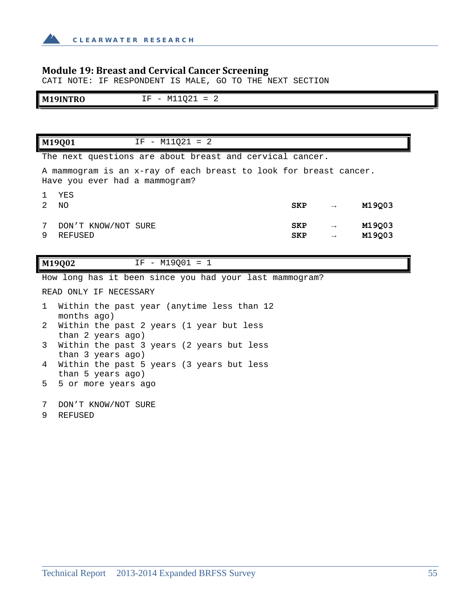

# **Module 19: Breast and Cervical Cancer Screening**

CATI NOTE: IF RESPONDENT IS MALE, GO TO THE NEXT SECTION

| M <sup>1</sup><br>$\mathbf{r}$<br>лu<br>$ -$ | $\sim$ $\sim$<br>--<br>.<br>IVI.<br>$\overline{\phantom{0}}$<br>----<br>◡▵<br>- -<br>- |
|----------------------------------------------|----------------------------------------------------------------------------------------|

|   | $IF - M11Q21 = 2$<br>M19001                                                                         |                          |                                |                  |
|---|-----------------------------------------------------------------------------------------------------|--------------------------|--------------------------------|------------------|
|   | The next questions are about breast and cervical cancer.                                            |                          |                                |                  |
|   | A mammogram is an x-ray of each breast to look for breast cancer.<br>Have you ever had a mammogram? |                          |                                |                  |
| 2 | YES<br>NO.                                                                                          | <b>SKP</b>               | $\rightarrow$                  | M19003           |
| 9 | DON'T KNOW/NOT SURE<br>REFUSED                                                                      | <b>SKP</b><br><b>SKP</b> | $\rightarrow$<br>$\rightarrow$ | M19003<br>M19Q03 |

**M19Q02** IF - M19Q01 = 1

How long has it been since you had your last mammogram?

READ ONLY IF NECESSARY

|   |             | 1 Within the past year (anytime less than 12 |
|---|-------------|----------------------------------------------|
|   | months ago) |                                              |
|   |             | 2 Within the past 2 years (1 year but less   |
|   |             | than 2 years ago)                            |
| 3 |             | Within the past 3 years (2 years but less    |
|   |             | than 3 years ago)                            |

- 4 Within the past 5 years (3 years but less than 5 years ago)
- 5 5 or more years ago
- 7 DON'T KNOW/NOT SURE
- 9 REFUSED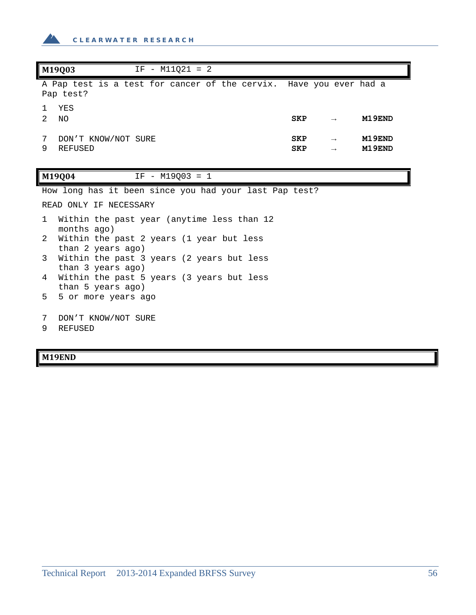

| M19Q03<br>$IF - M11021 = 2$                                                     |                          |                                |                  |
|---------------------------------------------------------------------------------|--------------------------|--------------------------------|------------------|
| A Pap test is a test for cancer of the cervix. Have you ever had a<br>Pap test? |                          |                                |                  |
| YES<br>1.<br>$\mathcal{L}$<br>ΝO                                                | SKP                      | $\rightarrow$                  | M19END           |
| 7<br>DON'T KNOW/NOT SURE<br>9<br><b>REFUSED</b>                                 | <b>SKP</b><br><b>SKP</b> | $\rightarrow$<br>$\rightarrow$ | M19END<br>M19END |
| M19004<br>IF - M19Q03 = 1                                                       |                          |                                |                  |
| How long has it been since you had your last Pap test?                          |                          |                                |                  |
| READ ONLY IF NECESSARY                                                          |                          |                                |                  |
| Within the past year (anytime less than 12<br>$\mathbf{1}$<br>months ago)       |                          |                                |                  |
| Within the past 2 years (1 year but less<br>2<br>than 2 years ago)              |                          |                                |                  |
| 3<br>Within the past 3 years (2 years but less<br>than 3 years ago)             |                          |                                |                  |
| Within the past 5 years (3 years but less<br>4<br>than 5 years ago)             |                          |                                |                  |
| 5.<br>5 or more years ago                                                       |                          |                                |                  |

- 7 DON'T KNOW/NOT SURE
- 9 REFUSED

**M19END**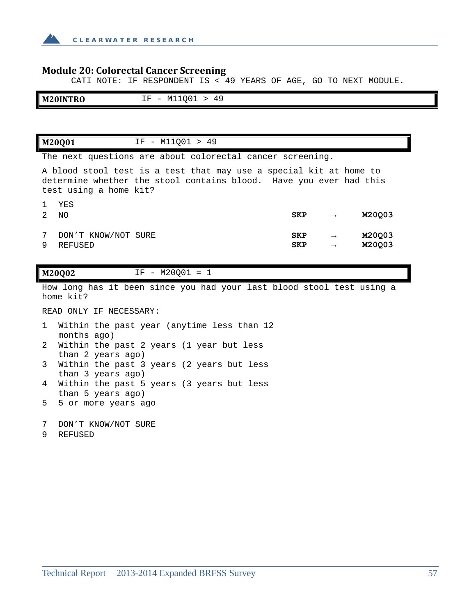

### **Module 20: Colorectal Cancer Screening**

CATI NOTE: IF RESPONDENT IS < 49 YEARS OF AGE, GO TO NEXT MODULE.

| M20INTRO | $\sim$ $\sim$ $\sim$<br>$\mathbf{r}$<br>$\overline{ }$ $\overline{ }$<br>н<br>WITÕOT<br><u>.</u><br>$ -$<br>the control of the control of |  |
|----------|-------------------------------------------------------------------------------------------------------------------------------------------|--|

**M20Q01** IF - M11Q01 > 49

The next questions are about colorectal cancer screening.

A blood stool test is a test that may use a special kit at home to determine whether the stool contains blood. Have you ever had this test using a home kit?

| 2 | YES<br>ΝO           | <b>SKP</b> | $\rightarrow$ | M20Q03 |
|---|---------------------|------------|---------------|--------|
| 7 | DON'T KNOW/NOT SURE | <b>SKP</b> | $\rightarrow$ | M20003 |
| 9 | REFUSED             | <b>SKP</b> | $\rightarrow$ | M20Q03 |

**M20Q02** IF - M20Q01 = 1

How long has it been since you had your last blood stool test using a home kit?

READ ONLY IF NECESSARY:

- 1 Within the past year (anytime less than 12 months ago)
- 2 Within the past 2 years (1 year but less than 2 years ago)
- 3 Within the past 3 years (2 years but less than 3 years ago)
- 4 Within the past 5 years (3 years but less than 5 years ago)
- 5 5 or more years ago
- 7 DON'T KNOW/NOT SURE
- 9 REFUSED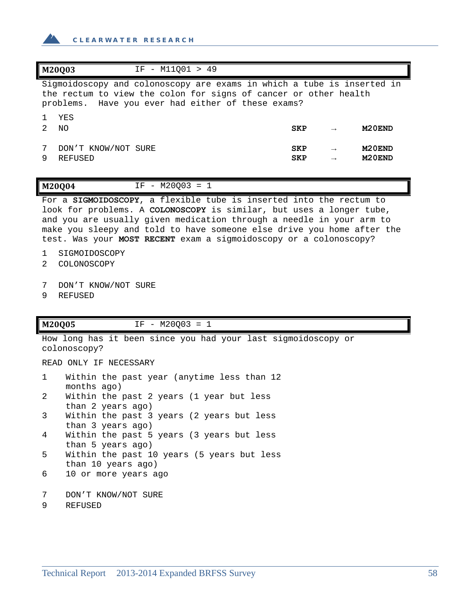

|   | M20003<br>IF - M11001 > 49                                                                                                                                                                       |                          |                                |                                            |
|---|--------------------------------------------------------------------------------------------------------------------------------------------------------------------------------------------------|--------------------------|--------------------------------|--------------------------------------------|
|   | Sigmoidoscopy and colonoscopy are exams in which a tube is inserted in<br>the rectum to view the colon for signs of cancer or other health<br>problems. Have you ever had either of these exams? |                          |                                |                                            |
| 2 | YES<br>NO.                                                                                                                                                                                       | <b>SKP</b>               | $\rightarrow$                  | M <sub>20</sub> END                        |
|   | DON'T KNOW/NOT SURE<br>REFUSED                                                                                                                                                                   | <b>SKP</b><br><b>SKP</b> | $\rightarrow$<br>$\rightarrow$ | M <sub>20</sub> END<br>M <sub>20</sub> END |

#### **M20Q04** IF - M20Q03 = 1

For a **SIGMOIDOSCOPY**, a flexible tube is inserted into the rectum to look for problems. A **COLONOSCOPY** is similar, but uses a longer tube, and you are usually given medication through a needle in your arm to make you sleepy and told to have someone else drive you home after the test. Was your **MOST RECENT** exam a sigmoidoscopy or a colonoscopy?

- 1 SIGMOIDOSCOPY
- 2 COLONOSCOPY
- 7 DON'T KNOW/NOT SURE
- 9 REFUSED

#### **M20Q05** IF - M20Q03 = 1

How long has it been since you had your last sigmoidoscopy or colonoscopy?

READ ONLY IF NECESSARY

| $\mathbf 1$     | Within the past year (anytime less than 12 |
|-----------------|--------------------------------------------|
|                 | months ago)                                |
| $\mathbf{2}$    | Within the past 2 years (1 year but less   |
|                 | than 2 years ago)                          |
| $\mathbf{3}$    | Within the past 3 years (2 years but less  |
|                 | than 3 years ago)                          |
| $4\overline{ }$ | Within the past 5 years (3 years but less  |
|                 | than 5 years ago)                          |
| $5 -$           | Within the past 10 years (5 years but less |
|                 | than 10 years ago)                         |
|                 | 6 10 or more years ago                     |
|                 |                                            |

```
7 DON'T KNOW/NOT SURE
```

```
9 REFUSED
```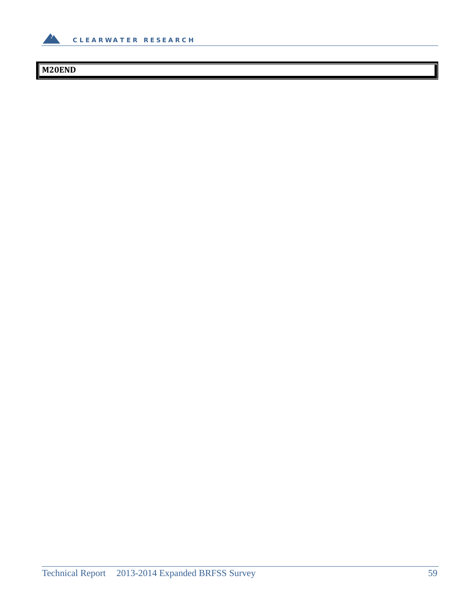

# **M20END**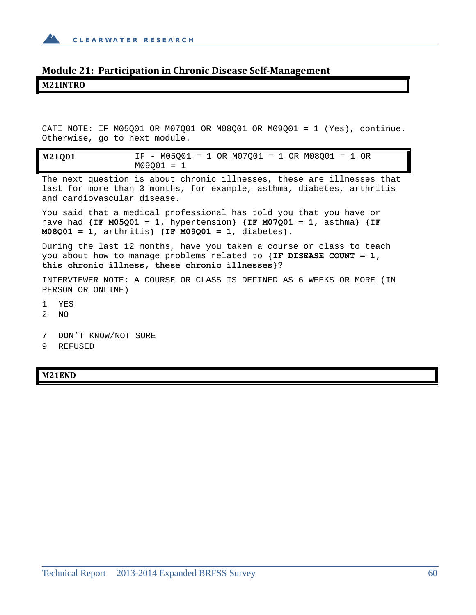

# **Module 21: Participation in Chronic Disease Self‐Management M21INTRO**

CATI NOTE: IF M05Q01 OR M07Q01 OR M08Q01 OR M09Q01 = 1 (Yes), continue. Otherwise, go to next module.

| M21Q01 |              |  | IF - $M05001 = 1$ OR $M07001 = 1$ OR $M08001 = 1$ OR |  |  |  |  |
|--------|--------------|--|------------------------------------------------------|--|--|--|--|
|        | $M09001 = 1$ |  |                                                      |  |  |  |  |

The next question is about chronic illnesses, these are illnesses that last for more than 3 months, for example, asthma, diabetes, arthritis and cardiovascular disease.

You said that a medical professional has told you that you have or have had **{IF M05Q01 = 1,** hypertension**} {IF M07Q01 = 1**, asthma**} {IF M08Q01 = 1**, arthritis**} {IF M09Q01 = 1**, diabetes**}.**

During the last 12 months, have you taken a course or class to teach you about how to manage problems related to **{IF DISEASE COUNT = 1, this chronic illness, these chronic illnesses}**?

INTERVIEWER NOTE: A COURSE OR CLASS IS DEFINED AS 6 WEEKS OR MORE (IN PERSON OR ONLINE)

- 1 YES
- 2 NO
- 7 DON'T KNOW/NOT SURE
- 9 REFUSED

**M21END**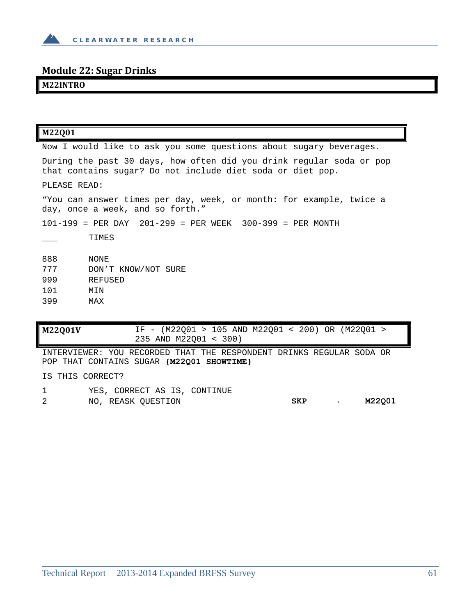

# **Module 22: Sugar Drinks**

## **M22INTRO**

| <b>M22Q01V</b> |                       |  |  |  | IF - (M22001 > 105 AND M22001 < 200) OR (M22001 > |  |
|----------------|-----------------------|--|--|--|---------------------------------------------------|--|
|                | 235 AND M22001 < 300) |  |  |  |                                                   |  |

INTERVIEWER: YOU RECORDED THAT THE RESPONDENT DRINKS REGULAR SODA OR POP THAT CONTAINS SUGAR **{M22Q01 SHOWTIME}** 

IS THIS CORRECT?

1 YES, CORRECT AS IS, CONTINUE 2 NO, REASK QUESTION **SKP → M22Q01**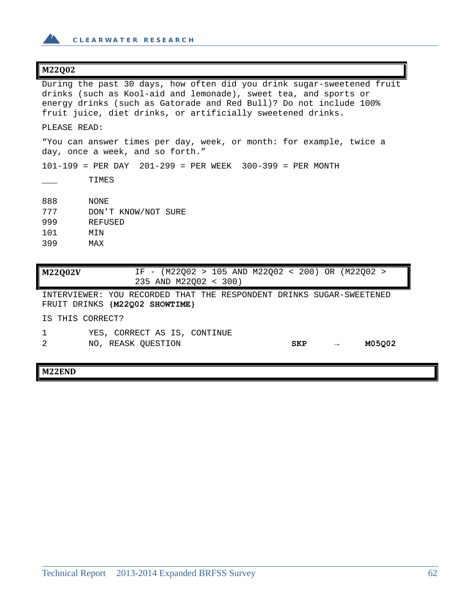

#### **M22Q02**

During the past 30 days, how often did you drink sugar-sweetened fruit drinks (such as Kool-aid and lemonade), sweet tea, and sports or energy drinks (such as Gatorade and Red Bull)? Do not include 100% fruit juice, diet drinks, or artificially sweetened drinks. PLEASE READ: "You can answer times per day, week, or month: for example, twice a day, once a week, and so forth." 101-199 = PER DAY 201-299 = PER WEEK 300-399 = PER MONTH \_\_\_ TIMES 888 NONE 777 DON'T KNOW/NOT SURE 999 REFUSED 101 MIN 399 MAX **M22Q02V** IF - (M22Q02 > 105 AND M22Q02 < 200) OR (M22Q02 > 235 AND M22Q02 < 300) INTERVIEWER: YOU RECORDED THAT THE RESPONDENT DRINKS SUGAR-SWEETENED FRUIT DRINKS **{M22Q02 SHOWTIME}** 

IS THIS CORRECT?

- 1 YES, CORRECT AS IS, CONTINUE
- 2 NO, REASK QUESTION **SKP → M05Q02**

**M22END**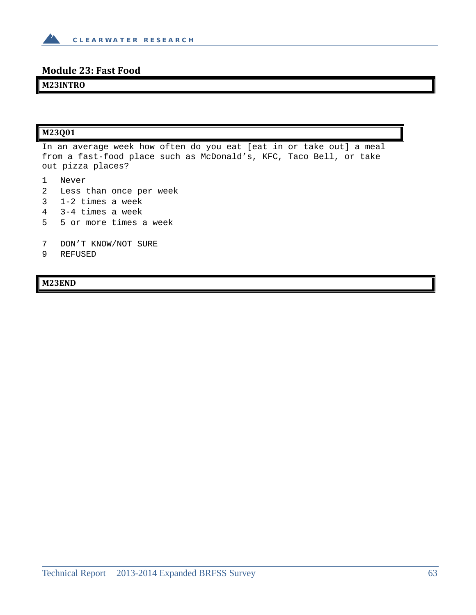

## **Module 23: Fast Food**

### **M23INTRO**

#### **M23Q01**

In an average week how often do you eat [eat in or take out] a meal from a fast-food place such as McDonald's, KFC, Taco Bell, or take out pizza places?

1 Never

- 2 Less than once per week
- 3 1-2 times a week
- 4 3-4 times a week
- 5 5 or more times a week
- 7 DON'T KNOW/NOT SURE
- 9 REFUSED

**M23END**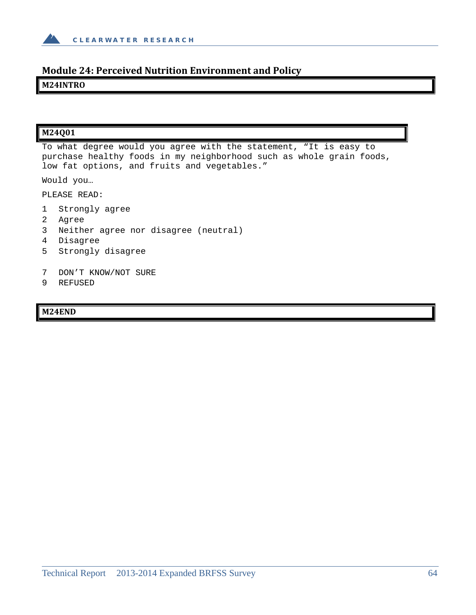

# **Module 24: Perceived Nutrition Environment and Policy**

### **M24INTRO**

### **M24Q01**

To what degree would you agree with the statement, "It is easy to purchase healthy foods in my neighborhood such as whole grain foods, low fat options, and fruits and vegetables."

Would you…

PLEASE READ:

- 1 Strongly agree
- 2 Agree
- 3 Neither agree nor disagree (neutral)
- 4 Disagree
- 5 Strongly disagree
- 7 DON'T KNOW/NOT SURE
- 9 REFUSED

#### **M24END**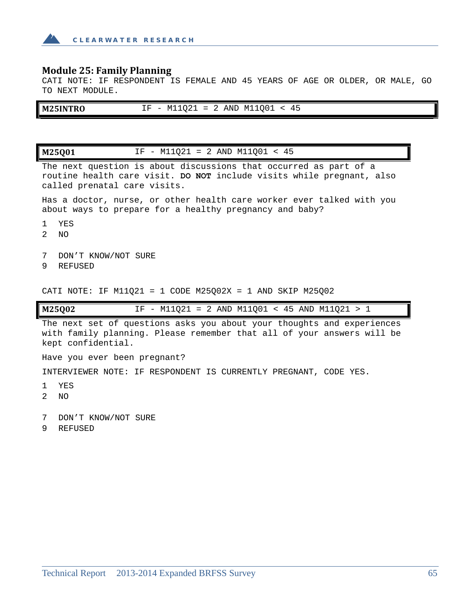

### **Module 25: Family Planning**

CATI NOTE: IF RESPONDENT IS FEMALE AND 45 YEARS OF AGE OR OLDER, OR MALE, GO TO NEXT MODULE.

| <b>M25INTRO</b> | $M11Q21 = 2$ AND M11Q01 < 45<br>$IF -$ |
|-----------------|----------------------------------------|
|                 |                                        |

**M25Q01** IF - M11Q21 = 2 AND M11Q01 < 45 The next question is about discussions that occurred as part of a routine health care visit. **DO NOT** include visits while pregnant, also called prenatal care visits. Has a doctor, nurse, or other health care worker ever talked with you about ways to prepare for a healthy pregnancy and baby? 1 YES 2 NO 7 DON'T KNOW/NOT SURE 9 REFUSED CATI NOTE: IF M11Q21 = 1 CODE M25Q02X = 1 AND SKIP M25Q02 **M25Q02** IF - M11Q21 = 2 AND M11Q01 < 45 AND M11Q21 > 1 The next set of questions asks you about your thoughts and experiences with family planning. Please remember that all of your answers will be kept confidential. Have you ever been pregnant? INTERVIEWER NOTE: IF RESPONDENT IS CURRENTLY PREGNANT, CODE YES.

- 1 YES
- 2 NO
- 7 DON'T KNOW/NOT SURE
- 9 REFUSED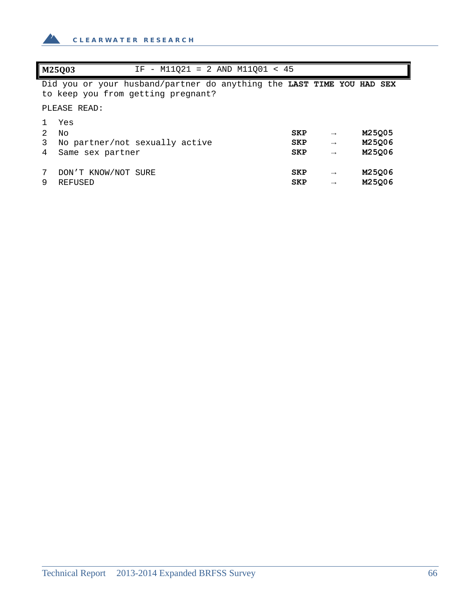

| M25003            | IF - $M11021 = 2$ AND $M11001 < 45$                                                                         |            |               |        |  |
|-------------------|-------------------------------------------------------------------------------------------------------------|------------|---------------|--------|--|
|                   | Did you or your husband/partner do anything the LAST TIME YOU HAD SEX<br>to keep you from getting pregnant? |            |               |        |  |
|                   | PLEASE READ:                                                                                                |            |               |        |  |
| Yes               |                                                                                                             |            |               |        |  |
| $2^{\circ}$<br>Nο |                                                                                                             | <b>SKP</b> | $\rightarrow$ | M25Q05 |  |
| 3                 | No partner/not sexually active                                                                              | <b>SKP</b> | $\rightarrow$ | M25Q06 |  |
| 4                 | Same sex partner                                                                                            | <b>SKP</b> | $\rightarrow$ | M25006 |  |
|                   |                                                                                                             |            |               |        |  |
|                   | DON'T KNOW/NOT SURE                                                                                         | <b>SKP</b> | $\rightarrow$ | M25006 |  |
| 9                 | REFUSED                                                                                                     | <b>SKP</b> | $\rightarrow$ | M25Q06 |  |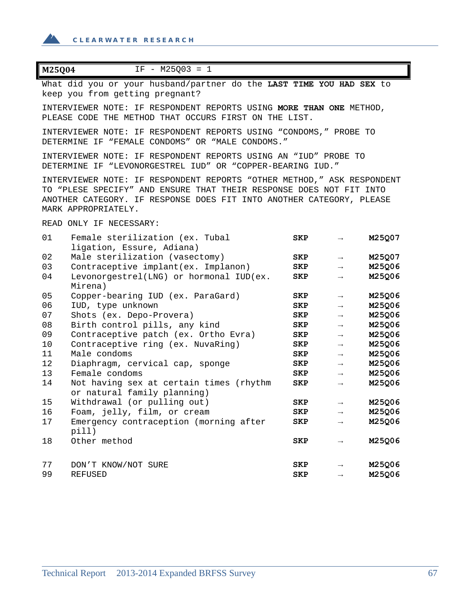$\triangle$ 

| M25Q04<br>$IF - M25Q03 = 1$                                                                                                                                                                                                                  |            |                   |        |
|----------------------------------------------------------------------------------------------------------------------------------------------------------------------------------------------------------------------------------------------|------------|-------------------|--------|
| What did you or your husband/partner do the LAST TIME YOU HAD SEX to<br>keep you from getting pregnant?                                                                                                                                      |            |                   |        |
| INTERVIEWER NOTE: IF RESPONDENT REPORTS USING MORE THAN ONE METHOD,<br>PLEASE CODE THE METHOD THAT OCCURS FIRST ON THE LIST.                                                                                                                 |            |                   |        |
| INTERVIEWER NOTE: IF RESPONDENT REPORTS USING "CONDOMS," PROBE TO<br>DETERMINE IF "FEMALE CONDOMS" OR "MALE CONDOMS."                                                                                                                        |            |                   |        |
| INTERVIEWER NOTE: IF RESPONDENT REPORTS USING AN "IUD" PROBE TO<br>DETERMINE IF "LEVONORGESTREL IUD" OR "COPPER-BEARING IUD."                                                                                                                |            |                   |        |
| INTERVIEWER NOTE: IF RESPONDENT REPORTS "OTHER METHOD," ASK RESPONDENT<br>TO "PLESE SPECIFY" AND ENSURE THAT THEIR RESPONSE DOES NOT FIT INTO<br>ANOTHER CATEGORY. IF RESPONSE DOES FIT INTO ANOTHER CATEGORY, PLEASE<br>MARK APPROPRIATELY. |            |                   |        |
| READ ONLY IF NECESSARY:                                                                                                                                                                                                                      |            |                   |        |
| 01<br>Female sterilization (ex. Tubal<br>ligation, Essure, Adiana)                                                                                                                                                                           | <b>SKP</b> | $\rightarrow$     | M25Q07 |
| Male sterilization (vasectomy)<br>02                                                                                                                                                                                                         | SKP        | $\longrightarrow$ | M25Q07 |
| Contraceptive implant(ex. Implanon)<br>03                                                                                                                                                                                                    | SKP        | $\longrightarrow$ | M25Q06 |
| 04<br>Levonorgestrel(LNG) or hormonal IUD(ex.<br>Mirena)                                                                                                                                                                                     | <b>SKP</b> | $\rightarrow$     | M25Q06 |
| 05<br>Copper-bearing IUD (ex. ParaGard)                                                                                                                                                                                                      | SKP        | $\longrightarrow$ | M25Q06 |
| 06<br>IUD, type unknown                                                                                                                                                                                                                      | <b>SKP</b> | $\rightarrow$     | M25Q06 |
| 07<br>Shots (ex. Depo-Provera)                                                                                                                                                                                                               | SKP        | $\longrightarrow$ | M25Q06 |
| 08<br>Birth control pills, any kind                                                                                                                                                                                                          | SKP        | $\longrightarrow$ | M25Q06 |
| 09<br>Contraceptive patch (ex. Ortho Evra)                                                                                                                                                                                                   | SKP        | $\longrightarrow$ | M25Q06 |
| Contraceptive ring (ex. NuvaRing)<br>10                                                                                                                                                                                                      | SKP        | $\rightarrow$     | M25Q06 |
| Male condoms<br>11                                                                                                                                                                                                                           | SKP        | $\rightarrow$     | M25Q06 |
| 12<br>Diaphragm, cervical cap, sponge                                                                                                                                                                                                        | SKP        | $\longrightarrow$ | M25Q06 |
| Female condoms<br>13                                                                                                                                                                                                                         | <b>SKP</b> | $\longrightarrow$ | M25Q06 |
| Not having sex at certain times (rhythm<br>14<br>or natural family planning)                                                                                                                                                                 | SKP        | $\longrightarrow$ | M25Q06 |
| Withdrawal (or pulling out)<br>15                                                                                                                                                                                                            | <b>SKP</b> | $\longrightarrow$ | M25Q06 |
| 16<br>Foam, jelly, film, or cream                                                                                                                                                                                                            | <b>SKP</b> | $\rightarrow$     | M25Q06 |
| 17<br>Emergency contraception (morning after<br>pi11)                                                                                                                                                                                        | <b>SKP</b> | $\rightarrow$     | M25Q06 |
| Other method<br>18                                                                                                                                                                                                                           | <b>SKP</b> | $\rightarrow$     | M25Q06 |
| 77<br>DON'T KNOW/NOT SURE                                                                                                                                                                                                                    | <b>SKP</b> | $\rightarrow$     | M25Q06 |
| 99<br>REFUSED                                                                                                                                                                                                                                | <b>SKP</b> | $\rightarrow$     | M25Q06 |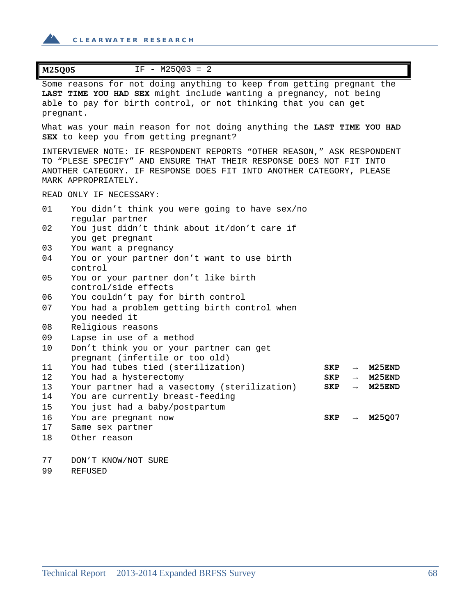$\mathbf{A}$ 

| M25Q05<br>$IF - M25Q03 = 2$                                                                                                                                                                                                                  |
|----------------------------------------------------------------------------------------------------------------------------------------------------------------------------------------------------------------------------------------------|
| Some reasons for not doing anything to keep from getting pregnant the<br>LAST TIME YOU HAD SEX might include wanting a pregnancy, not being<br>able to pay for birth control, or not thinking that you can get<br>pregnant.                  |
| What was your main reason for not doing anything the LAST TIME YOU HAD<br>SEX to keep you from getting pregnant?                                                                                                                             |
| INTERVIEWER NOTE: IF RESPONDENT REPORTS "OTHER REASON," ASK RESPONDENT<br>TO "PLESE SPECIFY" AND ENSURE THAT THEIR RESPONSE DOES NOT FIT INTO<br>ANOTHER CATEGORY. IF RESPONSE DOES FIT INTO ANOTHER CATEGORY, PLEASE<br>MARK APPROPRIATELY. |
| READ ONLY IF NECESSARY:                                                                                                                                                                                                                      |
| 01<br>You didn't think you were going to have sex/no<br>regular partner                                                                                                                                                                      |
| 02<br>You just didn't think about it/don't care if<br>you get pregnant                                                                                                                                                                       |
| 03<br>You want a pregnancy                                                                                                                                                                                                                   |
| 04<br>You or your partner don't want to use birth<br>control                                                                                                                                                                                 |
| 05<br>You or your partner don't like birth<br>control/side effects                                                                                                                                                                           |
| You couldn't pay for birth control<br>06                                                                                                                                                                                                     |
| 07<br>You had a problem getting birth control when<br>you needed it                                                                                                                                                                          |
| 08<br>Religious reasons                                                                                                                                                                                                                      |
| 09<br>Lapse in use of a method                                                                                                                                                                                                               |
| 10<br>Don't think you or your partner can get<br>pregnant (infertile or too old)                                                                                                                                                             |
| You had tubes tied (sterilization)<br>11<br>M <sub>25</sub> END<br>SKP<br>$\longrightarrow$                                                                                                                                                  |
| 12<br>You had a hysterectomy<br>M <sub>25</sub> END<br>SKP<br>$\longrightarrow$                                                                                                                                                              |
| 13<br>Your partner had a vasectomy (sterilization)<br>M <sub>25</sub> END<br>SKP<br>$\longrightarrow$                                                                                                                                        |
| 14<br>You are currently breast-feeding                                                                                                                                                                                                       |
| 15<br>You just had a baby/postpartum                                                                                                                                                                                                         |
| M25Q07<br>16<br>SKP<br>You are pregnant now<br>17<br>Same sex partner                                                                                                                                                                        |
| 18<br>Other reason                                                                                                                                                                                                                           |
| 77<br>DON'T KNOW/NOT SURE                                                                                                                                                                                                                    |
| 99<br><b>REFUSED</b>                                                                                                                                                                                                                         |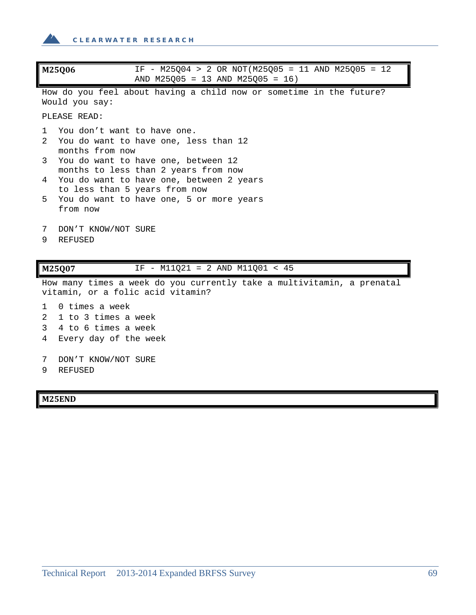

| M25Q06                                                                                                      | IF - M25Q04 > 2 OR NOT(M25Q05 = 11 AND M25Q05 = 12<br>AND M25Q05 = 13 AND M25Q05 = 16)                                                                   |
|-------------------------------------------------------------------------------------------------------------|----------------------------------------------------------------------------------------------------------------------------------------------------------|
| Would you say:                                                                                              | How do you feel about having a child now or sometime in the future?                                                                                      |
| PLEASE READ:                                                                                                |                                                                                                                                                          |
| 1<br>2<br>months from now                                                                                   | You don't want to have one.<br>You do want to have one, less than 12                                                                                     |
| 3<br>4                                                                                                      | You do want to have one, between 12<br>months to less than 2 years from now<br>You do want to have one, between 2 years<br>to less than 5 years from now |
| 5.<br>from now                                                                                              | You do want to have one, 5 or more years                                                                                                                 |
| DON'T KNOW/NOT SURE<br>7<br><b>REFUSED</b><br>9                                                             |                                                                                                                                                          |
| M25Q07                                                                                                      | IF - M11021 = 2 AND M11001 < 45                                                                                                                          |
| How many times a week do you currently take a multivitamin, a prenatal<br>vitamin, or a folic acid vitamin? |                                                                                                                                                          |
| $0$ times a week<br>1<br>1 to 3 times a week<br>2<br>4 to 6 times a week<br>3<br>Every day of the week<br>4 |                                                                                                                                                          |
| 7<br>DON'T KNOW/NOT SURE<br><b>REFUSED</b><br>9                                                             |                                                                                                                                                          |

**M25END**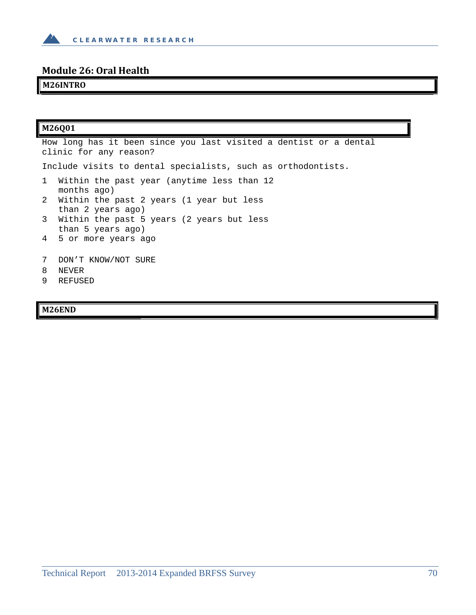

# **Module 26: Oral Health**

# **M26INTRO**

| M26001                                                                                      |  |
|---------------------------------------------------------------------------------------------|--|
| How long has it been since you last visited a dentist or a dental<br>clinic for any reason? |  |
| Include visits to dental specialists, such as orthodontists.                                |  |
| 1<br>Within the past year (anytime less than 12<br>months ago)                              |  |
| 2 Within the past 2 years (1 year but less<br>than 2 years ago)                             |  |
| 3<br>Within the past 5 years (2 years but less<br>than 5 years ago)                         |  |
| 4 5 or more years ago                                                                       |  |
| 7<br>DON'T KNOW/NOT SURE                                                                    |  |
| 8<br>NEVER                                                                                  |  |
| 9<br>REFUSED                                                                                |  |

# **M26END**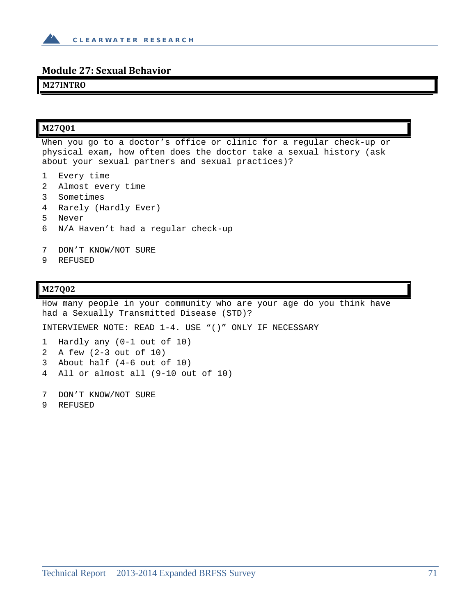

#### **Module 27: Sexual Behavior**

#### **M27INTRO**

#### **M27Q01**

When you go to a doctor's office or clinic for a regular check-up or physical exam, how often does the doctor take a sexual history (ask about your sexual partners and sexual practices)?

- 1 Every time
- 2 Almost every time
- 3 Sometimes
- 4 Rarely (Hardly Ever)
- 5 Never
- 6 N/A Haven't had a regular check-up
- 7 DON'T KNOW/NOT SURE
- 9 REFUSED

#### **M27Q02**

How many people in your community who are your age do you think have had a Sexually Transmitted Disease (STD)?

INTERVIEWER NOTE: READ 1-4. USE "()" ONLY IF NECESSARY

- 1 Hardly any (0-1 out of 10) 2 A few (2-3 out of 10) 3 About half (4-6 out of 10)
- 4 All or almost all (9-10 out of 10)
- 7 DON'T KNOW/NOT SURE
- 9 REFUSED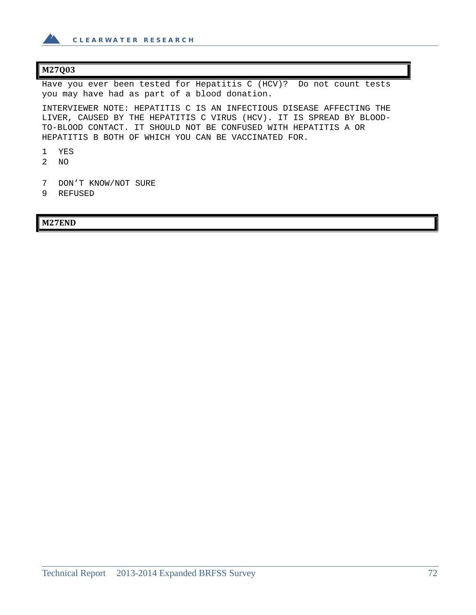

#### **M27Q03**

Have you ever been tested for Hepatitis C (HCV)? Do not count tests you may have had as part of a blood donation.

INTERVIEWER NOTE: HEPATITIS C IS AN INFECTIOUS DISEASE AFFECTING THE LIVER, CAUSED BY THE HEPATITIS C VIRUS (HCV). IT IS SPREAD BY BLOOD-TO-BLOOD CONTACT. IT SHOULD NOT BE CONFUSED WITH HEPATITIS A OR HEPATITIS B BOTH OF WHICH YOU CAN BE VACCINATED FOR.

- 1 YES
- 2 NO
- 7 DON'T KNOW/NOT SURE
- 9 REFUSED

#### **M27END**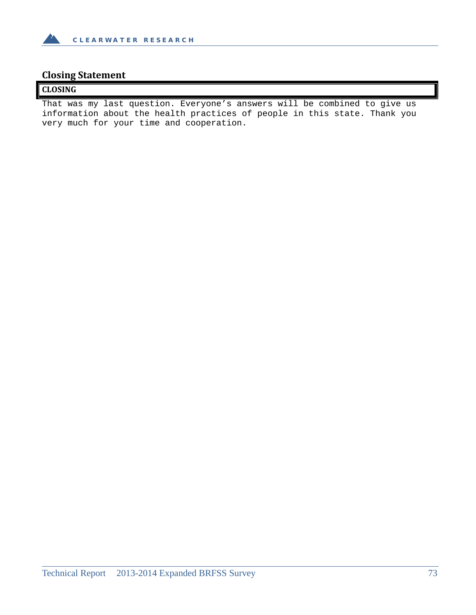

# **Closing Statement**

#### **CLOSING**

That was my last question. Everyone's answers will be combined to give us information about the health practices of people in this state. Thank you very much for your time and cooperation.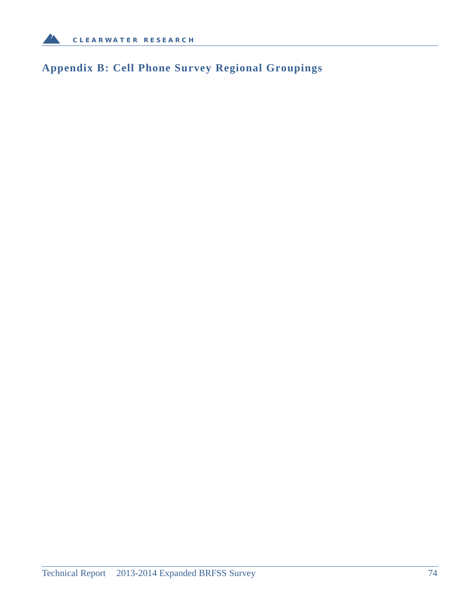

# **Appendix B: Cell Phone Survey Regional Groupings**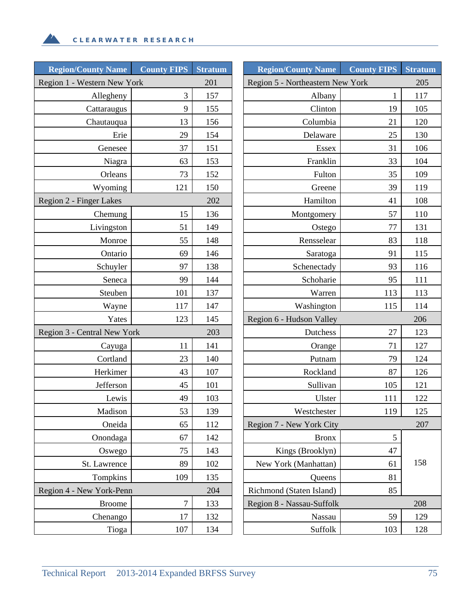$\mathbf{A}$ 

| <b>Region/County Name</b>   | <b>County FIPS</b> | <b>Stratum</b> | <b>Region/County Name</b>        | <b>County FIPS</b> | <b>Stratum</b> |
|-----------------------------|--------------------|----------------|----------------------------------|--------------------|----------------|
| Region 1 - Western New York |                    | 201            | Region 5 - Northeastern New York |                    | 205            |
| Allegheny                   | 3                  | 157            | Albany                           | 1                  | 117            |
| Cattaraugus                 | 9                  | 155            | Clinton                          | 19                 | 105            |
| Chautauqua                  | 13                 | 156            | Columbia                         | 21                 | 120            |
| Erie                        | 29                 | 154            | Delaware                         | 25                 | 130            |
| Genesee                     | 37                 | 151            | Essex                            | 31                 | 106            |
| Niagra                      | 63                 | 153            | Franklin                         | 33                 | 104            |
| Orleans                     | 73                 | 152            | Fulton                           | 35                 | 109            |
| Wyoming                     | 121                | 150            | Greene                           | 39                 | 119            |
| Region 2 - Finger Lakes     |                    | 202            | Hamilton                         | 41                 | 108            |
| Chemung                     | 15                 | 136            | Montgomery                       | 57                 | 110            |
| Livingston                  | 51                 | 149            | Ostego                           | 77                 | 131            |
| Monroe                      | 55                 | 148            | Rensselear                       | 83                 | 118            |
| Ontario                     | 69                 | 146            | Saratoga                         | 91                 | 115            |
| Schuyler                    | 97                 | 138            | Schenectady                      | 93                 | 116            |
| Seneca                      | 99                 | 144            | Schoharie                        | 95                 | 111            |
| Steuben                     | 101                | 137            | Warren                           | 113                | 113            |
| Wayne                       | 117                | 147            | Washington                       | 115                | 114            |
| Yates                       | 123                | 145            | Region 6 - Hudson Valley         |                    | 206            |
| Region 3 - Central New York |                    | 203            | Dutchess                         | 27                 | 123            |
| Cayuga                      | 11                 | 141            | Orange                           | 71                 | 127            |
| Cortland                    | 23                 | 140            | Putnam                           | 79                 | 124            |
| Herkimer                    | 43                 | 107            | Rockland                         | 87                 | 126            |
| Jefferson                   | 45                 | 101            | Sullivan                         | 105                | 121            |
| Lewis                       | 49                 | 103            | Ulster                           | 111                | 122            |
| Madison                     | 53                 | 139            | Westchester                      | 119                | 125            |
| Oneida                      | 65                 | 112            | Region 7 - New York City         |                    | 207            |
| Onondaga                    | 67                 | 142            | <b>Bronx</b>                     | $\mathfrak{S}$     |                |
| Oswego                      | 75                 | 143            | Kings (Brooklyn)                 | 47                 |                |
| St. Lawrence                | 89                 | 102            | New York (Manhattan)             | 61                 | 158            |
| Tompkins                    | 109                | 135            | Queens                           | 81                 |                |
| Region 4 - New York-Penn    |                    | 204            | Richmond (Staten Island)         | 85                 |                |
| <b>Broome</b>               | $\tau$             | 133            | Region 8 - Nassau-Suffolk        |                    | 208            |
| Chenango                    | 17                 | 132            | Nassau                           | 59                 | 129            |
| Tioga                       | 107                | 134            | Suffolk                          | 103                | 128            |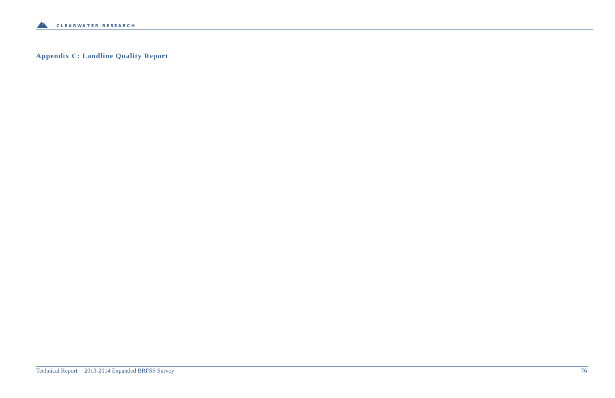

**Appendix C: Landline Quality Report**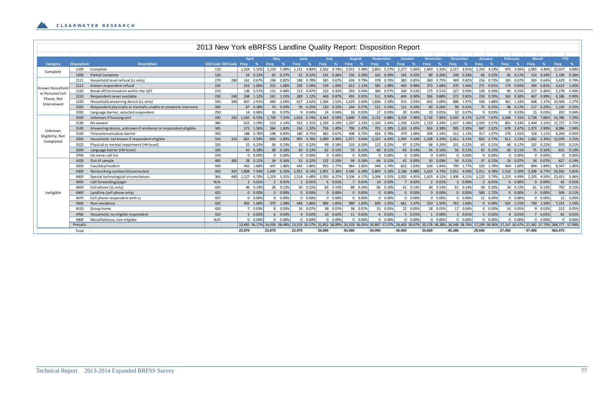|                  |                    |                                                                |                        |     |                 |             |                 |             |                 | 2013 New York eBRFSS Landline Quality Report: Disposition Report |        |                 |                  |             |                 |                         |             |                 |                  |                                                                                                                                                                                        |                  |         |                 |
|------------------|--------------------|----------------------------------------------------------------|------------------------|-----|-----------------|-------------|-----------------|-------------|-----------------|------------------------------------------------------------------|--------|-----------------|------------------|-------------|-----------------|-------------------------|-------------|-----------------|------------------|----------------------------------------------------------------------------------------------------------------------------------------------------------------------------------------|------------------|---------|-----------------|
|                  |                    |                                                                |                        |     |                 |             |                 |             |                 |                                                                  |        |                 |                  |             |                 |                         |             |                 |                  |                                                                                                                                                                                        |                  |         |                 |
|                  |                    |                                                                |                        |     | April           | May         |                 | <b>June</b> |                 | July                                                             |        | <b>August</b>   | <b>September</b> | October     |                 | November                |             | <b>December</b> | <b>January</b>   | <b>February</b>                                                                                                                                                                        | <b>March</b>     |         | <b>YTD</b>      |
| <b>Category</b>  | <b>Disposition</b> | <b>Description</b>                                             | Old Code Old Code Freq |     | %               | Frea        | %               | Freq        | %               | Freq %                                                           | Freq   | - %             | Freq<br>—%       | Freq        | $\%$            | Freq                    | <b>Freq</b> | - %             | Freq<br>- %      | Freq<br>- %                                                                                                                                                                            | Freq             | Frea    | $\%$            |
| Complete         | 1100               | Complete                                                       | 110                    |     | 1.324 5.52%     | 1.219 5.09% |                 | 1,151 4.80% |                 | 2,562 4.74%                                                      |        | 2,911 5.38%     | 2,850 5.27%      |             | 2,277 5.06%     | 1,843 5.32%             |             | 2,217 4.91%     | 1,242 4.19%      | 976 3.56%                                                                                                                                                                              | 2,085 4.40%      |         | 22,657 4.89%    |
|                  | 1200               | <b>Partial Complete</b>                                        | 120                    |     | 54 0.23%        | 65 0.27%    |                 |             | 52 0.22%        | 141 0.26%                                                        |        | 156 0.29%       | 162 0.30%        |             | 145 0.32%       | 89 0.26%                |             | 109 0.24%       | 66 0.22%         | 46 0.17%                                                                                                                                                                               | 114 0.24%        |         | 1,199 0.26%     |
|                  | 2111               | Household level refusal (LL only)                              | 270                    | 280 | 161 0.67%       | 196 0.82%   |                 | 188 0.78%   |                 | 365 0.67%                                                        |        | 426 0.79%       | 378 0.70%        |             | 382 0.85%       | 260 0.75%               |             | 369 0.82%       | 216 0.73%        | 185 0.67%                                                                                                                                                                              | 303 0.64%        |         | 3,429 0.74%     |
| Known Household  | 2112               | Known respondent refusal                                       | 220                    |     | 253 1.06%       | 253 1.06%   |                 | 250 1.04%   |                 | 539 1.00%                                                        |        | 613 1.13%       | 585 1.08%        |             | 443 0.98%       | 373 1.08%               |             | 470 1.04%       | 271 0.91%        | 179 0.65%                                                                                                                                                                              | 394 0.83%        |         | 4,623 1.00%     |
| or Personal Cell | 2120               | Break off/termination within the QST                           | 210                    |     | 136 0.57%       | 115 0.48%   |                 | 113 0.47%   |                 | 232 0.43%                                                        |        | 293 0.54%       | 306 0.57%        |             | 240 0.53%       | 175 0.51%               |             | 227 0.50%       | 128 0.43%        | 96 0.35%                                                                                                                                                                               | 217 0.46%        |         | 2,278 0.49%     |
| Phone, Not       | 2210               | Respondent never available                                     | 230                    | 240 | 268 1.12%       | 241 1.01%   |                 | 269 1.12%   |                 | 469 0.87%                                                        |        | 493 0.91%       | 511 0.94%        |             | 404 0.90%       | 306 0.88%               |             | 372 0.82%       | 226 0.76%        | 160 0.58%                                                                                                                                                                              | 467<br>0.99%     |         | 4,186 0.90%     |
| Interviewed      | 2220               | Household answering device (LL only)                           | 335                    | 340 | 697 2.91%       | 489 2.04%   |                 | 627 2.62%   |                 | 1,364 2.52%                                                      |        | 1.429 2.64%     | 1,836 3.39%      |             | 915 2.03%       | 692 2.00%               |             | 888 1.97%       | 558 1.88%        | 361 1.32%                                                                                                                                                                              | 648 1.37%        |         | 10.504 2.27%    |
|                  | 2320               | Respondent physically or mentally unable to complete interview | 260                    |     | 67 0.28%        | 70 0.29%    |                 |             | 59 0.25%        | 120 0.22%                                                        |        | 144 0.27%       | 131 0.24%        |             | 131 0.29%       | 90 0.26%                |             | 98 0.22%        | 75 0.25%         | 48 0.17%                                                                                                                                                                               | 117 0.25%        |         | 1,150 0.25%     |
|                  | 2330               | Language barrier, selected respondent                          | 250                    |     | 14 0.06%        | 16 0.07%    |                 |             | 9 0.04%         | 24 0.04%                                                         |        | 18 0.03%        | 17 0.03%         |             | 20 0.04%        | 19 0.05%                |             | 32 0.07%        | 9 0.03%          | $9 \quad 0.03%$                                                                                                                                                                        | 15 0.03%         |         | 202 0.049       |
|                  | 3100               | Unknown if housing unit                                        | 330                    | 332 | 1.565 6.53%     | 1.739 7.25% |                 |             |                 | 1.616 6.74% 3.563 6.59%                                          |        | 3,840 7.10%     | 3.722 6.88%      |             |                 | 3,329 7.40% 2,716 7.85% |             | 3,692 8.17%     | 2,273 7.67%      | 2,006 7.31%                                                                                                                                                                            | 3.728 7.86%      |         | 33.789 7.29%    |
|                  | 3130               | No answer                                                      | 360                    |     | 622 2.59%       | 513 2.14%   |                 |             | 553 2.31%       | 1.183 2.19%                                                      |        | 1.207 2.23%     | 1.320 2.44%      |             | 1.358 3.02%     | 1.120 3.24%             |             | 1.437 3.18%     | 1.059 3.57%      | 861 3.14%                                                                                                                                                                              | 1.494 3.15%      |         | 12.727 2.75%    |
| Unknown          | 3140               | Answering device, unknown if residence or respondent eligible  | 345                    |     | 373 1.56%       | 384 1.60%   |                 | 316 1.32%   |                 | 756 1.40%                                                        |        | 796 1.47%       | 701 1.30%        | 1,103 2.45% |                 | 824 2.38%               |             | 995 2.20%       | 687 2.32%        | 678 2.47%                                                                                                                                                                              | 1,373 2.90%      |         | 8,986 1.94%     |
| Eligibility, Not | 3150               | Telecommunication barrier                                      | 350                    |     | 188 0.78%       | 198 0.83%   |                 | 180 0.75%   |                 | 362 0.67%                                                        |        | 408 0.75%       | 424 0.78%        |             | 479 1.06%       | 394 1.14%               |             | 512 1.13%       | 317 1.07%        | 276 1.01%                                                                                                                                                                              | 526 1.11%        |         | 4,264 0.92%     |
| Completed        | 3200               | Household, not known if respondent eligible                    | 310                    | 315 | 861 3.59%       | 693 2.89%   |                 |             | 905 3.78%       | 1,890 3.49%                                                      |        | 1,971 3.64%     | 2,323 4.29%      |             | 1,393 3.10%     | 1,108 3.20%             |             | 1,411 3.12%     | 820 2.77%        | 611 2.23%                                                                                                                                                                              | 1,092 2.30%      |         | 15,078 3.25%    |
|                  | 3322               | Physical or mental impairment (HH level)                       | 325                    |     | 52 0.22%        | 56 0.23%    |                 |             | 52 0.22%        | 99 0.18%                                                         |        | 110 0.20%       | 122 0.23%        |             | 97 0.22%        | 68 0.20%                |             | 101 0.22%       | 63 0.21%         | 48 0.17%                                                                                                                                                                               | 102 0.22%        |         | 970 0.21%       |
|                  | 3330               | Language barrier (HH level)                                    | 320                    |     | 43 0.18%        | 38 0.16%    |                 |             | 30 0.13%        | 62 0.11%                                                         |        | 59 0.11%        | 60 0.11%         |             | 63 0.14%        | 54 0.16%                |             | 56 0.12%        | 45 0.15%         | 30 0.11%                                                                                                                                                                               | 75 0.16%         |         | 615 0.13%       |
|                  | 3700               | On never call list                                             | 370                    |     | $0\quad 0.00\%$ |             | $0\quad 0.00\%$ |             | $0\quad 0.00\%$ | $0\quad 0.00$                                                    |        | $0\quad 0.00\%$ | $0\quad 0.00\%$  |             | $0\quad 0.00\%$ | $0 \quad 0.00\%$        |             | $0\quad 0.00\%$ | $0 \quad 0.00\%$ | $0\quad 0.00\%$                                                                                                                                                                        | $0\quad 0.00%$   |         | $0\quad 0.009$  |
|                  | 4100               | Out of sample                                                  | 405                    | 305 | 28 0.12%        | 39 0.16%    |                 |             | 53 0.22%        | 132 0.24%                                                        |        | 99 0.18%        | 64 0.12%         |             | 42 0.09%        | 30 0.09%                |             | 50 0.11%        | 37 0.12%         | 19 0.07%                                                                                                                                                                               | 34 0.07%         |         | 627 0.14%       |
|                  | 4200               | Fax/data/modem                                                 | 430                    |     | 402 1.68%       | 447 1.86%   |                 | 445 1.86%   |                 | 955 1.77%                                                        |        | 984 1.82%       | 940 1.74%        |             | 822 1.83%       | 636 1.84%               |             | 799 1.77%       | 529 1.78%        | 494 1.80%                                                                                                                                                                              | 894 1.89%        |         | 8,347 1.80%     |
|                  | 4300               | Nonworking number/disconnected                                 | 450                    | 355 | 1,808 7.54%     | 1,499       | 6.25%           | 1,951 8.14% |                 | 2,901 5.36%                                                      |        | 3,345 6.18%     | 2,803 5.18%      | 2,196 4.88% |                 | 1,633 4.72%             |             | 2,051 4.54%     | 2,011 6.78%      | 1,510 5.50%                                                                                                                                                                            | 3,208 6.77%      |         | 26,916 5.81%    |
|                  | 4400               | Special technological circumstances                            | 365                    | 440 | 1.127 4.70%     | 1,259       | 5.25%           | 1,314 5.48% |                 | 3,393 6.27%                                                      |        | 3,336 6.17%     | 3,004 5.55%      |             | 2,002 4.45%     | 1,425 4.12%             |             | 1,900 4.21%     | 1,123 3.79%      | 1,233 4.49%                                                                                                                                                                            | 2,335 4.93%      |         | 23,451 5.06%    |
|                  | 4430               | Call forwarding/pager                                          | N/A                    |     | 2 0.01%         |             | 2 0.01%         |             | 2 0.01%         | 6 0.01%                                                          |        | 7 0.01%         | 10 0.02%         |             | 7 0.02%         | 2 0.01%                 |             | 2 0.00%         | 2 0.01%          | $0\quad 0.00\%$                                                                                                                                                                        | $0\quad 0.00\%$  |         | 42 0.01%        |
|                  | 4450               | Cell phone (LL only)                                           | 435                    |     | 46 0.19%        | 28 0.12%    |                 |             | 50 0.21%        | 83 0.15%                                                         |        | 88 0.16%        | 86 0.16%         |             | 61 0.14%        | 46 0.13%                |             | 61 0.14%        | 58 0.20%         | 34 0.12%                                                                                                                                                                               | 61 0.13%         |         | 702 0.15%       |
| Ineligible       | 4460               | Landline (cell phone only)                                     | 425                    |     | $0\quad 0.00\%$ |             | $0\quad 0.00\%$ |             | $0\quad 0.00\%$ | $0\quad 0.00\%$                                                  |        | $0\quad 0.00\%$ | $0\quad 0.00\%$  |             | $0\quad 0.00\%$ | $0\quad 0.00\%$         |             | $0\quad 0.00\%$ | 509 1.72%        | $0\quad 0.00\%$                                                                                                                                                                        | $0\quad 0.00\%$  |         | 509 0.11%       |
|                  | 4470               | Cell phone respondent with LL                                  | 437                    |     | $0\quad 0.00\%$ |             | $0\quad 0.00\%$ |             | $0\quad 0.00\%$ | $0\quad 0.00$                                                    |        | $0\quad 0.00\%$ | $0\quad 0.00\%$  |             | $0\quad 0.00\%$ | $0\quad 0.00\%$         |             | $0\quad 0.00\%$ | 12 0.04%         | $0\quad 0.00\%$                                                                                                                                                                        | $0\quad 0.00%$   |         | 12 0.00%        |
|                  | 4500               | Non-residence                                                  | 420                    |     | 402 1.68%       | 379 1.58%   |                 | 446 1.86%   |                 | 989 1.83%                                                        |        | 989 1.83%       | 839 1.55%        |             | 661 1.47%       | 520 1.50%               |             | 763 1.69%       | $0\quad 0.00\%$  | 425 1.55%                                                                                                                                                                              | 740 1.56%        |         | 7,153 1.54%     |
|                  | 4510               | Group home                                                     | 420                    |     | 7 0.03%         |             | 8 0.03%         |             | 16 0.07%        | 38 0.07%                                                         |        | 38 0.07%        | 25 0.05%         |             | 22 0.05%        | 18 0.05%                |             | 17 0.04%        | $0\quad 0.00\%$  | 14 0.05%                                                                                                                                                                               | $9 \quad 0.02\%$ |         | 212 0.05%       |
|                  | 4700               | Household, no eligible respondent                              | 410                    |     | 5 0.02%         |             | 6 0.03%         |             | 4 0.02%         | 10 0.02%                                                         |        | 11 0.02%        | 4 0.01%          |             | 5 0.01%         | 1 0.00%                 |             | 3 0.01%         | 5 0.02%          | 4 0.01%                                                                                                                                                                                | 7 0.01%          |         | 65 0.01%        |
|                  | 4900               | Miscellaneous, non-eligible                                    | N/A                    |     | $0\quad 0.00\%$ |             | $0\quad 0.00\%$ |             | $0\quad 0.00\%$ | $0\quad 0.00$                                                    |        | $0\quad 0.00\%$ | $0\quad 0.00\%$  |             | $0\quad 0.00\%$ | $0 \quad 0.00\%$        |             | $0\quad 0.00\%$ | $0 \quad 0.00\%$ | $0\quad 0.00\%$                                                                                                                                                                        | $0\quad 0.00%$   |         | $0\quad 0.00\%$ |
|                  | Precalls           |                                                                |                        |     |                 |             |                 |             |                 |                                                                  |        |                 |                  |             |                 |                         |             |                 |                  | 13,465 56.17% 14,018 58.48% 13,319 55.57% 31,852 58.89% 30,319 56.05% 30,867 57.07% 26,403 58.67% 20,178 58.28% 26,548 58.76% 17,299 58.36% 17,147 62.47% 27,362 57.73% 268,777 57.99% |                  |         |                 |
|                  | Total              |                                                                |                        |     | 23,970          | 23.970      |                 | 23,970      |                 | 54.090                                                           | 54.090 |                 | 54.090           | 45.000      |                 | 34.620                  | 45.180      |                 | 29.640           | 27.450                                                                                                                                                                                 | 47.400           | 463.470 |                 |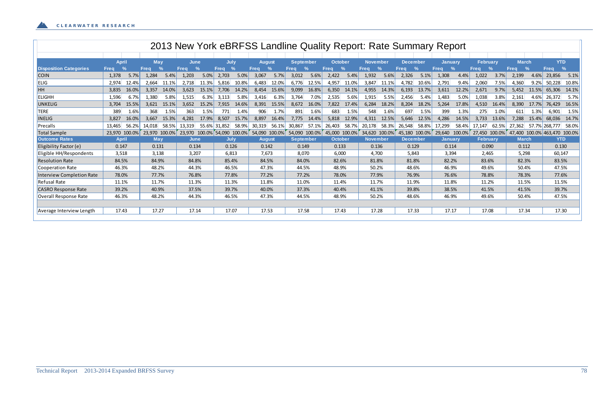|                                  |              |               |             |               |             |               |             |               |               |               |                  |                  |             |               |                 |           |                 |       | 2013 New York eBRFSS Landline Quality Report: Rate Summary Report |               |                 |        |              |               |                       |               |
|----------------------------------|--------------|---------------|-------------|---------------|-------------|---------------|-------------|---------------|---------------|---------------|------------------|------------------|-------------|---------------|-----------------|-----------|-----------------|-------|-------------------------------------------------------------------|---------------|-----------------|--------|--------------|---------------|-----------------------|---------------|
|                                  |              |               |             |               |             |               |             |               |               |               |                  |                  |             |               |                 |           |                 |       |                                                                   |               |                 |        |              |               |                       |               |
|                                  | <b>April</b> |               | May         |               | <b>June</b> |               | July        |               | <b>August</b> |               |                  | <b>September</b> | October     |               | <b>November</b> |           | <b>December</b> |       | <b>Januarv</b>                                                    |               | <b>February</b> |        | <b>March</b> |               | <b>YTD</b>            |               |
| <b>Disposition Categories</b>    | <b>Freq</b>  | $\frac{6}{6}$ | <b>Freq</b> | $\frac{0}{0}$ | <b>Freq</b> | $\sqrt{2}$    | <b>Freq</b> | $\frac{0}{0}$ | <b>Freq</b>   | $\frac{9}{6}$ | <b>Freq</b>      | %                | <b>Freg</b> | $\frac{9}{6}$ | <b>Freq</b>     | $\%$      | <b>Freq</b>     |       | <b>Freg</b>                                                       | $\frac{0}{0}$ | <b>Freg</b>     |        | <b>Freq</b>  | $\frac{9}{6}$ | <b>Freq</b>           | $\frac{9}{6}$ |
| <b>COIN</b>                      | 1,378        | 5.7%          | 1,284       | 5.4%          | 1,203       | 5.0%          | 2,703       | 5.0%          | 3,067         | 5.7%          | 3,012            | 5.6%             | 2,422       | 5.4%          | 1,932           | 5.6%      | 2,326           | 5.1%  | 1,308                                                             | 4.4%          | 1,022           | 3.7%   | 2,199        | 4.6%          | 23,856                | 5.1%          |
| <b>ELIG</b>                      | 2,974        | 12.4%         | 2,664       | 11.1%         | 2,718       | 11.3%         | 5,816       | 10.8%         | 6,483         | 12.0%         | 6,776            | 12.5%            | 4,957       | 11.0%         | 3,847           | 11.1%     | 4,782           | 10.6% | 2,791                                                             | 9.4%          | 2,060           | 7.5%   | 4,360        | 9.2%          | 50,228                | 10.8%         |
| HH                               | 3,835        | 16.0%         | 3,357       | 14.0%         | 3,623       | 15.1%         | 7,706       | 14.2%         | 8,454         | 15.6%         | 9,099            | 16.8%            | 6,350       | 14.1%         | 4,955           | 14.3%     | 6,193           | 13.7% | 3,611                                                             | 12.2%         | 2,671           | 9.7%   | 5,452        | 11.5%         | 65,306                | 14.1%         |
| <b>ELIGHH</b>                    | 1,596        | 6.7%          | 1,380       | 5.8%          | 1,515       | 6.3%          | 3,113       | 5.8%          | 3,416         | 6.3%          | 3,764            | 7.0%             | 2,535       | 5.6%          | 1,915           | 5.5%      | 2,456           | 5.4%  | 1,483                                                             | 5.0%          | 1,038           | 3.8%   | 2,161        | 4.6%          | 26,372                | 5.7%          |
| UNKELIG                          | 3,704        | 15.5%         | 3,621       | 15.1%         | 3,652       | 15.2%         | 7,915       | 14.6%         | 8,391         | 15.5%         | 8,672            | 16.0%            | 7,822       | 17.4%         | 6,284           | 18.2%     | 8,204           | 18.2% | 5,264                                                             | 17.8%         | 4,510           | 16.4%  | 8,390        | 17.7%         | 76,429                | 16.5%         |
| <b>TERE</b>                      | 389          | 1.6%          | 368         | 1.5%          | 363         | 1.5%          | 771         | 1.4%          | 906           | 1.7%          | 891              | 1.6%             | 683         | 1.5%          | 548             | 1.6%      | 697             | 1.5%  | 399                                                               | 1.3%          | 275             | 1.0%   | 611          | 1.3%          | 6,901                 | 1.5%          |
| <b>INELIG</b>                    | 3,827        | 16.0%         | 3,667       | 15.3%         | 4,281       | 17.9%         | 8,507       | 15.7%         | 8,897         | 16.4%         | 7,775            | 14.4%            | 5,818       | 12.9%         | 4,311           | 12.5%     | 5,646           | 12.5% | 4,286                                                             | 14.5%         | 3,733           | 13.6%  | 7,288        | 15.4%         | 68,036                | 14.7%         |
| Precalls                         | 13,465       | 56.2%         | 14,018      | 58.5%         | 13,319      | 55.6% 31,852  |             | 58.9%         | 30,319        | 56.1%         | 30,867           | 57.1%            | 26,403      | 58.7%         | 20,178          | 58.3%     | 26,548          | 58.8% | 17,299                                                            | 58.4%         | 17,147          | 62.5%  | 27,362       |               | 57.7% 268,777         | 58.0%         |
| Total Sample                     | 23,970       | 100.0%        | 23,970      | 100.0%        | 23,970      | 100.0% 54,090 |             | 100.0%        | 54,090 100.0% |               | 54,090           | $100.0\%$        | 45,000      | 100.0%        | 34,620          | $100.0\%$ | 45,180 100.0%   |       | 29,640                                                            | 100.0%        | 27,450          | 100.0% | 47,400       |               | 100.0% 463,470 100.0% |               |
| <b>Outcome Rates</b>             | <b>April</b> |               | May         |               | June        |               | July        |               | <b>August</b> |               | <b>September</b> |                  | October     |               | <b>November</b> |           | <b>December</b> |       | <b>January</b>                                                    |               | <b>February</b> |        | <b>March</b> |               | <b>YTD</b>            |               |
| Eligibility Factor (e)           | 0.147        |               | 0.131       |               | 0.134       |               | 0.126       |               | 0.142         |               | 0.149            |                  | 0.133       |               | 0.136           |           | 0.129           |       | 0.114                                                             |               | 0.090           |        | 0.112        |               | 0.130                 |               |
| Eligible HH/Respondents          | 3,518        |               | 3,138       |               | 3,207       |               | 6,813       |               | 7,673         |               | 8,070            |                  | 6,000       |               | 4,700           |           | 5,843           |       | 3,394                                                             |               | 2,465           |        | 5,298        |               | 60,147                |               |
| <b>Resolution Rate</b>           | 84.5%        |               | 84.9%       |               | 84.8%       |               | 85.4%       |               | 84.5%         |               | 84.0%            |                  | 82.6%       |               | 81.8%           |           | 81.8%           |       | 82.2%                                                             |               | 83.6%           |        | 82.3%        |               | 83.5%                 |               |
| Cooperation Rate                 | 46.3%        |               | 48.2%       |               | 44.3%       |               | 46.5%       |               | 47.3%         |               | 44.5%            |                  | 48.9%       |               | 50.2%           |           | 48.6%           |       | 46.9%                                                             |               | 49.6%           |        | 50.4%        |               | 47.5%                 |               |
| <b>Interview Completion Rate</b> | 78.0%        |               | 77.7%       |               | 76.8%       |               | 77.8%       |               | 77.2%         |               | 77.2%            |                  | 78.0%       |               | 77.9%           |           | 76.9%           |       | 76.6%                                                             |               | 78.8%           |        | 78.3%        |               | 77.6%                 |               |
| <b>Refusal Rate</b>              | 11.1%        |               | 11.7%       |               | 11.3%       |               | 11.3%       |               | 11.8%         |               | 11.0%            |                  | 11.4%       |               | 11.7%           |           | 11.9%           |       | 11.8%                                                             |               | 11.2%           |        | 11.5%        |               | 11.5%                 |               |
| <b>CASRO Response Rate</b>       | 39.2%        |               | 40.9%       |               | 37.5%       |               | 39.7%       |               | 40.0%         |               | 37.3%            |                  | 40.4%       |               | 41.1%           |           | 39.8%           |       | 38.5%                                                             |               | 41.5%           |        | 41.5%        |               | 39.7%                 |               |
| Overall Response Rate            | 46.3%        |               | 48.2%       |               | 44.3%       |               | 46.5%       |               | 47.3%         |               | 44.5%            |                  | 48.9%       |               | 50.2%           |           | 48.6%           |       | 46.9%                                                             |               | 49.6%           |        | 50.4%        |               | 47.5%                 |               |
|                                  |              |               |             |               |             |               |             |               |               |               |                  |                  |             |               |                 |           |                 |       |                                                                   |               |                 |        |              |               |                       |               |
| Average Interview Length         | 17.43        |               | 17.27       |               | 17.14       |               | 17.07       |               | 17.53         |               | 17.58            |                  | 17.43       |               | 17.28           |           | 17.33           |       | 17.17                                                             |               | 17.08           |        | 17.34        |               | 17.30                 |               |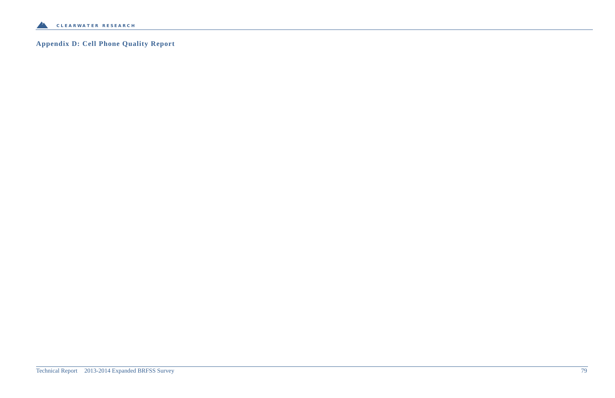

# **Appendix D: Cell Phone Quality Report**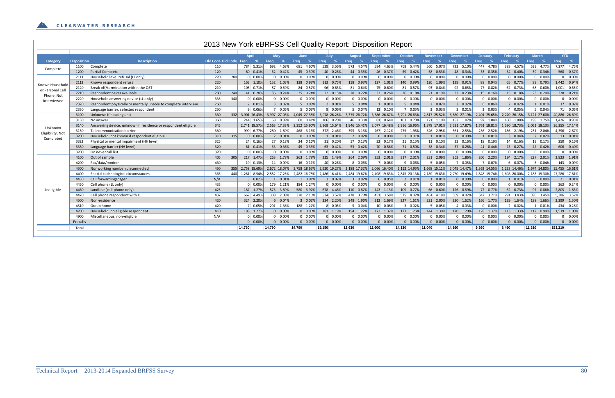|                  |                    |                                                                |                        |     |                  |                   |             |                  |                           | 2013 New York eBRFSS Cell Quality Report: Disposition Report |                  |                 |                           |                                        |                    |                  |                  |                            |
|------------------|--------------------|----------------------------------------------------------------|------------------------|-----|------------------|-------------------|-------------|------------------|---------------------------|--------------------------------------------------------------|------------------|-----------------|---------------------------|----------------------------------------|--------------------|------------------|------------------|----------------------------|
|                  |                    |                                                                |                        |     |                  |                   |             |                  |                           |                                                              |                  |                 |                           |                                        |                    |                  |                  |                            |
|                  |                    |                                                                |                        |     | April            | May               |             | June             | July                      | <b>August</b>                                                | <b>September</b> | October         | November                  | <b>December</b>                        | <b>January</b>     | <b>February</b>  | <b>March</b>     | <b>YTD</b>                 |
| Category         | <b>Disposition</b> | <b>Description</b>                                             | Old Code Old Code Freq |     | -%               | Freq<br>- %       | <b>Freq</b> | - %              | Freq<br>%                 | Freq<br>- %                                                  | Freq<br>- %      | Freq<br>- %     | Freq<br>- %               | Freq<br>%                              | <b>Freq</b><br>- % | Freq<br>$\%$     | Freq<br>- %      | Freq<br>$\%$               |
| Complete         | 1100               | Complete                                                       | 110                    |     | 784 5.31%        | 692 4.68%         |             | 681 4.60%        | 539 3.56%                 | 573 4.54%                                                    | 584 4.63%        | 768 5.44%       | 560 5.07%                 | 722 5.10%                              | 447 4.78%          | 388 4.57%        | 539 4.77%        | 7,277 4.75%                |
|                  | 1200               | <b>Partial Complete</b>                                        | 120                    |     | 60 0.41%         | 62 0.42%          |             | 45 0.30%         | 40 0.26%                  | 44 0.35%                                                     | 46 0.37%         | 59 0.42%        | 58 0.53%                  | 48 0.34%                               | 33 0.35%           | 34 0.40%         | 39 0.34%         | 568 0.37%                  |
|                  | 2111               | Household level refusal (LL only)                              | 270                    | 280 | $0 \quad 0.00\%$ | $0\quad 0.00\%$   |             | $0\quad 0.00\%$  | $0\quad 0.00\%$           | $0\quad 0.00\%$                                              | $0\quad 0.00\%$  | $0\quad 0.00\%$ | $0\quad 0.00\%$           | $0\quad 0.00\%$                        | $0\quad 0.00\%$    | $0\quad 0.00\%$  | $0\quad 0.00\%$  | $0\qquad 0.00\%$           |
| Known Household  | 2112               | Known respondent refusal                                       | 220                    |     | 163 1.10%        | 152 1.03%         |             | 138 0.93%        | 113 0.75%                 | 118 0.93%                                                    | 127 1.01%        | 140 0.99%       | 120 1.09%                 | 129 0.91%                              | 88 0.94%           | 65 0.77%         | 89 0.79%         | 1,442 0.94%                |
| or Personal Cell | 2120               | Break off/termination within the QST                           | 210                    |     | 105 0.71%        | 87 0.59%          |             | 84 0.57%         | 96 0.63%                  | 81 0.64%                                                     | 75 0.60%         | 81 0.57%        | 93 0.84%                  | 92 0.65%                               | 77 0.82%           | 62 0.73%         | 68 0.60%         | 1,001 0.65%                |
| Phone, Not       | 2210               | Respondent never available                                     | 230                    | 240 | 41 0.28%         | 36 0.24%          |             | 35 0.24%         | 22 0.15%                  | 28 0.22%                                                     | 33 0.26%         | 26 0.18%        | 21 0.19%                  | 33 0.23%                               | 15 0.16%           | 15 0.18%         | 23 0.20%         | 328 0.21%                  |
| Interviewed      | 2220               | Household answering device (LL only)                           | 335                    | 340 | $0 \quad 0.00\%$ | $0\quad 0.00\%$   |             | $0\quad 0.00\%$  | $0\quad 0.00\%$           | $0\quad 0.00\%$                                              | $0\quad 0.00\%$  | $0\quad 0.00\%$ | $0\quad 0.00\%$           | $0\quad 0.00\%$                        | $0\quad 0.00\%$    | $0\quad 0.00\%$  | $0\quad 0.00\%$  | 0 0.00%                    |
|                  | 2320               | Respondent physically or mentally unable to complete interview | 260                    |     | 2 0.01%          | 3 0.02%           |             | 5 0.03%          | 2 0.01%                   | 5 0.04%                                                      | 1 0.01%          | 5 0.04%         | 2 0.02%                   | 3 0.02%                                | 6 0.06%            | 2 0.02%          | 1 0.01%          | 37 0.02%                   |
|                  | 2330               | Language barrier, selected respondent                          | 250                    |     | 90.06%           | 7 0.05%           |             | $5 \quad 0.03\%$ | 9 0.06%                   | $5 \quad 0.04\%$                                             | 12 0.10%         | 7 0.05%         | $3 \ 0.03%$               | $2 \ 0.01\%$                           | $3 \mid 0.03\%$    | $4 \ 0.05\%$     | $5 \quad 0.04\%$ | 71 0.05%                   |
|                  | 3100               | Unknown if housing unit                                        | 330                    |     | 332 3,901 26.43% | 3.997 27.03%      |             |                  | 4,049 27.38% 3,978 26.26% | 3,375 26.72%                                                 | 3,386 26.87%     |                 |                           | 3,791 26.83% 2,817 25.52% 3,850 27.19% | 2,401 25.65%       | 2.220 26.15%     |                  | 3,121 27.60% 40,886 26.69% |
|                  | 3130               | No answer                                                      | 360                    |     | 244 1.65%        | 58 0.39%          |             | 60 0.41%         | 106 0.70%                 | 46 0.36%                                                     | 81 0.64%         | 103 0.73%       | 121 1.10%                 | 152 1.07%                              | 97 1.04%           | 160 1.88%        | 198 1.75%        | 1,426 0.93%                |
| Unknown          | 3140               | Answering device, unknown if residence or respondent eligible  | 345                    |     | 2,741 18.57%     | 2.563 17.33%      |             | 2.352 15.90%     | 2.369 15.64%              | 1,946 15.41%                                                 | 2,077 16.48%     | 2.396 16.96%    | 1,878 17.01%              | 2,531 17.87%                           | 1,761 18.81%       | 1,590 18.73%     |                  | 2,051 18.13% 26,255 17.14% |
| Eligibility, Not | 3150               | Telecommunication barrier                                      | 350                    |     | 999 6.77%        | 280 1.89%         |             | 468 3.16%        | 372 2.46%                 | 395 3.13%                                                    | 267 2.12%        | 275 1.95%       | 326 2.95%                 | 361 2.55%                              | 236 2.52%          | 186 2.19%        | 231 2.04%        | 4,396 2.87%                |
| Completed        | 3200               | Household, not known if respondent eligible                    | 310                    | 315 | $0\quad 0.00\%$  | 2 0.01%           |             | $0\quad 0.00\%$  | 1 0.01%                   | 2 0.02%                                                      | $0\quad 0.00\%$  | 1 0.01%         | 1 0.01%                   | $0$ 0.00%                              | 1 0.01%            | 3 0.04%          | 2 0.02%          | 13 0.01%                   |
|                  | 3322               | Physical or mental impairment (HH level)                       | 325                    |     | 24 0.16%         | 27 0.18%          |             | 24 0.16%         | 31 0.20%                  | 17 0.13%                                                     | 22 0.17%         | 21 0.15%        | $11 \quad 0.10\%$         | 22 0.16%                               | 18 0.19%           | 14 0.16%         | 19 0.17%         | 250 0.16%                  |
|                  | 3330               | Language barrier (HH level)                                    | 320                    |     | 61 0.41%         | 53 0.36%          |             | 49 0.33%         | 63 0.42%                  | 53 0.42%                                                     | 70 0.56%         | 71 0.50%        | 38 0.34%                  | 37 0.26%                               | 41 0.44%           | 23 0.27%         | 47 0.42%         | 606 0.40%                  |
|                  | 3700               | On never call list                                             | 370                    |     | $0\quad 0.00\%$  | $0\quad 0.00\%$   |             | $0\quad 0.00\%$  | $0\quad 0.00\%$           | $0\quad 0.00\%$                                              | $0\quad 0.00\%$  | $0\quad 0.00\%$ | $0\quad 0.00\%$           | $0 \quad 0.00\%$                       | $0\quad 0.00\%$    | $0 \quad 0.00\%$ | $0 \quad 0.00\%$ | 0 0.00%                    |
|                  | 4100               | Out of sample                                                  | 405                    | 305 | 217 1.47%        | 263 1.78%         |             | 263 1.78%        | 225 1.49%                 | 264 2.09%                                                    | 253 2.01%        | 327 2.31%       | 231 2.09%                 | 263 1.86%                              | 206 2.20%          | 184 2.17%        | 227 2.01%        | 2,923 1.91%                |
|                  | 4200               | Fax/data/modem                                                 | 430                    |     | 19 0.13%         | 14 0.09%          |             | 16 0.11%         | 40 0.26%                  | 8 0.06%                                                      | 7 0.06%          | 9 0.06%         | 5 0.05%                   | 7 0.05%                                | 7 0.07%            | 6 0.07%          | $5 \quad 0.04\%$ | 143 0.09%                  |
|                  | 4300               | Nonworking number/disconnected                                 | 450                    |     | 355 2,758 18.69% | 2,672 18.07%      |             | 2,758 18.65%     | 2,920 19.27%              | 2,188 17.32%                                                 | 2,066 16.40%     | 2,112 14.95%    | 1,668 15.11%              | 2,049 14.47%                           | 1,362 14.55%       | 1,228 14.46%     | 1.674 14.80%     | 25,455 16.61%              |
|                  | 4400               | Special technological circumstances                            | 365                    | 440 | 1,261 8.54%      | 2,552 17.25%      |             | 2,482 16.78%     | 2,486 16.41%              | 2,484 19.67%                                                 | 2,498 19.83%     |                 | 2,845 20.13% 2,189 19.83% | 2,760 19.49%                           | 1,848 19.74%       | 1,698 20.00%     | 2,183 19.30%     | 27,286 17.81%              |
|                  | 4430               | Call forwarding/pager                                          | N/A                    |     | 3 0.02%          | 1 0.01%           |             | 1 0.01%          | 3 0.02%                   | 3 0.02%                                                      | 6 0.05%          | $20.01\%$       | 1 0.01%                   | $0\quad 0.00\%$                        | $0$ 0.00%          | 1 0.01%          | $0\quad 0.00\%$  | 21 0.01%                   |
|                  | 4450               | Cell phone (LL only)                                           | 435                    |     | $0\quad 0.00%$   | 179 1.21%         |             | 184 1.24%        | $0\quad 0.00\%$           | $0\quad 0.00\%$                                              | $0\quad 0.00\%$  | $0\quad 0.00\%$ | $0\quad 0.00\%$           | $0\quad 0.00\%$                        | $0\quad 0.00\%$    | $0\quad 0.00\%$  | $0\quad 0.00\%$  | 363 0.24%                  |
| Ineligible       | 4460               | Landline (cell phone only)                                     | 425                    |     | 187 1.27%        | 575 3.89%         |             | 580 3.92%        | 678 4.48%                 | 110 0.87%                                                    | 143 1.13%        | 109 0.77%       | 66 0.60%                  | 126 0.89%                              | 72 0.77%           | 62 0.73%         | 97 0.86%         | 2,805 1.83%                |
|                  | 4470               | Cell phone respondent with LL                                  | 437                    |     | 662 4.49%        | 308 2.08%         |             | 320 2.16%        | 534 3.52%                 | 478 3.78%                                                    | 451 3.58%        | 575 4.07%       | 461 4.18%                 | 569 4.02%                              | 347 3.71%          | 291 3.43%        | 390 3.45%        | 5,386 3.52%                |
|                  | 4500               | Non-residence                                                  | 420                    |     | 324 2.20%        | 6 0.04%           |             | 3 0.02%          | 334 2.20%                 | 248 1.96%                                                    | 213 1.69%        | 227 1.61%       | 221 2.00%                 | 230 1.62%                              | 166 1.77%          | 139 1.64%        | 188 1.66%        | 2,299 1.50%                |
|                  | 4510               | Group home                                                     | 420                    |     | 7 0.05%          | 201 1.36%         |             | 188 1.27%        | 8 0.05%                   | 5 0.04%                                                      | 10 0.08%         | $3 \ 0.02\%$    | 5 0.05%                   | $4 \quad 0.03\%$                       | $0\quad 0.00\%$    | $2 \ 0.02%$      | $1 \quad 0.01\%$ | 434 0.28%                  |
|                  | 4700               | Household, no eligible respondent                              | 410                    |     | 188 1.27%        | $0\quad 0.00\%$   |             | $0\quad 0.00\%$  | 181 1.19%                 | 154 1.22%                                                    | 172 1.37%        | 177 1.25%       | 144 1.30%                 | 170 1.20%                              | 128 1.37%          | 113 1.33%        | 112 0.99%        | 1.539 1.00%                |
|                  | 4900               | Miscellaneous, non-eligible                                    | N/A                    |     | $0 \quad 0.009$  | $0\quad 0.00\%$   |             | $0\quad 0.00\%$  | $0\quad 0.00\%$           | $0\quad 0.00\%$                                              | $0\quad 0.00\%$  | $0\quad 0.00\%$ | $0\quad 0.00\%$           | $0\quad 0.00\%$                        | $0 \quad 0.00\%$   | $0\quad 0.00\%$  | $0\quad 0.00\%$  | 0 0.00%                    |
|                  | Precalls           |                                                                |                        |     | $0$ 0.00%        | 0.00%<br>$\Omega$ |             | $0$ $0.00\%$     | $0$ $0.00\%$              | $0$ 0.00%                                                    | $0$ 0.00%        | $0$ 0.00%       | $0$ 0.00%                 | $0$ 0.00%                              | $0$ 0.00%          | $0$ 0.00%        | $0$ 0.00%        | $0\quad 0.00\%$            |
|                  | Total              |                                                                |                        |     | 14.760           | 14.790            | 14.790      |                  | 15.150                    | 12.630                                                       | 12,600           | 14.130          | 11.040                    | 14.160                                 | 9,360              | 8.490            | 11,310           | 153,210                    |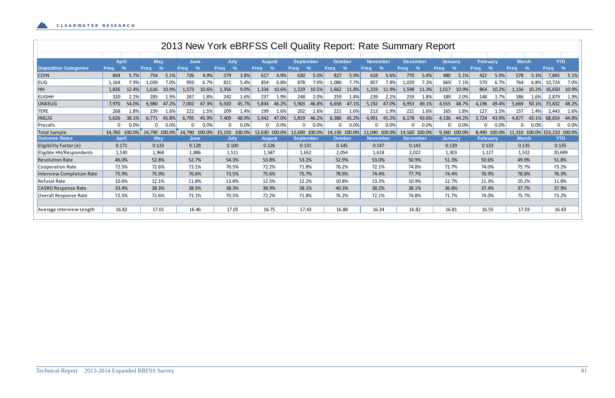|                               |                              |        |             |               |                              |        |                              |        |               |               |                  |               |                |        |                 |               |                 |               | 2013 New York eBRFSS Cell Quality Report: Rate Summary Report |         |                 |               |              |               |                              |       |
|-------------------------------|------------------------------|--------|-------------|---------------|------------------------------|--------|------------------------------|--------|---------------|---------------|------------------|---------------|----------------|--------|-----------------|---------------|-----------------|---------------|---------------------------------------------------------------|---------|-----------------|---------------|--------------|---------------|------------------------------|-------|
|                               |                              |        |             |               |                              |        |                              |        |               |               |                  |               |                |        |                 |               |                 |               |                                                               |         |                 |               |              |               |                              |       |
|                               | <b>April</b>                 |        | May         |               | June                         |        | July                         |        | <b>August</b> |               | <b>September</b> |               | <b>October</b> |        | <b>November</b> |               | <b>December</b> |               | <b>January</b>                                                |         | <b>February</b> |               | <b>March</b> |               | <b>YTD</b>                   |       |
| <b>Disposition Categories</b> | $\frac{9}{4}$<br><b>Freq</b> |        | <b>Freg</b> | $\frac{0}{0}$ | $\frac{9}{6}$<br><b>Freg</b> |        | $\frac{9}{6}$<br><b>Freg</b> |        | <b>Freq</b>   | $\frac{9}{6}$ | <b>Freq</b>      | $\frac{9}{6}$ | Freq           | $\%$   | Frea            | $\frac{9}{6}$ | Freq            | $\frac{9}{6}$ | <b>Frea</b>                                                   | $\%$    | <b>Frea</b>     | $\frac{9}{6}$ | <b>Frea</b>  | $\frac{9}{6}$ | <b>Freq</b>                  | $\%$  |
| <b>COIN</b>                   | 844                          | 5.7%   | 754         | 5.1%          | 726                          | 4.9%   | 579                          | 3.8%   | 617           | 4.9%          | 630              | 5.0%          | 827            | 5.9%   | 618             | 5.6%          | 770             | 5.4%          | 480                                                           | 5.1%    | 422             | 5.0%          | 578          | 5.1%          | 7,845                        | 5.1%  |
| <b>ELIG</b>                   | 1,164                        | 7.9%   | 1,039       | 7.0%          | 993                          | 6.7%   | 821                          | 5.4%   | 854           | 6.8%          | 878              | 7.0%          | 1,086          | 7.7%   | 857             | 7.8%          | 1,029           | 7.3%          | 669                                                           | 7.1%    | 570             | 6.7%          | 764          | 6.8%          | 10,724                       | 7.0%  |
| HH                            | 1,826                        | 12.4%  | .616        | 10.9%         | 1,573                        | 10.6%  | 1,356                        | 9.0%   | 1,334         | 10.6%         | 1,329            | 10.5%         | 1,662          | 11.8%  | 1,319           | 11.9%         | 1,598           | 11.3%         | 1,017                                                         | 10.9%   | 864             | 10.2%         | 1,156        | 10.2%         | 16,650                       | 10.9% |
| <b>ELIGHH</b>                 | 320                          | 2.2%   | 285         | 1.9%          | 267                          | 1.8%   | 242                          | 1.6%   | 237           | 1.9%          | 248              | 2.0%          | 259            | 1.8%   | 239             | 2.2%          | 259             | 1.8%          | 189                                                           | 2.0%    | 148             | 1.7%          | 186          | 1.6%          | 2,879                        | 1.9%  |
| UNKELIG                       | 7,970                        | 54.0%  | 5,980       | 47.2%         | 7,002                        | 47.3%  | 6,920                        | 45.7%  | 5,834         | 46.2%         | 5,903            | 46.8%         | 6,658          | 47.1%  | 5,192           | 47.0%         | 6,953           | 49.1%         | 4,555                                                         | 48.7%   | 4,196           | 49.4%         | 5,669        | 50.1%         | 73,832                       | 48.2% |
| <b>TERE</b>                   | 268                          | 1.8%   | 239         | 1.6%          | 222                          | 1.5%   | 209                          | 1.4%   | 199           | 1.6%          | 202              | 1.6%          | 221            | 1.6%   | 213             | 1.9%          | 221             | 1.6%          | 165                                                           | 1.8%    | 127             | 1.5%          | 157          | 1.4%          | 2,443                        | 1.6%  |
| <b>INELIG</b>                 | 5,626                        | 38.1%  | 6.771       | 45.8%         | 6,795                        | 45.9%  | 7,409                        | 48.9%  | 5,942         | 47.0%         | 5,819            | 46.2%         | 6,386          | 45.2%  | 4,991           | 45.2%         | 6,178           | 43.6%         | 4,136                                                         | 44.2%   | 3,724           | 43.9%         | 4,877        | 43.1%         | 68,654                       | 44.8% |
| Precalls                      | $\Omega$                     | 0.0%   | $\Omega$    | 0.0%          | $\Omega$                     | 0.0%   |                              | 0.0%   |               | 0.0%          |                  | $0.0\%$       |                | 0.0%   |                 | 0.0%          |                 | 0.0%          |                                                               | $0.0\%$ |                 | 0.0%          |              | $0.0\%$       |                              | 0.0%  |
| Total Sample                  | 14,760                       | 100.0% | 14,790      | 100.0%        | 14,790                       | 100.0% | 15,150                       | 100.0% | 12,630        | 100.0%        | 12,600           | 100.0%        | 14,130         | 100.0% | L <b>1,040</b>  | 100.0%        | 14,160          | 100.0%        | 9,360 100.0%                                                  |         |                 | 8,490 100.0%  |              |               | 11,310 100.0% 153,210 100.0% |       |
| <b>Outcome Rates</b>          | <b>April</b>                 |        | May         |               | June                         |        | July                         |        | <b>August</b> |               | <b>September</b> |               | <b>October</b> |        | <b>November</b> |               | <b>December</b> |               | <b>January</b>                                                |         | <b>February</b> |               | <b>March</b> |               | <b>YTD</b>                   |       |
| Eligibility Factor (e)        | 0.171                        |        | 0.133       |               | 0.128                        |        | 0.100                        |        | 0.126         |               | 0.131            |               | 0.145          |        | 0.147           |               | 0.143           |               | 0.139                                                         |         | 0.133           |               | 0.135        |               | 0.135                        |       |
| Eligible HH/Respondents       | 2,530                        |        | 1,968       |               | 1,886                        |        | 1,511                        |        | 1,587         |               | 1,652            |               | 2,054          |        | 1,618           |               | 2,022           |               | 1,303                                                         |         | 1,127           |               | 1,532        |               | 20,699                       |       |
| <b>Resolution Rate</b>        | 46.0%                        |        | 52.8%       |               | 52.7%                        |        | 54.3%                        |        | 53.8%         |               | 53.2%            |               | 52.9%          |        | 53.0%           |               | 50.9%           |               | 51.3%                                                         |         | 50.6%           |               | 49.9%        |               | 51.8%                        |       |
| Cooperation Rate              | 72.5%                        |        | 72.6%       |               | 73.1%                        |        | 70.5%                        |        | 72.2%         |               | 71.8%            |               | 76.2%          |        | 72.1%           |               | 74.8%           |               | 71.7%                                                         |         | 74.0%           |               | 75.7%        |               | 73.2%                        |       |
| Interview Completion Rate     | 75.9%                        |        | 75.9%       |               | 76.6%                        |        | 73.5%                        |        | 75.6%         |               | 75.7%            |               | 78.9%          |        | 74.4%           |               | 77.7%           |               | 74.4%                                                         |         | 76.9%           |               | 78.6%        |               | 76.3%                        |       |
| <b>Refusal Rate</b>           | 10.6%                        |        | 12.1%       |               | 11.8%                        |        | 13.8%                        |        | 12.5%         |               | 12.2%            |               | 10.8%          |        | 13.2%           |               | 10.9%           |               | 12.7%                                                         |         | 11.3%           |               | 10.2%        |               | 11.8%                        |       |
| <b>CASRO Response Rate</b>    | 33.4%                        |        | 38.3%       |               | 38.5%                        |        | 38.3%                        |        | 38.9%         |               | 38.1%            |               | 40.3%          |        | 38.2%           |               | 38.1%           |               | 36.8%                                                         |         | 37.4%           |               | 37.7%        |               | 37.9%                        |       |
| Overall Response Rate         | 72.5%                        |        | 72.6%       |               | 73.1%                        |        | 70.5%                        |        | 72.2%         |               | 71.8%            |               | 76.2%          |        | 72.1%           |               | 74.8%           |               | 71.7%                                                         |         | 74.0%           |               | 75.7%        |               | 73.2%                        |       |
|                               |                              |        |             |               |                              |        |                              |        |               |               |                  |               |                |        |                 |               |                 |               |                                                               |         |                 |               |              |               |                              |       |
| Average Interview Length      | 16.82                        |        | 17.01       |               | 16.46                        |        | 17.05                        |        | 16.75         |               | 17.43            |               | 16.88          |        | 16.34           |               | 16.82           |               | 16.81                                                         |         | 16.55           |               | 17.03        |               | 16.83                        |       |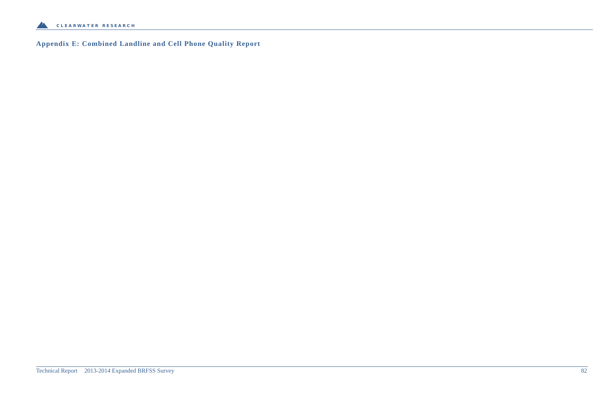

**Appendix E: Combined Landline and Cell Phone Quality Report**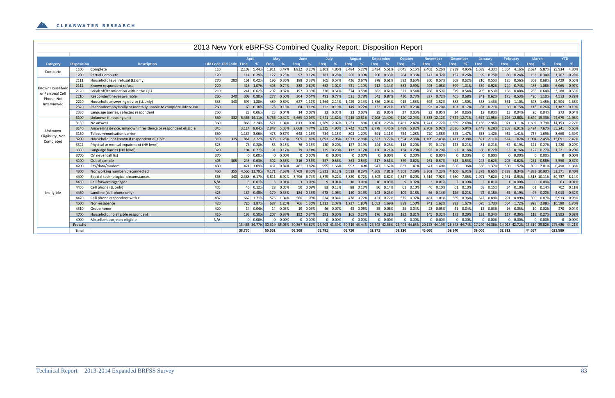|                  |                    |                                                                |                        |     |                  |        |                 |                 |                 |                 |                  | 2013 New York eBRFSS Combined Quality Report: Disposition Report |                           |                 |                 |                    |                    |                 |                                                                                                                                                                                                    |
|------------------|--------------------|----------------------------------------------------------------|------------------------|-----|------------------|--------|-----------------|-----------------|-----------------|-----------------|------------------|------------------------------------------------------------------|---------------------------|-----------------|-----------------|--------------------|--------------------|-----------------|----------------------------------------------------------------------------------------------------------------------------------------------------------------------------------------------------|
|                  |                    |                                                                |                        |     |                  |        |                 |                 |                 |                 |                  |                                                                  |                           |                 |                 |                    |                    |                 |                                                                                                                                                                                                    |
|                  |                    |                                                                |                        |     | <b>April</b>     |        | May             | June            | July            | Auaust          | September        | October                                                          | November                  | <b>December</b> |                 | Januarv            | <b>February</b>    | <b>March</b>    | <b>YTD</b>                                                                                                                                                                                         |
| Category         | <b>Disposition</b> | <b>Description</b>                                             | Old Code Old Code Freq |     | –%               | Freq   | %               | %<br>Freq       | $\%$<br>Freq    | Freq<br>- %     | Freq<br>—%⊣      | <b>Freq</b>                                                      | Freq                      | <b>Freq</b>     | -%              | - %<br><b>Freq</b> | - %<br><b>Freq</b> | Freq            | - %<br>Frea                                                                                                                                                                                        |
| Complete         | 1100               | Complete                                                       | 110                    |     | 2.108<br>5.44%   |        | 1.911 3.47%     | 1,832 3.25%     | 3,101 4.86%     | 3,484 5.22%     | 3,434 5.51%      | 3,045 5.15%                                                      | 2,403 5.26%               | 2,939           | 4.95%           | 1,689<br>4.33%     | 1,364 4.16%        |                 | 2,624 5.87% 29,934 4.80%                                                                                                                                                                           |
|                  | 1200               | <b>Partial Complete</b>                                        | 120                    |     | 114 0.29%        |        | 127 0.23%       | 97 0.17%        | 181 0.28%       | 200 0.30%       | 208 0.33%        | 204 0.35%                                                        | 147 0.32%                 | 157             | 0.26%           | 99 0.25%           | 80 0.24%           | 153 0.34%       | 1,767 0.28%                                                                                                                                                                                        |
|                  | 2111               | Household level refusal (LL only)                              | 270                    | 280 | 161 0.42%        |        | 196 0.36%       | 188 0.33%       | 365 0.57%       | 426 0.64%       | 378 0.61%        | 382 0.65%                                                        | 260 0.57%                 |                 | 369 0.62%       | 216 0.55%          | 185 0.56%          | 303 0.68%       | 3,429 0.55%                                                                                                                                                                                        |
| Known Household  | 2112               | Known respondent refusal                                       | 220                    |     | 416 1.07%        |        | 405 0.74%       | 388 0.69%       | 652 1.02%       | 731 1.10%       | 712 1.14%        | 583 0.99%                                                        | 493 1.08%                 |                 | 599 1.01%       | 359 0.92%          | 244 0.74%          | 483 1.08%       | 6.065 0.97%                                                                                                                                                                                        |
| or Personal Cell | 2120               | Break off/termination within the QST                           | 210                    |     | 241 0.62%        |        | 202 0.37%       | 197 0.35%       | 328 0.51%       | 374 0.56%       | 382 0.61%        | 321 0.54%                                                        | 268 0.59%                 |                 | 319 0.54%       | 205 0.53%          | 158 0.48%          | 285 0.64%       | 3,280 0.53%                                                                                                                                                                                        |
| Phone, Not       | 2210               | Respondent never available                                     | 230                    | 240 | 309 0.80%        |        | 277 0.50%       | 304 0.54%       | 491 0.77%       | 521 0.78%       | 543 0.87%        | 430 0.73%                                                        | 327 0.72%                 |                 | 405 0.68%       | 241 0.62%          | 175 0.53%          | 490 1.10%       | 4.513 0.72%                                                                                                                                                                                        |
| Interviewed      | 2220               | Household answering device (LL only)                           | 335                    | 340 | 697 1.80%        |        | 489 0.89%       | 627 1.11%       | 1.364 2.14%     | 1,429 2.14%     | 1.836 2.94%      | 915 1.55%                                                        | 692 1.52%                 |                 | 888 1.50%       | 558 1.43%          | 361 1.10%          | 648 1.45%       | 10.504 1.68%                                                                                                                                                                                       |
|                  | 2320               | Respondent physically or mentally unable to complete interview | 260                    |     | 69 0.18%         |        | 73 0.13%        | 64 0.11%        | 122 0.19%       | 149 0.22%       | 132 0.21%        | 136 0.23%                                                        | 92 0.20%                  |                 | 101 0.17%       | 81 0.21%           | 50 0.15%           | 118 0.26%       | 1,187 0.19%                                                                                                                                                                                        |
|                  | 2330               | Language barrier, selected respondent                          | 250                    |     | 23 0.06%         |        | 23 0.04%        | 14 0.02%        | 33 0.05%        | 23 0.03%        | 29 0.05%         | 27 0.05%                                                         | 22 0.05%                  |                 | 34 0.06%        | 12 0.03%           | 13 0.04%           | 20 0.04%        | 273 0.04%                                                                                                                                                                                          |
|                  | 3100               | Unknown if housing unit                                        | 330                    |     | 332 5.466 14.11% |        | 5.736 10.42%    | 5.665 10.06%    | 7.541 11.82%    | 7.215 10.81%    | 7.108 11.40%     | 7.120 12.04%                                                     | 5,533 12.12% 7,542 12.71% |                 |                 | 4,674 11.98%       | 4.226 12.88%       |                 | 6.849 15.33% 74.675 11.98%                                                                                                                                                                         |
|                  | 3130               | No answer                                                      | 360                    |     | 866 2.24%        |        | 571 1.04%       | 613 1.09%       | 1.289 2.02%     | 1,253 1.88%     | 1.401 2.25%      | 1,461 2.47%                                                      | 1,241 2.72%               | 1,589 2.68%     |                 | 1,156 2.96%        | $1,021$ 3.11%      |                 | 1.692 3.79% 14.153 2.27%                                                                                                                                                                           |
| Unknown          | 3140               | Answering device, unknown if residence or respondent eligible  | 345                    |     | 3.114 8.04%      |        | 2,947 5.35%     | 2,668 4.74%     | 3,125 4.90%     | 2,742 4.11%     |                  | 2,778 4.45% 3,499 5.92% 2,702 5.92% 3,526 5.94%                  |                           |                 |                 | 2,448 6.28%        | 2,268 6.91%        |                 | 3,424 7.67% 35,241 5.65%                                                                                                                                                                           |
|                  | 3150               | Telecommunication barrier                                      | 350                    |     | 1,187 3.06%      |        | 478 0.87%       | 648 1.15%       | 734 1.15%       | 803 1.20%       | 691 1.11%        | 754 1.28%                                                        | 720 1.58%                 |                 | 873 1.47%       | 553 1.42%          | 462 1.41%          | 757 1.69%       | 8,660 1.39%                                                                                                                                                                                        |
| Eligibility, Not | 3200               | Household, not known if respondent eligible                    | 310                    | 315 | 861 2.22%        |        | 695 1.26%       | 905 1.61%       | 1,891 2.96%     | 1,973 2.96%     | 2,323 3.72%      | 1,394 2.36%                                                      | 1,109 2.43%               | 1,411 2.38%     |                 | 821 2.11%          | 614 1.87%          |                 | 1,094 2.45% 15,091 2.42%                                                                                                                                                                           |
| Completed        | 3322               | Physical or mental impairment (HH level)                       | 325                    |     | 76 0.20%         |        | 83 0.15%        | 76 0.13%        | 130 0.20%       | 127 0.19%       | 144 0.23%        | 118 0.20%                                                        | 79 0.17%                  |                 | 123 0.21%       | 81 0.21%           | 62 0.19%           | 121 0.27%       | 1,220 0.20%                                                                                                                                                                                        |
|                  | 3330               | Language barrier (HH level)                                    | 320                    |     | 104 0.27%        |        | 91 0.17%        | 79 0.14%        | 125 0.20%       | 112 0.17%       | 130 0.21%        | 134 0.23%                                                        | 92 0.20%                  |                 | 93 0.16%        | 86 0.22%           | 53 0.16%           | 122 0.27%       | 1,221 0.20%                                                                                                                                                                                        |
|                  | 3700               | On never call list                                             | 370                    |     | $0\quad 0.00\%$  |        | $0\quad 0.00\%$ | $0\quad 0.00\%$ | $0\quad 0.00%$  | $0\quad 0.00\%$ | $0\quad 0.00\%$  | $0\quad 0.00\%$                                                  | $0\quad 0.00\%$           |                 | $0\quad 0.00\%$ | $0\quad 0.00\%$    | $0\quad 0.00\%$    | $0\quad 0.00\%$ | $0\quad 0.00\%$                                                                                                                                                                                    |
|                  | 4100               | Out of sample                                                  | 405                    | 305 | 245 0.63%        |        | 302 0.55%       | 316 0.56%       | 357 0.56%       | 363 0.54%       | 317 0.51%        | 369 0.62%                                                        | 261 0.57%                 |                 | 313 0.53%       | 243 0.62%          | 203 0.62%          | 261 0.58%       | 3,550 0.57%                                                                                                                                                                                        |
|                  | 4200               | Fax/data/modem                                                 | 430                    |     | 421 1.09%        |        | 461 0.84%       | 461 0.82%       | 995 1.56%       | 992 1.49%       | 947 1.52%        | 831 1.41%                                                        | 641 1.40%                 |                 | 806 1.36%       | 536 1.37%          | 500 1.52%          | 899 2.01%       | 8,490 1.36%                                                                                                                                                                                        |
|                  | 4300               | Nonworking number/disconnected                                 | 450                    | 355 | 4.566 11.79%     |        | 4.171 7.58%     | 4,709 8.36%     | 5,821 9.13%     | 5,533 8.29%     | 4,869 7.81%      | 4,308 7.29%                                                      | $3,301$ $7.23\%$ $4,100$  |                 | $6.91\%$        | 3,373 8.65%        | 2,738 8.34%        | 4,882 10.93%    | 52.371 8.40%                                                                                                                                                                                       |
|                  | 4400               | Special technological circumstances                            | 365                    | 440 | 2,388 6.17%      |        | 3,811 6.92%     | 3,796 6.74%     | 5,879 9.22%     | 5,820 8.72%     | 5,502 8.82%      | 4,847 8.20%                                                      | 3,614 7.92%               | 4,660 7.85%     |                 | 2,971 7.62%        | 2,931 8.93%        | 4,518 10.11%    | 50,737 8.14%                                                                                                                                                                                       |
|                  | 4430               | Call forwarding/pager                                          | N/A                    |     | 5 0.01%          |        | 3 0.01%         | 3 0.01%         | 9 0.01%         | 10 0.01%        | 16 0.03%         | 9 0.02%                                                          | 3 0.01%                   |                 | 2 0.00%         | 2 0.01%            | 1 0.00%            | $0\quad 0.00\%$ | 63 0.01%                                                                                                                                                                                           |
|                  | 4450               | Cell phone (LL only)                                           | 435                    |     | 46 0.12%         |        | 28 0.05%        | 50 0.09%        | 83 0.13%        | 88 0.13%        | 86 0.14%         | 61 0.10%                                                         | 46 0.10%                  |                 | 61 0.10%        | 58 0.15%           | 34 0.10%           | 61 0.14%        | 702 0.11%                                                                                                                                                                                          |
| Ineligible       | 4460               | Landline (cell phone only)                                     | 425                    |     | 187 0.48%        |        | 179 0.33%       | 184 0.33%       | 678 1.06%       | 110 0.16%       | 143 0.23%        | 109 0.18%                                                        | 66 0.14%                  |                 | 126 0.21%       | 72 0.18%           | 62 0.19%           | 97 0.22%        | 2,013 0.32%                                                                                                                                                                                        |
|                  | 4470               | Cell phone respondent with LL                                  | 437                    |     | 662 1.71%        |        | 575 1.04%       | 580 1.03%       | 534 0.84%       | 478 0.72%       | 451 0.72%        | 575 0.97%                                                        | 461 1.01%                 |                 | 569 0.96%       | 347 0.89%          | 291 0.89%          | 390 0.87%       | 5,913 0.95%                                                                                                                                                                                        |
|                  | 4500               | Non-residence                                                  | 420                    |     | 726 1.87%        |        | 687 1.25%       | 766 1.36%       | 1,323 2.07%     | 1,237 1.85%     | 1,052 1.69%      | 888 1.50%                                                        | 741 1.62%                 |                 | 993 1.67%       | 675 1.73%          | 564 1.72%          | 928 2.08%       | 10,580 1.70%                                                                                                                                                                                       |
|                  | 4510               | Group home                                                     | 420                    |     | 14 0.04%         |        | 14 0.03%        | 19 0.03%        | 46 0.07%        | 43 0.06%        | 35 0.06%         | 25 0.04%                                                         | 23 0.05%                  |                 | 21 0.04%        | 12 0.03%           | 16 0.05%           | 10 0.02%        | 278 0.04%                                                                                                                                                                                          |
|                  | 4700               | Household, no eligible respondent                              | 410                    |     | 193 0.50%        |        | 207 0.38%       | 192 0.34%       | 191 0.30%       | 165 0.25%       | 176 0.28%        | 182 0.31%                                                        | 145 0.32%                 |                 | 173 0.29%       | 133 0.34%          | 117 0.36%          | 119 0.27%       | 1,993 0.32%                                                                                                                                                                                        |
|                  | 4900               | Miscellaneous, non-eligible                                    | N/A                    |     | $0\quad 0.00\%$  |        | $0\quad 0.00\%$ | $0\quad 0.00\%$ | $0\quad 0.00\%$ | $0\quad 0.00%$  | $0 \quad 0.00\%$ | $0\quad 0.00\%$                                                  | $0\quad 0.00\%$           |                 | $0\quad 0.00\%$ | $0\quad 0.00\%$    | $0 \quad 0.00\%$   | $0\quad 0.00\%$ | $0\quad 0.00\%$                                                                                                                                                                                    |
|                  | Precalls           |                                                                |                        |     |                  |        |                 |                 |                 |                 |                  |                                                                  |                           |                 |                 |                    |                    |                 | 13,465 34.77%  30,319 55.06%  30,867 54.82%  26,403 41.39%  30,319 45.44%  26,548 42.56%  26,403 44.65%  20,178 44.19%  26,548 44.74%  17,299 44.36%  14,018 42.72%  13,319 29.82%  275,686 44.21% |
|                  | Total              |                                                                |                        |     | 38,730           | 55,061 |                 | 56,308          | 63,791          | 66,720          | 62,371           | 59,130                                                           | 45,660                    | 59,340          |                 | 39,000             | 32,811             | 44.667          | 623,589                                                                                                                                                                                            |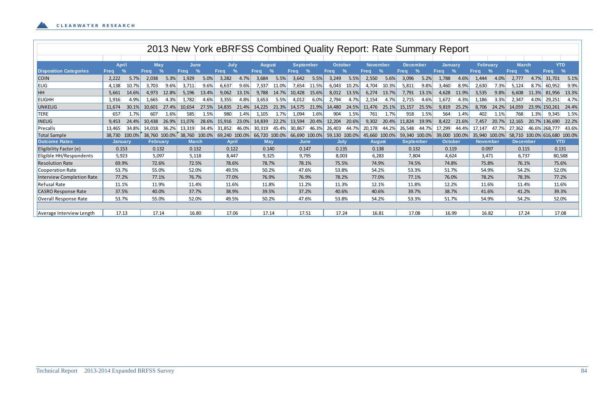|                                  |                |               |                 |               | 2013 New York eBRFSS Combined Quality Report: Rate Summary Report |               |               |               |               |               |                  |               |                |       |                 |               |                  |       |                |               |                 |       |                 |               |                              |               |
|----------------------------------|----------------|---------------|-----------------|---------------|-------------------------------------------------------------------|---------------|---------------|---------------|---------------|---------------|------------------|---------------|----------------|-------|-----------------|---------------|------------------|-------|----------------|---------------|-----------------|-------|-----------------|---------------|------------------------------|---------------|
|                                  |                |               |                 |               |                                                                   |               |               |               |               |               |                  |               |                |       |                 |               |                  |       |                |               |                 |       |                 |               |                              |               |
|                                  | <b>April</b>   |               | <b>May</b>      |               | <b>June</b>                                                       |               | July          |               | <b>August</b> |               | <b>September</b> |               | <b>October</b> |       | <b>November</b> |               | <b>December</b>  |       | <b>January</b> |               | <b>February</b> |       | <b>March</b>    |               | <b>YTD</b>                   |               |
| <b>Disposition Categories</b>    | <b>Freq</b>    | $\frac{0}{2}$ | <b>Freg</b>     | $\frac{9}{6}$ | <b>Freq</b>                                                       | $\frac{9}{6}$ | Freq          | $\frac{9}{6}$ | <b>Frea</b>   | $\frac{9}{6}$ | Freq             | $\frac{9}{6}$ | <b>Frea</b>    | $\%$  | <b>Freg</b>     | $\frac{9}{6}$ | <b>Frea</b>      | $\%$  | <b>Freg</b>    | $\frac{9}{6}$ | Frea            | $\%$  | <b>Freq</b>     | $\frac{9}{6}$ | <b>Freq</b>                  | $\frac{9}{6}$ |
| <b>COIN</b>                      | 2,222          | 5.7%          | 2,038           | 5.3%          | 1,929                                                             | 5.0%          | 3,282         | 4.7%          | 3,684         | 5.5%          | 3,642            | 5.5%          | 3,249          | 5.5%  | 2,550           | 5.6%          | 3,096            | 5.2%  | 1,788          | 4.6%          | 1,444           | 4.0%  | 2,777           | 4.7%          | 31,701                       | 5.1%          |
| ELIG                             | 4,138          | 10.7%         | 3,703           | 9.6%          | 3,711                                                             | 9.6%          | 6,637         | 9.6%          | 7,337         | 11.0%         | 7,654            | 11.5%         | 6,043          | 10.2% | 4,704           | 10.3%         | 5,811            | 9.8%  | 3,460          | 8.9%          | 2,630           | 7.3%  | 5,124           | 8.7%          | 60,952                       | 9.9%          |
| HH                               | 5,661          | 14.6%         | 4,973           | 12.8%         | 5,196                                                             | 13.4%         | 9,062         | 13.1%         | 9,788         | 14.7%         | 10,428           | 15.6%         | 8,012          | 13.5% | 6,274           | 13.7%         | 7,791            | 13.1% | 4,628          | 11.9%         | 3,535           | 9.8%  | 6,608           | 11.3%         | 81,956                       | 13.3%         |
| <b>ELIGHH</b>                    | 1,916          | 4.9%          | 1,665           | 4.3%          | 1,782                                                             | 4.6%          | 3,355         | 4.8%          | 3,653         | 5.5%          | 4,012            | 6.0%          | 2,794          | 4.7%  | 2,154           | 4.7%          | 2,715            | 4.6%  | 1,672          | 4.3%          | 1,186           | 3.3%  | 2,347           | 4.0%          | 29,251                       | 4.7%          |
| <b>UNKELIG</b>                   | 11,674         | 30.1%         | 10,601          | 27.4%         | 10,654                                                            | 27.5%         | 14,835        | 21.4%         | 14,225        | 21.3%         | 14,575           | 21.9%         | 14,480         | 24.5% | 11,476          | 25.1%         | 15,157           | 25.5% | 9,819          | 25.2%         | 8,706           | 24.2% | 14,059          |               | 23.9% 150,261                | 24.4%         |
| <b>TERE</b>                      | 657            | 1.7%          | 607             | 1.6%          | 585                                                               | 1.5%          | 980           | 1.4%          | 1,105         | 1.7%          | 1,094            | 1.6%          | 904            | 1.5%  | 761             | 1.7%          | 918              | 1.5%  | 564            | 1.4%          | 402             | 1.1%  | 768             | 1.3%          | 9,345                        | 1.5%          |
| <b>INELIG</b>                    | 9,453          | 24.4%         | 10,438          | 26.9%         | 11,076                                                            | 28.6%         | 15,916        | 23.0%         | 14,839        | 22.2%         | 13,594           | 20.4%         | 12,204         | 20.6% | 9,302           | 20.4%         | 11,824           | 19.9% | 8,422          | 21.6%         | 7,457           | 20.7% | 12,165          |               | 20.7% 136,690                | 22.2%         |
| Precalls                         | 13,465         | 34.8%         | 14.018          | 36.2%         | 13,319                                                            | 34.4%         | 31,852        | 46.0%         | 30,319        | 45.4%         | 30,867           | 46.3%         | 26,403         | 44.7% | 20,178          | 44.2%         | 26,548           | 44.7% | 17,299         | 44.4%         | 17.147          | 47.7% | 27.362          |               | 46.6% 268.777                | 43.6%         |
| <b>Total Sample</b>              | 38,730         | 100.0%        | 38,760 100.0%   |               | 38,760                                                            | 100.0%        | 69,240 100.0% |               | 66,720        | 100.0%        |                  | 66,690 100.0% | 59,130 100.0%  |       |                 | 45,660 100.0% | 59,340 100.0%    |       | 39,000         | 100.0%        | 35,940 100.0%   |       |                 |               | 58,710 100.0% 616,680 100.0% |               |
| <b>Outcome Rates</b>             | <b>January</b> |               | <b>February</b> |               | <b>March</b>                                                      |               | <b>April</b>  |               | <b>May</b>    |               | June             |               | <b>July</b>    |       | <b>August</b>   |               | <b>September</b> |       | <b>October</b> |               | <b>November</b> |       | <b>December</b> |               | <b>YTD</b>                   |               |
| Eligibility Factor (e)           | 0.153          |               | 0.132           |               | 0.132                                                             |               | 0.122         |               | 0.140         |               | 0.147            |               | 0.135          |       | 0.138           |               | 0.132            |       | 0.119          |               | 0.097           |       | 0.115           |               | 0.131                        |               |
| Eligible HH/Respondents          | 5,923          |               | 5,097           |               | 5,118                                                             |               | 8.447         |               | 9,325         |               | 9,795            |               | 8,003          |       | 6,283           |               | 7,804            |       | 4,624          |               | 3,471           |       | 6,737           |               | 80,588                       |               |
| <b>Resolution Rate</b>           | 69.9%          |               | 72.6%           |               | 72.5%                                                             |               | 78.6%         |               | 78.7%         |               | 78.1%            |               | 75.5%          |       | 74.9%           |               | 74.5%            |       | 74.8%          |               | 75.8%           |       | 76.1%           |               | 75.6%                        |               |
| Cooperation Rate                 | 53.7%          |               | 55.0%           |               | 52.0%                                                             |               | 49.5%         |               | 50.2%         |               | 47.6%            |               | 53.8%          |       | 54.2%           |               | 53.3%            |       | 51.7%          |               | 54.9%           |       | 54.2%           |               | 52.0%                        |               |
| <b>Interview Completion Rate</b> | 77.2%          |               | 77.1%           |               | 76.7%                                                             |               | 77.0%         |               | 76.9%         |               | 76.9%            |               | 78.2%          |       | 77.0%           |               | 77.1%            |       | 76.0%          |               | 78.2%           |       | 78.3%           |               | 77.2%                        |               |
| <b>Refusal Rate</b>              | 11.1%          |               | 11.9%           |               | 11.4%                                                             |               | 11.6%         |               | 11.8%         |               | 11.2%            |               | 11.3%          |       | 12.1%           |               | 11.8%            |       | 12.2%          |               | 11.6%           |       | 11.4%           |               | 11.6%                        |               |
| <b>CASRO Response Rate</b>       | 37.5%          |               | 40.0%           |               | 37.7%                                                             |               | 38.9%         |               | 39.5%         |               | 37.2%            |               | 40.6%          |       | 40.6%           |               | 39.7%            |       | 38.7%          |               | 41.6%           |       | 41.2%           |               | 39.3%                        |               |
| Overall Response Rate            | 53.7%          |               | 55.0%           |               | 52.0%                                                             |               | 49.5%         |               | 50.2%         |               | 47.6%            |               | 53.8%          |       | 54.2%           |               | 53.3%            |       | 51.7%          |               | 54.9%           |       | 54.2%           |               | 52.0%                        |               |
|                                  |                |               |                 |               |                                                                   |               |               |               |               |               |                  |               |                |       |                 |               |                  |       |                |               |                 |       |                 |               |                              |               |
| Average Interview Length         | 17.13          |               | 17.14           |               | 16.80                                                             |               | 17.06         |               | 17.14         |               | 17.51            |               | 17.24          |       | 16.81           |               | 17.08            |       | 16.99          |               | 16.82           |       | 17.24           |               | 17.08                        |               |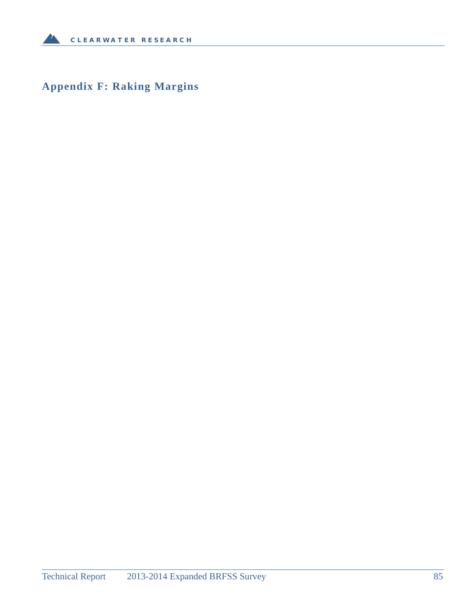**Appendix F: Raking Margins**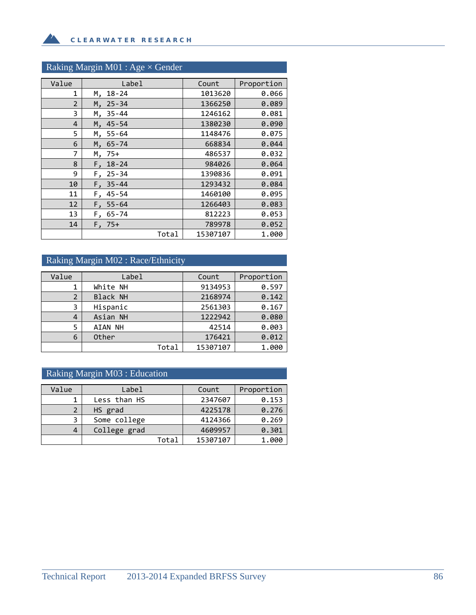### Raking Margin M01 : Age × Gender

**A** 

| Value          | Label           | Count    | Proportion |
|----------------|-----------------|----------|------------|
| 1              | $18 - 24$<br>М, | 1013620  | 0.066      |
| $\overline{2}$ | $25 - 34$<br>Μ. | 1366250  | 0.089      |
| 3              | $35 - 44$<br>М. | 1246162  | 0.081      |
| 4              | $45 - 54$<br>М, | 1380230  | 0.090      |
| 5              | М.<br>$55 - 64$ | 1148476  | 0.075      |
| 6              | $65 - 74$<br>М, | 668834   | 0.044      |
| 7              | 75+<br>Μ,       | 486537   | 0.032      |
| 8              | $18 - 24$<br>F, | 984026   | 0.064      |
| 9              | $25 - 34$<br>F. | 1390836  | 0.091      |
| 10             | $35 - 44$<br>F, | 1293432  | 0.084      |
| 11             | $45 - 54$<br>F, | 1460100  | 0.095      |
| 12             | $55 - 64$<br>F, | 1266403  | 0.083      |
| 13             | $F, 65-74$      | 812223   | 0.053      |
| 14             | $F.75+$         | 789978   | 0.052      |
|                | Total           | 15307107 | 1.000      |

#### Raking Margin M02 : Race/Ethnicity

| Value | Label           | Count    | Proportion |
|-------|-----------------|----------|------------|
|       | White NH        | 9134953  | 0.597      |
| 2     | <b>Black NH</b> | 2168974  | 0.142      |
| 3     | Hispanic        | 2561303  | 0.167      |
| 4     | Asian NH        | 1222942  | 0.080      |
| 5     | AIAN NH         | 42514    | 0.003      |
| 6     | Other           | 176421   | 0.012      |
|       | Total           | 15307107 | 1.000      |

### Raking Margin M03 : Education

| Value | Label        |       | Count    | Proportion |
|-------|--------------|-------|----------|------------|
|       | Less than HS |       | 2347607  | 0.153      |
| 2     | HS grad      |       | 4225178  | 0.276      |
| 3     | Some college |       | 4124366  | 0.269      |
| 4     | College grad |       | 4609957  | 0.301      |
|       |              | Total | 15307107 | 1.000      |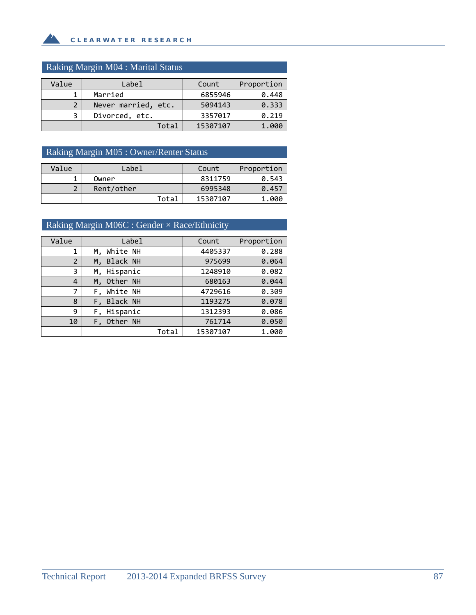### Raking Margin M04 : Marital Status

**A** 

| Value | Label               | Count    | Proportion |
|-------|---------------------|----------|------------|
|       | Married             | 6855946  | 0.448      |
| 2     | Never married, etc. | 5094143  | 0.333      |
| 3     | Divorced, etc.      | 3357017  | 0.219      |
|       | Total               | 15307107 | 1.000      |

### Raking Margin M05 : Owner/Renter Status

| Value  | Label      | Count    | Proportion |
|--------|------------|----------|------------|
|        | Owner      | 8311759  | 0.543      |
| ำ<br>▴ | Rent/other | 6995348  | 0.457      |
|        | Total      | 15307107 | 1.000      |

### Raking Margin M06C : Gender × Race/Ethnicity

| Value          | Label       | Count    | Proportion |
|----------------|-------------|----------|------------|
| 1              | M, White NH | 4405337  | 0.288      |
| $\overline{2}$ | M, Black NH | 975699   | 0.064      |
| 3              | M, Hispanic | 1248910  | 0.082      |
| 4              | M, Other NH | 680163   | 0.044      |
| 7              | F, White NH | 4729616  | 0.309      |
| 8              | F, Black NH | 1193275  | 0.078      |
| 9              | F, Hispanic | 1312393  | 0.086      |
| 10             | F, Other NH | 761714   | 0.050      |
|                | Total       | 15307107 | 1.000      |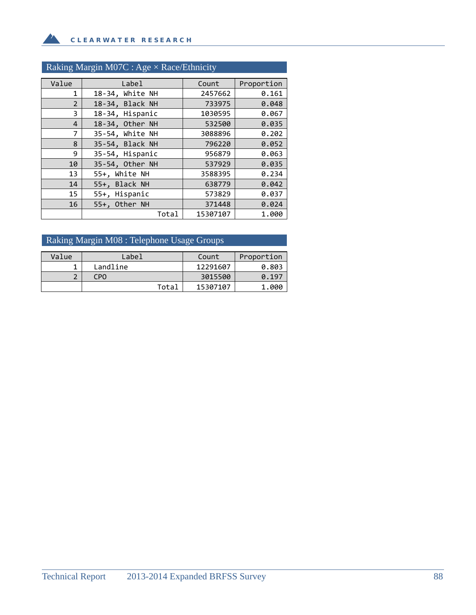**A** 

### Raking Margin M07C : Age × Race/Ethnicity

| Value          | Label           | Count    | Proportion |
|----------------|-----------------|----------|------------|
| 1              | 18-34, White NH | 2457662  | 0.161      |
| $\overline{2}$ | 18-34, Black NH | 733975   | 0.048      |
| 3              | 18-34, Hispanic | 1030595  | 0.067      |
| $\overline{4}$ | 18-34, Other NH | 532500   | 0.035      |
| $\overline{7}$ | 35-54, White NH | 3088896  | 0.202      |
| 8              | 35-54, Black NH | 796220   | 0.052      |
| 9              | 35-54, Hispanic | 956879   | 0.063      |
| 10             | 35-54, Other NH | 537929   | 0.035      |
| 13             | 55+, White NH   | 3588395  | 0.234      |
| 14             | 55+, Black NH   | 638779   | 0.042      |
| 15             | 55+, Hispanic   | 573829   | 0.037      |
| 16             | 55+, Other NH   | 371448   | 0.024      |
|                | Total           | 15307107 | 1.000      |

### Raking Margin M08 : Telephone Usage Groups

| Value | Label    | Count    | Proportion |
|-------|----------|----------|------------|
|       | Landline | 12291607 | 0.803      |
| ◠     | CPO      | 3015500  | 0.197      |
|       | Total    | 15307107 | 1.000      |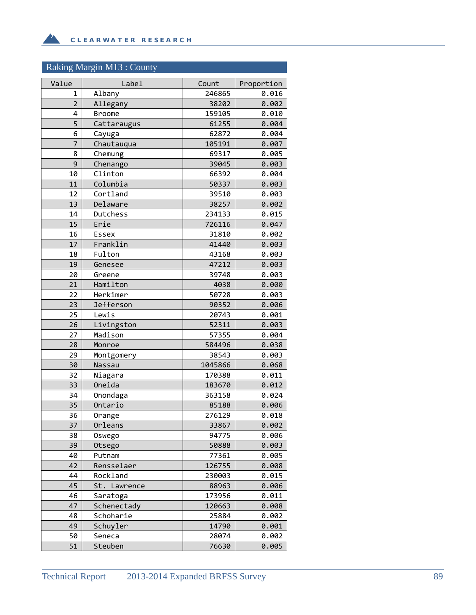# Raking Margin M13 : County

**A** 

| Value          | Label         | Count   | Proportion |
|----------------|---------------|---------|------------|
| $\mathbf{1}$   | Albany        | 246865  | 0.016      |
| $\overline{2}$ | Allegany      | 38202   | 0.002      |
| 4              | <b>Broome</b> | 159105  | 0.010      |
| 5              | Cattaraugus   | 61255   | 0.004      |
| 6              | Cayuga        | 62872   | 0.004      |
| 7              | Chautauqua    | 105191  | 0.007      |
| 8              | Chemung       | 69317   | 0.005      |
| 9              | Chenango      | 39045   | 0.003      |
| 10             | Clinton       | 66392   | 0.004      |
| 11             | Columbia      | 50337   | 0.003      |
| 12             | Cortland      | 39510   | 0.003      |
| 13             | Delaware      | 38257   | 0.002      |
| 14             | Dutchess      | 234133  | 0.015      |
| 15             | Erie          | 726116  | 0.047      |
| 16             | Essex         | 31810   | 0.002      |
| 17             | Franklin      | 41440   | 0.003      |
| 18             | Fulton        | 43168   | 0.003      |
| 19             | Genesee       | 47212   | 0.003      |
| 20             | Greene        | 39748   | 0.003      |
| 21             | Hamilton      | 4038    | 0.000      |
| 22             | Herkimer      | 50728   | 0.003      |
| 23             | Jefferson     | 90352   | 0.006      |
| 25             | Lewis         | 20743   | 0.001      |
| 26             | Livingston    | 52311   | 0.003      |
| 27             | Madison       | 57355   | 0.004      |
| 28             | Monroe        | 584496  | 0.038      |
| 29             | Montgomery    | 38543   | 0.003      |
| 30             | Nassau        | 1045866 | 0.068      |
| 32             | Niagara       | 170388  | 0.011      |
| 33             | Oneida        | 183670  | 0.012      |
| 34             | Onondaga      | 363158  | 0.024      |
| 35             | Ontario       | 85188   | 0.006      |
| 36             | Orange        | 276129  | 0.018      |
| 37             | Orleans       | 33867   | 0.002      |
| 38             | Oswego        | 94775   | 0.006      |
| 39             | Otsego        | 50888   | 0.003      |
| 40             | Putnam        | 77361   | 0.005      |
| 42             | Rensselaer    | 126755  | 0.008      |
| 44             | Rockland      | 230003  | 0.015      |
| 45             | St. Lawrence  | 88963   | 0.006      |
| 46             | Saratoga      | 173956  | 0.011      |
| 47             | Schenectady   | 120663  | 0.008      |
| 48             | Schoharie     | 25884   | 0.002      |
| 49             | Schuyler      | 14790   | 0.001      |
| 50             | Seneca        | 28074   | 0.002      |
| 51             | Steuben       | 76630   | 0.005      |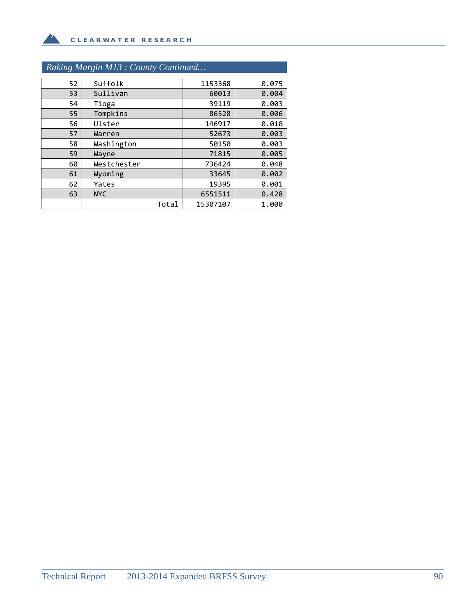# *Raking Margin M13 : County Continued…*

 $\mathbf{A}$ 

| 52 | Suffolk     | 1153368  | 0.075 |
|----|-------------|----------|-------|
| 53 | Sullivan    | 60013    | 0.004 |
| 54 | Tioga       | 39119    | 0.003 |
| 55 | Tompkins    | 86528    | 0.006 |
| 56 | Ulster      | 146917   | 0.010 |
| 57 | Warren      | 52673    | 0.003 |
| 58 | Washington  | 50150    | 0.003 |
| 59 | Wayne       | 71815    | 0.005 |
| 60 | Westchester | 736424   | 0.048 |
| 61 | Wyoming     | 33645    | 0.002 |
| 62 | Yates       | 19395    | 0.001 |
| 63 | <b>NYC</b>  | 6551511  | 0.428 |
|    | Total       | 15307107 | 1.000 |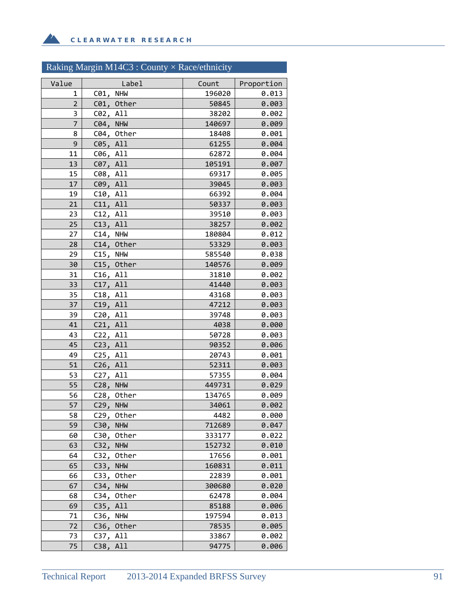**A** 

### Raking Margin M14C3 : County × Race/ethnicity

| Value       | Label                  | Count           | Proportion     |
|-------------|------------------------|-----------------|----------------|
| 1           | C01, NHW               | 196020          | 0.013          |
| $\mathbf 2$ | C01, Other             | 50845           | 0.003          |
| 3           | C02, All               | 38202           | 0.002          |
| 7           | C04, NHW               | 140697          | 0.009          |
| 8           | C04, Other             | 18408           | 0.001          |
| 9           | C05, All               | 61255           | 0.004          |
| 11          | C06, All               | 62872           | 0.004          |
| 13          | C07, All               | 105191          | 0.007          |
| 15          | C08, All               | 69317           | 0.005          |
| 17          | C09, All               | 39045           | 0.003          |
| 19          | C10, All               | 66392           | 0.004          |
| 21          | C11, All               | 50337           | 0.003          |
| 23          | C12, All               | 39510           | 0.003          |
| 25          | C13, All               | 38257           | 0.002          |
| 27          | $C14$ , NHW            | 180804          | 0.012          |
| 28          | C14, Other             | 53329           | 0.003          |
| 29          | C15, NHW               | 585540          | 0.038          |
| 30<br>31    | C15, Other             | 140576<br>31810 | 0.009          |
| 33          | C16, All<br>C17, All   | 41440           | 0.002<br>0.003 |
| 35          | C18, All               | 43168           | 0.003          |
| 37          | C19, All               | 47212           | 0.003          |
| 39          | C20, All               | 39748           | 0.003          |
| 41          | C21, All               | 4038            | 0.000          |
| 43          | C22, All               | 50728           | 0.003          |
| 45          | C23, All               | 90352           | 0.006          |
| 49          | C25, All               | 20743           | 0.001          |
| 51          | C26, All               | 52311           | 0.003          |
| 53          | C27, All               | 57355           | 0.004          |
| 55          | C28, NHW               | 449731          | 0.029          |
| 56          | C28, Other             | 134765          | 0.009          |
| 57          | C29, NHW               | 34061           | 0.002          |
| 58          | C29, Other             | 4482            | 0.000          |
| 59          | C30,<br><b>NHM</b>     | 712689          | 0.047          |
| 60          | Other<br>C30,          | 333177          | 0.022          |
| 63          | C32,<br><b>NHW</b>     | 152732          | 0.010          |
| 64          | C32,<br>Other          | 17656           | 0.001          |
| 65          | C33,<br><b>NHW</b>     | 160831          | 0.011          |
| 66          | Other<br>C33,          | 22839           | 0.001          |
| 67          | C34,<br><b>NHW</b>     | 300680          | 0.020          |
| 68          | C34, Other             | 62478           | 0.004          |
| 69          | C35, All               | 85188<br>197594 | 0.006<br>0.013 |
| 71<br>72    | C36, NHW<br>C36, Other | 78535           | 0.005          |
| 73          | All<br>C37,            | 33867           | 0.002          |
| 75          | C38,<br>A11            | 94775           | 0.006          |
|             |                        |                 |                |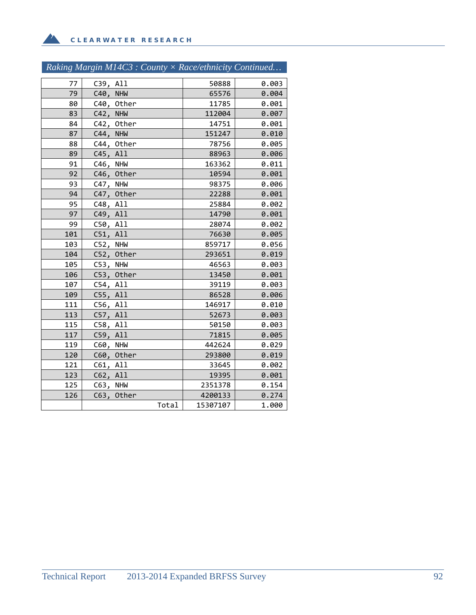**A** 

| Raking Margin M14C3 : County $\times$ Race/ethnicity Continued |
|----------------------------------------------------------------|
|----------------------------------------------------------------|

| $77 \,$ | C39, All           |       | 50888    | 0.003 |
|---------|--------------------|-------|----------|-------|
| 79      | C40,<br><b>NHW</b> |       | 65576    | 0.004 |
| 80      | C40, Other         |       | 11785    | 0.001 |
| 83      | C42, NHW           |       | 112004   | 0.007 |
| 84      | C42, Other         |       | 14751    | 0.001 |
| 87      | C44, NHW           |       | 151247   | 0.010 |
| 88      | C44, Other         |       | 78756    | 0.005 |
| 89      | C45, All           |       | 88963    | 0.006 |
| 91      | C46, NHW           |       | 163362   | 0.011 |
| 92      | C46, Other         |       | 10594    | 0.001 |
| 93      | C47, NHW           |       | 98375    | 0.006 |
| 94      | C47, Other         |       | 22288    | 0.001 |
| 95      | C48, All           |       | 25884    | 0.002 |
| 97      | C49, All           |       | 14790    | 0.001 |
| 99      | C50, All           |       | 28074    | 0.002 |
| 101     | C51, All           |       | 76630    | 0.005 |
| 103     | C52, NHW           |       | 859717   | 0.056 |
| 104     | C52, Other         |       | 293651   | 0.019 |
| 105     | C53, NHW           |       | 46563    | 0.003 |
| 106     | C53, Other         |       | 13450    | 0.001 |
| 107     | C54, All           |       | 39119    | 0.003 |
| 109     | C55, All           |       | 86528    | 0.006 |
| 111     | C56, All           |       | 146917   | 0.010 |
| 113     | C57, All           |       | 52673    | 0.003 |
| 115     | C58, All           |       | 50150    | 0.003 |
| 117     | C59, All           |       | 71815    | 0.005 |
| 119     | C60, NHW           |       | 442624   | 0.029 |
| 120     | C60, Other         |       | 293800   | 0.019 |
| 121     | C61, All           |       | 33645    | 0.002 |
| 123     | C62, All           |       | 19395    | 0.001 |
| 125     | C63, NHW           |       | 2351378  | 0.154 |
| 126     | C63, Other         |       | 4200133  | 0.274 |
|         |                    | Total | 15307107 | 1.000 |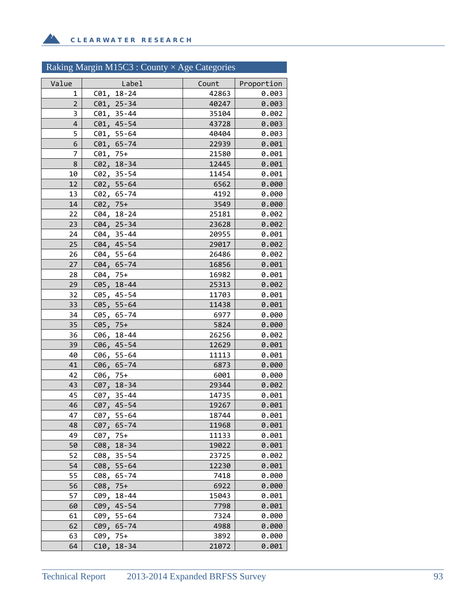# Raking Margin M15C3 : County × Age Categories

| Value          | Label                            | Count          | Proportion     |
|----------------|----------------------------------|----------------|----------------|
| 1              | C01, 18-24                       | 42863          | 0.003          |
| $\overline{2}$ | $C01, 25 - 34$                   | 40247          | 0.003          |
| 3              | $C01, 35 - 44$                   | 35104          | 0.002          |
| 4              | $C01, 45-54$                     | 43728          | 0.003          |
| 5              | $C01, 55 - 64$                   | 40404          | 0.003          |
| 6              | C01, 65-74                       | 22939          | 0.001          |
| 7              | $C01, 75+$                       | 21580          | 0.001          |
| 8              | $C02, 18-34$                     | 12445          | 0.001          |
| 10             | $C02, 35-54$                     | 11454          | 0.001          |
| 12             | $C02, 55-64$                     | 6562           | 0.000          |
| 13             | C02, 65-74                       | 4192           | 0.000          |
| 14             | $C02, 75+$                       | 3549           | 0.000          |
| 22             | $C04, 18-24$                     | 25181          | 0.002          |
| 23             | C04, 25-34                       | 23628          | 0.002          |
| 24<br>25       | $C04, 35 - 44$<br>$C04, 45-54$   | 20955<br>29017 | 0.001          |
| 26             | C04, 55-64                       | 26486          | 0.002<br>0.002 |
| 27             | C04, 65-74                       | 16856          | 0.001          |
| 28             | $C04, 75+$                       | 16982          | 0.001          |
| 29             | C05, 18-44                       | 25313          | 0.002          |
| 32             | C05, 45-54                       | 11703          | 0.001          |
| 33             | $C05, 55-64$                     | 11438          | 0.001          |
| 34             | C05, 65-74                       | 6977           | 0.000          |
| 35             | $C05, 75+$                       | 5824           | 0.000          |
| 36             | C06, 18-44                       | 26256          | 0.002          |
| 39             | $C06, 45-54$                     | 12629          | 0.001          |
| 40             | C06, 55-64                       | 11113          | 0.001          |
| 41             | C06, 65-74                       | 6873           | 0.000          |
| 42             | $C06, 75+$                       | 6001           | 0.000          |
| 43             | C07, 18-34                       | 29344          | 0.002          |
| 45             | C07, 35-44                       | 14735          | 0.001          |
| 46             | C07, 45-54                       | 19267          | 0.001          |
| 47             | C07, 55-64                       | 18744          | 0.001          |
| 48             | C07, 65-74                       | 11968          | 0.001          |
| 49<br>50       | C07,<br>75+<br>C08,<br>$18 - 34$ | 11133<br>19022 | 0.001<br>0.001 |
| 52             | $35 - 54$<br>C08,                | 23725          | 0.002          |
| 54             | $55 - 64$<br>C08,                | 12230          | 0.001          |
| 55             | C08,<br>$65 - 74$                | 7418           | 0.000          |
| 56             | $C08, 75+$                       | 6922           | 0.000          |
| 57             | C09,<br>$18 - 44$                | 15043          | 0.001          |
| 60             | $C09, 45-54$                     | 7798           | 0.001          |
| 61             | $C09, 55-64$                     | 7324           | 0.000          |
| 62             | C09, 65-74                       | 4988           | 0.000          |
| 63             | $C09, 75+$                       | 3892           | 0.000          |
| 64             | C10, 18-34                       | 21072          | 0.001          |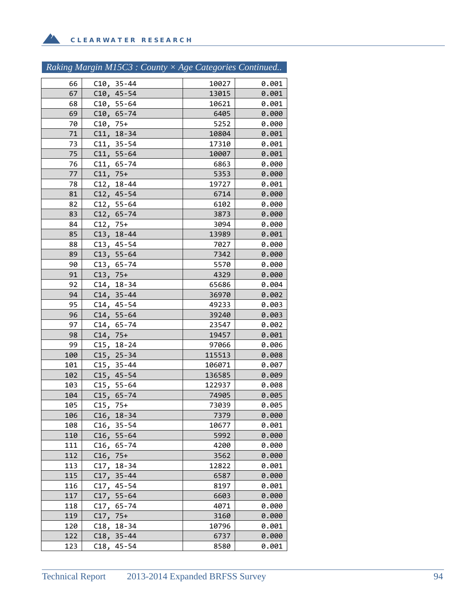$\Delta$ 

| Raking Margin M15C3 : County $\times$ Age Categories Continued |  |  |  |
|----------------------------------------------------------------|--|--|--|
|----------------------------------------------------------------|--|--|--|

| 66         | $C10, 35 - 44$             | 10027          | 0.001          |
|------------|----------------------------|----------------|----------------|
| 67         | $C10, 45-54$               | 13015          | 0.001          |
| 68         | $C10, 55-64$               | 10621          | 0.001          |
| 69         | $C10, 65 - 74$             | 6405           | 0.000          |
| 70         | $C10, 75+$                 | 5252           | 0.000          |
| 71         | $C11, 18-34$               | 10804          | 0.001          |
| 73         | $C11, 35 - 54$             | 17310          | 0.001          |
| 75         | $C11, 55-64$               | 10007          | 0.001          |
| 76         | $C11, 65 - 74$             | 6863           | 0.000          |
| 77         | $C11, 75+$                 | 5353           | 0.000          |
| 78         | $C12, 18-44$               | 19727          | 0.001          |
| 81         | $C12, 45-54$               | 6714           | 0.000          |
| 82         | $C12, 55-64$               | 6102           | 0.000          |
| 83         | $C12, 65 - 74$             | 3873           | 0.000          |
| 84         | $C12, 75+$                 | 3094           | 0.000          |
| 85         | $C13, 18-44$               | 13989          | 0.001          |
| 88         | $C13, 45-54$               | 7027           | 0.000          |
| 89         | $C13, 55-64$               | 7342           | 0.000          |
| 90         | $C13, 65-74$               | 5570           | 0.000          |
| 91         | $C13, 75+$                 | 4329           | 0.000          |
| 92         | $C14, 18-34$               | 65686          | 0.004          |
| 94         | $C14, 35 - 44$             | 36970          | 0.002          |
| 95         | $C14, 45-54$               | 49233          | 0.003          |
| 96         | $C14, 55-64$               | 39240          | 0.003          |
| 97         | $C14, 65 - 74$             | 23547          | 0.002          |
| 98         | $C14, 75+$                 | 19457          | 0.001          |
| 99         | $C15, 18-24$               | 97066          | 0.006          |
| 100        | $C15, 25-34$               | 115513         | 0.008          |
| 101        | $C15, 35 - 44$             | 106071         | 0.007          |
| 102        | $C15, 45-54$               | 136585         | 0.009          |
| 103        | $C15, 55-64$               | 122937         | 0.008          |
| 104<br>105 | $C15, 65-74$<br>$C15, 75+$ | 74905<br>73039 | 0.005<br>0.005 |
| 106        | $C16, 18-34$               | 7379           | 0.000          |
| 108        | C16,<br>$35 - 54$          | 10677          | 0.001          |
| 110        | $C16, 55-64$               | 5992           | 0.000          |
| 111        | $C16, 65-74$               | 4200           | 0.000          |
| 112        | $C16, 75+$                 | 3562           | 0.000          |
| 113        | $C17, 18-34$               | 12822          | 0.001          |
| 115        | $C17, 35-44$               | 6587           | 0.000          |
| 116        | $C17, 45-54$               | 8197           | 0.001          |
| 117        | C17,<br>$55 - 64$          | 6603           | 0.000          |
| 118        | C17,<br>$65 - 74$          | 4071           | 0.000          |
| 119        | $C17, 75+$                 | 3160           | 0.000          |
| 120        | $C18, 18-34$               | 10796          | 0.001          |
| 122        | $C18, 35-44$               | 6737           | 0.000          |
| 123        | $C18, 45-54$               | 8580           | 0.001          |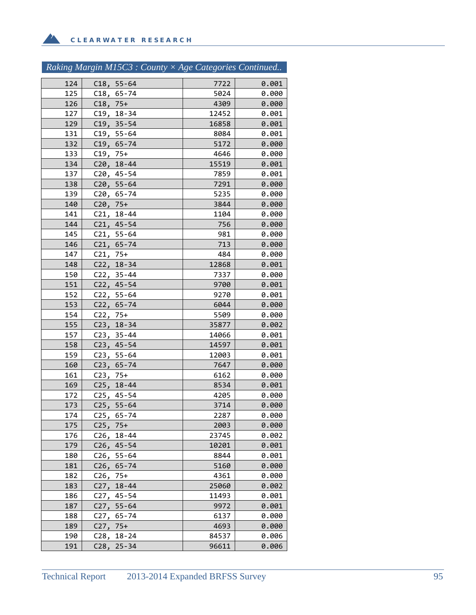|            | Raking Margin M15C3 : County × Age Categories Continued |              |                |
|------------|---------------------------------------------------------|--------------|----------------|
| 124        | $C18, 55-64$                                            | 7722         | 0.001          |
| 125        | $C18, 65 - 74$                                          | 5024         | 0.000          |
| 126        | $C18, 75+$                                              | 4309         | 0.000          |
| 127        | C19, 18-34                                              | 12452        | 0.001          |
| 129        | $C19, 35-54$                                            | 16858        | 0.001          |
| 131        | $C19, 55-64$                                            | 8084         | 0.001          |
| 132        | $C19, 65 - 74$                                          | 5172         | 0.000          |
| 133        | $C19, 75+$                                              | 4646         | 0.000          |
| 134        | C20, 18-44                                              | 15519        | 0.001          |
| 137        | C20, 45-54                                              | 7859         | 0.001          |
| 138        | $C20, 55-64$                                            | 7291         | 0.000          |
| 139        | C20, 65-74                                              | 5235         | 0.000          |
| 140        | $C20, 75+$                                              | 3844         | 0.000          |
| 141        | $C21, 18-44$                                            | 1104         | 0.000          |
| 144        | $C21, 45-54$                                            | 756          | 0.000          |
| 145        | $C21, 55-64$                                            | 981          | 0.000          |
| 146        | $C21, 65 - 74$                                          | 713          | 0.000          |
| 147        | $C21, 75+$                                              | 484          | 0.000          |
| 148        | C22, 18-34                                              | 12868        | 0.001          |
| 150        | $C22, 35-44$                                            | 7337         | 0.000          |
| 151        | C22, 45-54                                              | 9700         | 0.001          |
| 152        | $C22, 55-64$                                            | 9270         | 0.001          |
| 153        | $C22, 65 - 74$                                          | 6044         | 0.000          |
| 154        | $C22, 75+$                                              | 5509         | 0.000          |
| 155        | $C23, 18-34$                                            | 35877        | 0.002          |
| 157        | $C23, 35-44$                                            | 14066        | 0.001          |
| 158        | $C23, 45-54$                                            | 14597        | 0.001          |
| 159        | $C23, 55-64$                                            | 12003        | 0.001          |
| 160        | $C23, 65 - 74$                                          | 7647         | 0.000          |
| 161        | $C23, 75+$                                              | 6162         | 0.000          |
| 169<br>172 | $C25, 18-44$<br>$C25, 45-54$                            | 8534<br>4205 | 0.001<br>0.000 |
| 173        | $C25, 55-64$                                            | 3714         | 0.000          |
| 174        | C25,<br>$65 - 74$                                       | 2287         | 0.000          |
| 175        | $C25, 75+$                                              | 2003         | 0.000          |
| 176        | C26,<br>$18 - 44$                                       | 23745        | 0.002          |
| 179        | $C26, 45-54$                                            | 10201        | 0.001          |
| 180        | $C26, 55-64$                                            | 8844         | 0.001          |
| 181        | C26,<br>$65 - 74$                                       | 5160         | 0.000          |
| 182        | $C26, 75+$                                              | 4361         | 0.000          |
| 183        | $C27, 18-44$                                            | 25060        | 0.002          |
| 186        | C27, 45-54                                              | 11493        | 0.001          |
| 187        | $C27, 55-64$                                            | 9972         | 0.001          |
| 188        | C27, 65-74                                              | 6137         | 0.000          |
| 189        | $C27, 75+$                                              | 4693         | 0.000          |
| 190        | C28, 18-24                                              | 84537        | 0.006          |

191 C28, 25‐34 96611 0.006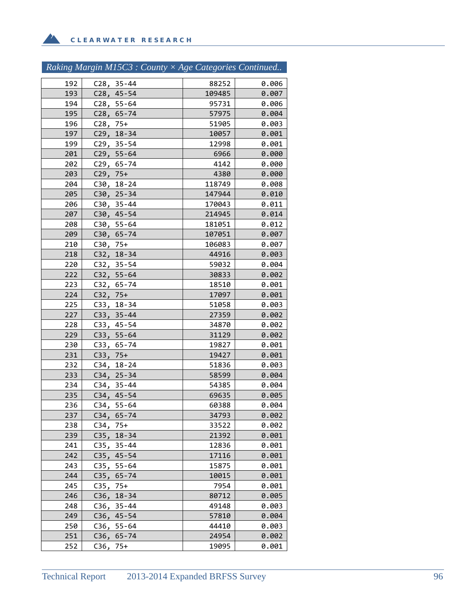**A** 

|  | Raking Margin M15C3 : County $\times$ Age Categories Continued |
|--|----------------------------------------------------------------|
|  |                                                                |

| 192 | $C28, 35-44$      | 88252  | 0.006 |
|-----|-------------------|--------|-------|
| 193 | $C28, 45-54$      | 109485 | 0.007 |
| 194 | C28, 55-64        | 95731  | 0.006 |
| 195 | $C28, 65-74$      | 57975  | 0.004 |
| 196 | $C28, 75+$        | 51905  | 0.003 |
| 197 | $C29, 18-34$      | 10057  | 0.001 |
| 199 | $C29, 35-54$      | 12998  | 0.001 |
| 201 | $C29, 55-64$      | 6966   | 0.000 |
| 202 | $C29, 65 - 74$    | 4142   | 0.000 |
| 203 | $C29, 75+$        | 4380   | 0.000 |
| 204 | $C30, 18-24$      | 118749 | 0.008 |
| 205 | $C30, 25-34$      | 147944 | 0.010 |
| 206 | C30, 35-44        | 170043 | 0.011 |
| 207 | C30, 45-54        | 214945 | 0.014 |
| 208 | C30, 55-64        | 181051 | 0.012 |
| 209 | C30, 65-74        | 107051 | 0.007 |
| 210 | $C30, 75+$        | 106083 | 0.007 |
| 218 | C32, 18-34        | 44916  | 0.003 |
| 220 | $C32, 35-54$      | 59032  | 0.004 |
| 222 | $C32, 55-64$      | 30833  | 0.002 |
| 223 | $C32, 65-74$      | 18510  | 0.001 |
| 224 | $C32, 75+$        | 17097  | 0.001 |
| 225 | C33, 18-34        | 51058  | 0.003 |
| 227 | $C33, 35-44$      | 27359  | 0.002 |
| 228 | C33, 45-54        | 34870  | 0.002 |
| 229 | $C33, 55-64$      | 31129  | 0.002 |
| 230 | C33, 65-74        | 19827  | 0.001 |
| 231 | $C33, 75+$        | 19427  | 0.001 |
| 232 | $C34, 18-24$      | 51836  | 0.003 |
| 233 | $C34, 25-34$      | 58599  | 0.004 |
| 234 | $C34, 35-44$      | 54385  | 0.004 |
| 235 | $C34, 45-54$      | 69635  | 0.005 |
| 236 | $C34, 55-64$      | 60388  | 0.004 |
| 237 | C34, 65-74        | 34793  | 0.002 |
| 238 | $C34, 75+$        | 33522  | 0.002 |
| 239 | $C35, 18-34$      | 21392  | 0.001 |
| 241 | $C35, 35-44$      | 12836  | 0.001 |
| 242 | C35,<br>$45 - 54$ | 17116  | 0.001 |
| 243 | $55 - 64$<br>C35, | 15875  | 0.001 |
| 244 | C35,<br>$65 - 74$ | 10015  | 0.001 |
| 245 | C35,<br>$75+$     | 7954   | 0.001 |
| 246 | C36,<br>$18 - 34$ | 80712  | 0.005 |
| 248 | C36,<br>$35 - 44$ | 49148  | 0.003 |
| 249 | C36,<br>$45 - 54$ | 57810  | 0.004 |
| 250 | $C36, 55-64$      | 44410  | 0.003 |
| 251 | $C36, 65-74$      | 24954  | 0.002 |
| 252 | C36,<br>75+       | 19095  | 0.001 |
|     |                   |        |       |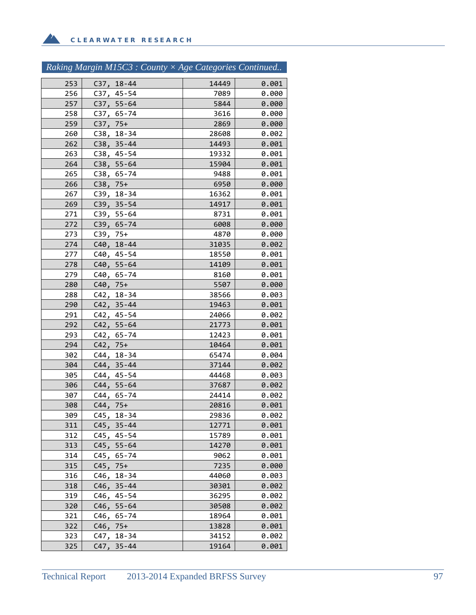$\mathbf{A}$ 

# *Raking Margin M15C3 : County × Age Categories Continued..*

| 253        | $C37, 18-44$               | 14449          | 0.001          |
|------------|----------------------------|----------------|----------------|
| 256        | C37, 45-54                 | 7089           | 0.000          |
| 257        | C37, 55-64                 | 5844           | 0.000          |
| 258        | C37, 65-74                 | 3616           | 0.000          |
| 259        | $C37, 75+$                 | 2869           | 0.000          |
| 260        | $C38, 18-34$               | 28608          | 0.002          |
| 262        | C38, 35-44                 | 14493          | 0.001          |
| 263        | $C38, 45-54$               | 19332          | 0.001          |
| 264        | $C38, 55-64$               | 15904          | 0.001          |
| 265        | C38, 65-74                 | 9488           | 0.001          |
| 266        | $C38, 75+$                 | 6950           | 0.000          |
| 267        | C39, 18-34                 | 16362          | 0.001          |
| 269        | $C39, 35-54$               | 14917          | 0.001          |
| 271        | C39, 55-64                 | 8731           | 0.001          |
| 272        | C39, 65-74                 | 6008           | 0.000          |
| 273        | $C39, 75+$                 | 4870           | 0.000          |
| 274        | C40, 18-44                 | 31035          | 0.002          |
| 277        | C40, 45-54                 | 18550          | 0.001          |
| 278        | C40, 55-64                 | 14109          | 0.001          |
| 279        | C40, 65-74                 | 8160           | 0.001          |
| 280        | $C40, 75+$                 | 5507           | 0.000          |
| 288        | $C42, 18-34$               | 38566          | 0.003          |
| 290        | $C42, 35 - 44$             | 19463          | 0.001          |
| 291        | C42, 45-54                 | 24066          | 0.002          |
| 292<br>293 | $C42, 55-64$<br>C42, 65-74 | 21773<br>12423 | 0.001<br>0.001 |
| 294        | $C42, 75+$                 | 10464          | 0.001          |
| 302        | C44, 18-34                 | 65474          | 0.004          |
| 304        | C44, 35-44                 | 37144          | 0.002          |
| 305        | C44, 45-54                 | 44468          | 0.003          |
| 306        | $C44, 55 - 64$             | 37687          | 0.002          |
| 307        | C44, 65-74                 | 24414          | 0.002          |
| 308        | $C44, 75+$                 | 20816          | 0.001          |
| 309        | C45, 18-34                 | 29836          | 0.002          |
| 311        | $C45, 35-44$               | 12771          | 0.001          |
| 312        | $C45, 45-54$               | 15789          | 0.001          |
| 313        | $C45, 55-64$               | 14270          | 0.001          |
| 314        | C45,<br>65-74              | 9062           | 0.001          |
| 315        | $75+$<br>C45,              | 7235           | 0.000          |
| 316        | $18 - 34$<br>C46,          | 44060          | 0.003          |
| 318        | C46,<br>$35 - 44$          | 30301          | 0.002          |
| 319        | C46,<br>45-54              | 36295          | 0.002          |
| 320        | $55 - 64$<br>C46,          | 30508          | 0.002          |
| 321        | C46,<br>$65 - 74$          | 18964          | 0.001          |
| 322        | C46,<br>$75+$              | 13828          | 0.001          |
| 323        | $18 - 34$<br>C47,          | 34152          | 0.002          |
| 325        | C47,<br>$35 - 44$          | 19164          | 0.001          |
|            |                            |                |                |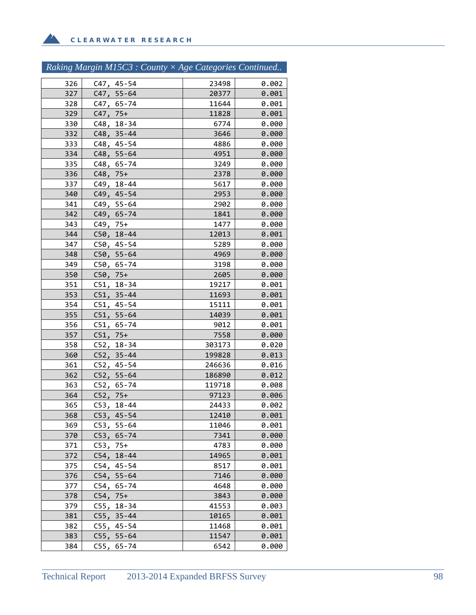Z.

|     | Raking Margin M15C3 : County × Age Categories Continued |        |       |
|-----|---------------------------------------------------------|--------|-------|
| 326 | C47, 45-54                                              | 23498  | 0.002 |
| 327 | $C47, 55-64$                                            | 20377  | 0.001 |
| 328 | C47, 65-74                                              | 11644  | 0.001 |
| 329 | $C47, 75+$                                              | 11828  | 0.001 |
| 330 | C48, 18-34                                              | 6774   | 0.000 |
| 332 | $C48, 35 - 44$                                          | 3646   | 0.000 |
| 333 | C48, 45-54                                              | 4886   | 0.000 |
| 334 | $C48, 55-64$                                            | 4951   | 0.000 |
| 335 | C48, 65-74                                              | 3249   | 0.000 |
| 336 | $C48, 75+$                                              | 2378   | 0.000 |
| 337 | C49, 18-44                                              | 5617   | 0.000 |
| 340 | C49, 45-54                                              | 2953   | 0.000 |
| 341 | C49, 55-64                                              | 2902   | 0.000 |
| 342 | C49, 65-74                                              | 1841   | 0.000 |
| 343 | $C49, 75+$                                              | 1477   | 0.000 |
| 344 | C50, 18-44                                              | 12013  | 0.001 |
| 347 | C50, 45-54                                              | 5289   | 0.000 |
| 348 | $C50, 55-64$                                            | 4969   | 0.000 |
| 349 | C50, 65-74                                              | 3198   | 0.000 |
| 350 | $C50, 75+$                                              | 2605   | 0.000 |
| 351 | C51, 18-34                                              | 19217  | 0.001 |
| 353 | $C51, 35 - 44$                                          | 11693  | 0.001 |
| 354 | $C51, 45-54$                                            | 15111  | 0.001 |
| 355 | $C51, 55-64$                                            | 14039  | 0.001 |
| 356 | C51, 65-74                                              | 9012   | 0.001 |
| 357 | $C51, 75+$                                              | 7558   | 0.000 |
| 358 | C52, 18-34                                              | 303173 | 0.020 |
| 360 | $C52, 35 - 44$                                          | 199828 | 0.013 |
| 361 | C52, 45-54                                              | 246636 | 0.016 |
| 362 | $C52, 55-64$                                            | 186890 | 0.012 |
| 363 | $C52, 65-74$                                            | 119718 | 0.008 |
| 364 | $C52, 75+$                                              | 97123  | 0.006 |
| 365 | C53,<br>$18 - 44$                                       | 24433  | 0.002 |
| 368 | C53,<br>$45 - 54$                                       | 12410  | 0.001 |
| 369 | C53,<br>$55 - 64$                                       | 11046  | 0.001 |
| 370 | C53,<br>$65 - 74$                                       | 7341   | 0.000 |
| 371 | $75+$<br>C53,                                           | 4783   | 0.000 |
| 372 | C54,<br>$18 - 44$                                       | 14965  | 0.001 |
| 375 | $C54, 45-54$                                            | 8517   | 0.001 |
| 376 | $C54, 55-64$                                            | 7146   | 0.000 |

379 C55, 18-34 20.000 C55

377 C54, 65-74 | 4648 0.000 378 C54, 75+<br>379 C55, 18-34 41553 0.003

381 C55, 35-44 10165 0.001 382 C55, 45-54 11468 0.001 383 C55, 55‐64 | 11547 0.001 384 C55, 65-74 | 6542 0.000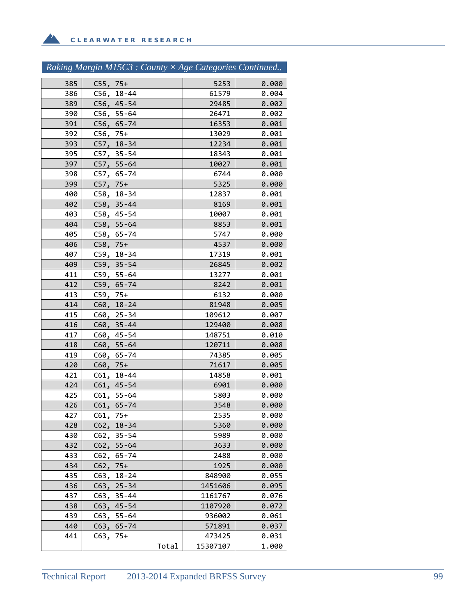**A** 

# *Raking Margin M15C3 : County × Age Categories Continued..*

| 385 | $C55, 75+$ |                |       | 5253     | 0.000 |
|-----|------------|----------------|-------|----------|-------|
| 386 |            | C56, 18-44     |       | 61579    | 0.004 |
| 389 |            | $C56, 45-54$   |       | 29485    | 0.002 |
| 390 |            | $C56, 55-64$   |       | 26471    | 0.002 |
| 391 |            | $C56, 65-74$   |       | 16353    | 0.001 |
| 392 | $C56, 75+$ |                |       | 13029    | 0.001 |
| 393 |            | $C57, 18-34$   |       | 12234    | 0.001 |
| 395 |            | $C57, 35-54$   |       | 18343    | 0.001 |
| 397 |            | $C57, 55-64$   |       | 10027    | 0.001 |
| 398 |            | C57, 65-74     |       | 6744     | 0.000 |
| 399 | $C57, 75+$ |                |       | 5325     | 0.000 |
| 400 |            | C58, 18-34     |       | 12837    | 0.001 |
| 402 |            | $C58, 35-44$   |       | 8169     | 0.001 |
| 403 |            | C58, 45-54     |       | 10007    | 0.001 |
| 404 |            | C58, 55-64     |       | 8853     | 0.001 |
| 405 |            | C58, 65-74     |       | 5747     | 0.000 |
| 406 | $C58, 75+$ |                |       | 4537     | 0.000 |
| 407 |            | C59, 18-34     |       | 17319    | 0.001 |
| 409 |            | $C59, 35-54$   |       | 26845    | 0.002 |
| 411 |            | $C59, 55-64$   |       | 13277    | 0.001 |
| 412 |            | C59, 65-74     |       | 8242     | 0.001 |
| 413 | $C59, 75+$ |                |       | 6132     | 0.000 |
| 414 |            | $C60, 18-24$   |       | 81948    | 0.005 |
| 415 |            | C60, 25-34     |       | 109612   | 0.007 |
| 416 |            | $C60, 35-44$   |       | 129400   | 0.008 |
| 417 |            | C60, 45-54     |       | 148751   | 0.010 |
| 418 |            | $C60, 55-64$   |       | 120711   | 0.008 |
| 419 |            | C60, 65-74     |       | 74385    | 0.005 |
| 420 | $C60, 75+$ |                |       | 71617    | 0.005 |
| 421 |            | $C61, 18-44$   |       | 14858    | 0.001 |
| 424 |            | C61, 45-54     |       | 6901     | 0.000 |
| 425 |            | $C61, 55-64$   |       | 5803     | 0.000 |
| 426 |            | $C61, 65 - 74$ |       | 3548     | 0.000 |
| 427 | $C61, 75+$ |                |       | 2535     | 0.000 |
| 428 | C62,       | 18-34          |       | 5360     | 0.000 |
| 430 | C62,       | $35 - 54$      |       | 5989     | 0.000 |
| 432 | C62,       | $55 - 64$      |       | 3633     | 0.000 |
| 433 | C62,       | 65-74          |       | 2488     | 0.000 |
| 434 | C62,       | $75+$          |       | 1925     | 0.000 |
| 435 | C63,       | $18 - 24$      |       | 848900   | 0.055 |
| 436 | C63,       | $25 - 34$      |       | 1451606  | 0.095 |
| 437 | C63,       | 35-44          |       | 1161767  | 0.076 |
| 438 | C63,       | $45 - 54$      |       | 1107920  | 0.072 |
| 439 | C63,       | $55 - 64$      |       | 936002   | 0.061 |
| 440 | C63,       | $65 - 74$      |       | 571891   | 0.037 |
| 441 | C63,       | 75+            |       | 473425   | 0.031 |
|     |            |                | Total | 15307107 | 1.000 |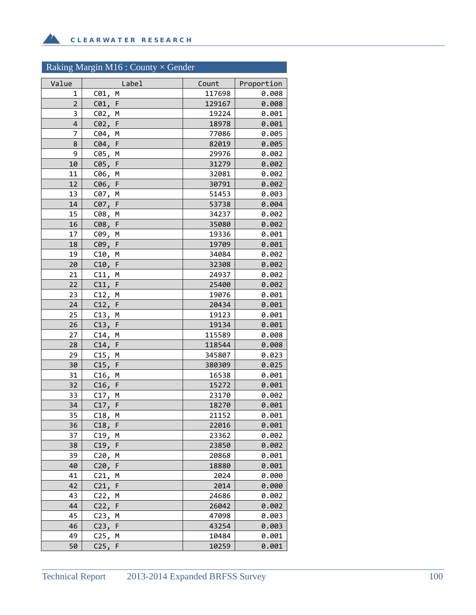# Raking Margin M16 : County  $\times$  Gender

**A** 

| Value          | Label                | Count           | Proportion     |
|----------------|----------------------|-----------------|----------------|
| 1              | C01,<br>M            | 117698          | 0.008          |
| $\overline{2}$ | $C01$ ,<br>F         | 129167          | 0.008          |
| 3              | C02, M               | 19224           | 0.001          |
| 4              | C02, F               | 18978           | 0.001          |
| 7              | C04,<br>M            | 77086           | 0.005          |
| 8              | C04, F               | 82019           | 0.005          |
| 9              | C05,<br>M            | 29976           | 0.002          |
| 10             | $C05$ ,<br>F         | 31279           | 0.002          |
| 11             | C06,<br>M            | 32081           | 0.002          |
| 12             | C06, F               | 30791           | 0.002          |
| 13             | C07, M               | 51453           | 0.003          |
| 14             | C07, F               | 53738           | 0.004          |
| 15             | C08,<br>M            | 34237           | 0.002          |
| 16             | C08,<br>F            | 35080           | 0.002          |
| 17             | C09,<br>M            | 19336           | 0.001          |
| 18             | C09, F               | 19709           | 0.001          |
| 19             | C10, M               | 34084           | 0.002          |
| 20             | C10, F               | 32308           | 0.002          |
| 21             | C11, M               | 24937           | 0.002          |
| 22             | C11, F               | 25400           | 0.002          |
| 23             | C12,<br>M            | 19076           | 0.001          |
| 24             | C12, F               | 20434           | 0.001          |
| 25             | C13, M               | 19123           | 0.001          |
| 26<br>27       | C13, F<br>C14,<br>M  | 19134<br>115589 | 0.001<br>0.008 |
| 28             | C14, F               | 118544          | 0.008          |
| 29             | C15,<br>М            | 345807          | 0.023          |
| 30             | C15, F               | 380309          | 0.025          |
| 31             | C16, M               | 16538           | 0.001          |
| 32             | C16, F               | 15272           | 0.001          |
| 33             | C17, M               | 23170           | 0.002          |
| 34             | C17, F               | 18270           | 0.001          |
| 35             | C18,<br>М            | 21152           | 0.001          |
| 36             | $C18$ , F            | 22016           | 0.001          |
| 37             | C19,<br>М            | 23362           | 0.002          |
| 38             | C19, F               | 23850           | 0.002          |
| 39             | C20,<br>М            | 20868           | 0.001          |
| 40             | C20,<br>F            | 18880           | 0.001          |
| 41             | C21,<br>М            | 2024            | 0.000          |
| 42             | C21,<br>F            | 2014            | 0.000          |
| 43             | C22,<br>M            | 24686           | 0.002          |
| 44             | C22, F               | 26042           | 0.002          |
| 45             | C <sub>23</sub><br>М | 47098           | 0.003          |
| 46             | C23,<br>F            | 43254           | 0.003          |
| 49             | C25,<br>М            | 10484           | 0.001          |
| 50             | C25,<br>F            | 10259           | 0.001          |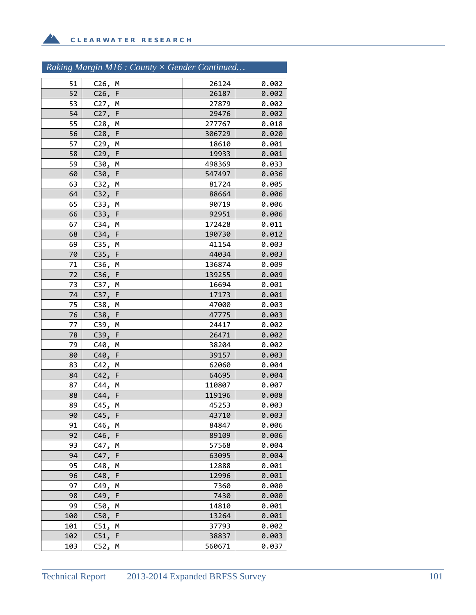# *Raking Margin M16 : County × Gender Continued…*

| 51  | C26, M              | 26124  | 0.002 |
|-----|---------------------|--------|-------|
| 52  | C26, F              | 26187  | 0.002 |
| 53  | C27, M              | 27879  | 0.002 |
| 54  | C27,<br>F           | 29476  | 0.002 |
| 55  | C28, M              | 277767 | 0.018 |
| 56  | C28, F              | 306729 | 0.020 |
| 57  | C29,<br>M           | 18610  | 0.001 |
| 58  | C29, F              | 19933  | 0.001 |
| 59  | C30, M              | 498369 | 0.033 |
| 60  | C30,<br>F           | 547497 | 0.036 |
| 63  | C32, M              | 81724  | 0.005 |
| 64  | C32, F              | 88664  | 0.006 |
| 65  | C33, M              | 90719  | 0.006 |
| 66  | C33, F              | 92951  | 0.006 |
| 67  | C34, M              | 172428 | 0.011 |
| 68  | C34,<br>F           | 190730 | 0.012 |
| 69  | C35,<br>M           | 41154  | 0.003 |
| 70  | C35, F              | 44034  | 0.003 |
| 71  | C36, M              | 136874 | 0.009 |
| 72  | C36, F              | 139255 | 0.009 |
| 73  | C37, M              | 16694  | 0.001 |
| 74  | C37, F              | 17173  | 0.001 |
| 75  | C38,<br>M           | 47000  | 0.003 |
| 76  | C38, F              | 47775  | 0.003 |
| 77  | C39, M              | 24417  | 0.002 |
| 78  | C39, F              | 26471  | 0.002 |
| 79  | C40,<br>M           | 38204  | 0.002 |
| 80  | $\mathsf F$<br>C40, | 39157  | 0.003 |
| 83  | C42,<br>м           | 62060  | 0.004 |
| 84  | C42, F              | 64695  | 0.004 |
| 87  | C44, M              | 110807 | 0.007 |
| 88  | C44, F              | 119196 | 0.008 |
| 89  | C45,<br>M           | 45253  | 0.003 |
| 90  | C45, F              | 43710  | 0.003 |
| 91  | C46,<br>M           | 84847  | 0.006 |
| 92  | C46,<br>F           | 89109  | 0.006 |
| 93  | C47,<br>М           | 57568  | 0.004 |
| 94  | $\mathsf F$<br>C47, | 63095  | 0.004 |
| 95  | C48,<br>М           | 12888  | 0.001 |
| 96  | C48,<br>F           | 12996  | 0.001 |
| 97  | C49,<br>м           | 7360   | 0.000 |
| 98  | C49,<br>F           | 7430   | 0.000 |
| 99  | C50,<br>М           | 14810  | 0.001 |
| 100 | C50, F              | 13264  | 0.001 |
| 101 | C51,<br>Μ           | 37793  | 0.002 |
| 102 | C51,<br>F           | 38837  | 0.003 |
| 103 | C52,<br>М           | 560671 | 0.037 |
|     |                     |        |       |